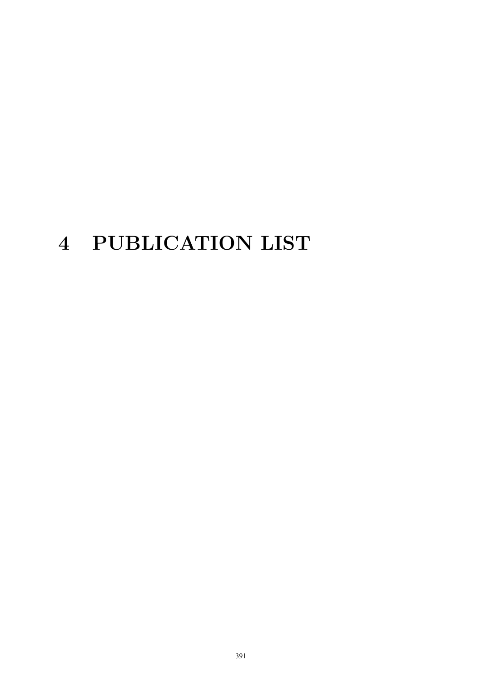# 4 PUBLICATION LIST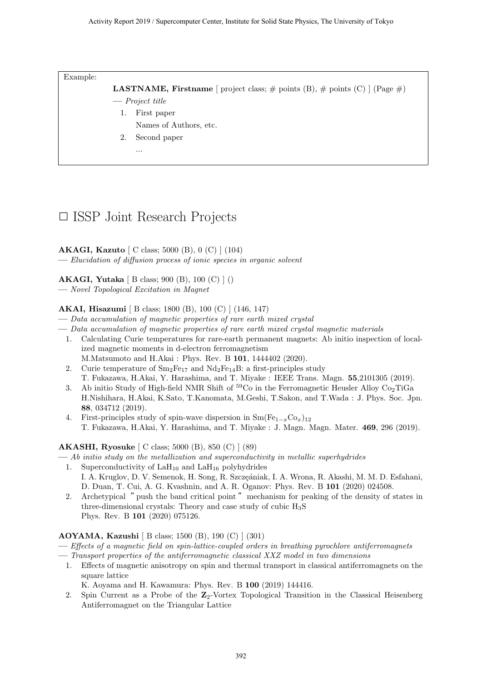Example:

**LASTNAME, Firstname** [ project class;  $\#$  points (B),  $\#$  points (C) ] (Page  $\#$ )

- **—** *Project title*
	- 1. First paper
		- Names of Authors, etc.
	- 2. Second paper
		- ...

## *✷* ISSP Joint Research Projects

**AKAGI, Kazuto** [ C class; 5000 (B), 0 (C) ] (104)

**—** *Elucidation of diffusion process of ionic species in organic solvent*

#### **AKAGI, Yutaka** [ B class; 900 (B), 100 (C) ] ()

**—** *Novel Topological Excitation in Magnet*

#### **AKAI, Hisazumi** [ B class; 1800 (B), 100 (C) ] (146, 147)

- **—** *Data accumulation of magnetic properties of rare earth mixed crystal*
- **—** *Data accumulation of magnetic properties of rare earth mixed crystal magnetic materials*
	- 1. Calculating Curie temperatures for rare-earth permanent magnets: Ab initio inspection of localized magnetic moments in d-electron ferromagnetism M.Matsumoto and H.Akai : Phys. Rev. B **101**, 1444402 (2020).
	- 2. Curie temperature of  $\rm Sm_2Fe_{17}$  and  $\rm Nd_2Fe_{14}B$ : a first-principles study T. Fukazawa, H.Akai, Y. Harashima, and T. Miyake : IEEE Trans. Magn. **55**,2101305 (2019).
	- 3. Ab initio Study of High-field NMR Shift of  $^{59}$ Co in the Ferromagnetic Heusler Alloy Co<sub>2</sub>TiGa H.Nishihara, H.Akai, K.Sato, T.Kanomata, M.Geshi, T.Sakon, and T.Wada : J. Phys. Soc. Jpn. **88**, 034712 (2019).
	- 4. First-principles study of spin-wave dispersion in  $Sm(Fe_{1-x}Co_x)_{12}$ T. Fukazawa, H.Akai, Y. Harashima, and T. Miyake : J. Magn. Magn. Mater. **469**, 296 (2019).

#### **AKASHI, Ryosuke** [ C class; 5000 (B), 850 (C) ] (89)

**—** *Ab initio study on the metallization and superconductivity in metallic superhydrides*

- 1. Superconductivity of  $\text{LaH}_{10}$  and  $\text{LaH}_{16}$  polyhydrides I. A. Kruglov, D. V. Semenok, H. Song, R. Szczęániak, I. A. Wrona, R. Akashi, M. M. D. Esfahani, D. Duan, T. Cui, A. G. Kvashnin, and A. R. Oganov: Phys. Rev. B **101** (2020) 024508.
- 2. Archetypical "push the band critical point "mechanism for peaking of the density of states in three-dimensional crystals: Theory and case study of cubic  $H_3S$ Phys. Rev. B **101** (2020) 075126.

#### **AOYAMA, Kazushi** [ B class; 1500 (B), 190 (C) ] (301)

- **—** *Effects of a magnetic field on spin-lattice-coupled orders in breathing pyrochlore antiferromagnets*
- **—** *Transport properties of the antiferromagnetic classical XXZ model in two dimensions*
- 1. Effects of magnetic anisotropy on spin and thermal transport in classical antiferromagnets on the square lattice

K. Aoyama and H. Kawamura: Phys. Rev. B **100** (2019) 144416.

2. Spin Current as a Probe of the **Z**2-Vortex Topological Transition in the Classical Heisenberg Antiferromagnet on the Triangular Lattice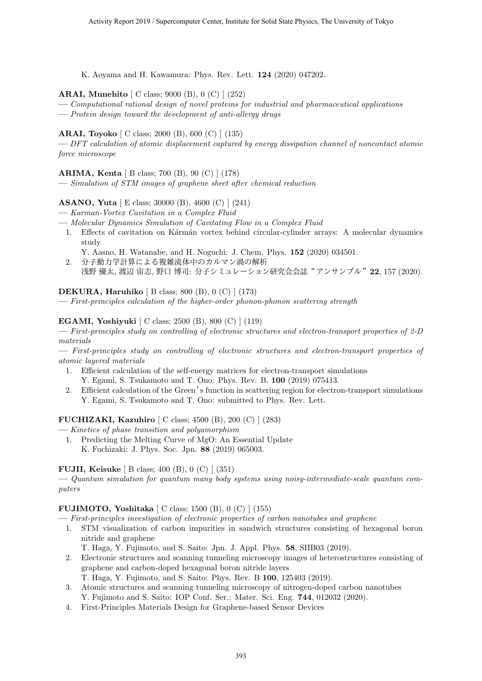K. Aoyama and H. Kawamura: Phys. Rev. Lett. **124** (2020) 047202.

#### **ARAI, Munehito** [ C class; 9000 (B), 0 (C) ] (252)

**—** *Computational rational design of novel proteins for industrial and pharmaceutical applications*

**—** *Protein design toward the development of anti-allergy drugs*

#### **ARAI, Toyoko** [ C class; 2000 (B), 600 (C) ] (135)

**—** *DFT calculation of atomic displacement captured by energy dissipation channel of noncontact atomic force microscope*

#### **ARIMA, Kenta** [ B class; 700 (B), 90 (C) ] (178)

**—** *Simulation of STM images of graphene sheet after chemical reduction*

#### **ASANO, Yuta** [ E class; 30000 (B), 4600 (C) ] (241)

- **—** *Karman-Vortex Cavitation in a Complex Fluid*
- **—** *Molecular Dynamics Simulation of Cavitating Flow in a Complex Fluid*
	- 1. Effects of cavitation on Kármán vortex behind circular-cylinder arrays: A molecular dynamics study
		- Y. Aasno, H. Watanabe, and H. Noguchi: J. Chem. Phys. **152** (2020) 034501.
	- 2. 分子動力学計算による複雑流体中のカルマン渦の解析 浅野 優太, 渡辺 宙志, 野口 博司: 分子シミュレーション研究会会誌"アンサンブル"**22**, 157 (2020).

#### **DEKURA, Haruhiko** [ B class; 800 (B), 0 (C) ] (173)

**—** *First-principles calculation of the higher-order phonon-phonon scattering strength*

#### **EGAMI, Yoshiyuki** [ C class; 2500 (B), 800 (C) ] (119)

**—** *First-principles study on controlling of electronic structures and electron-transport properties of 2-D materials*

**—** *First-principles study on controlling of electronic structures and electron-transport properties of atomic layered materials*

- 1. Efficient calculation of the self-energy matrices for electron-transport simulations
- Y. Egami, S. Tsukamoto and T. Ono: Phys. Rev. B. **100** (2019) 075413.
- 2. Efficient calculation of the Green's function in scattering region for electron-transport simulations Y. Egami, S. Tsukamoto and T. Ono: submitted to Phys. Rev. Lett.

#### **FUCHIZAKI, Kazuhiro** [ C class; 4500 (B), 200 (C) ] (283)

- **—** *Kinetics of phase transition and polyamorphism*
	- 1. Predicting the Melting Curve of MgO: An Essential Update K. Fuchizaki: J. Phys. Soc. Jpn. **88** (2019) 065003.

#### **FUJII, Keisuke** [ B class; 400 (B), 0 (C) ] (351)

**—** *Quantum simulation for quantum many body systems using noisy-intermediate-scale quantum computers*

#### **FUJIMOTO, Yoshitaka** [ C class; 1500 (B), 0 (C) ] (155)

**—** *First-principles investigation of electronic properties of carbon nanotubes and graphene*

1. STM visualization of carbon impurities in sandwich structures consisting of hexagonal boron nitride and graphene

T. Haga, Y. Fujimoto, and S. Saito: Jpn. J. Appl. Phys. **58**, SIIB03 (2019).

- 2. Electronic structures and scanning tunneling microscopy images of heterostructures consisting of graphene and carbon-doped hexagonal boron nitride layers
	- T. Haga, Y. Fujimoto, and S. Saito: Phys. Rev. B **100**, 125403 (2019).
- 3. Atomic structures and scanning tunneling microscopy of nitrogen-doped carbon nanotubes Y. Fujimoto and S. Saito: IOP Conf. Ser.: Mater. Sci. Eng. **744**, 012032 (2020).
- 4. First-Principles Materials Design for Graphene-based Sensor Devices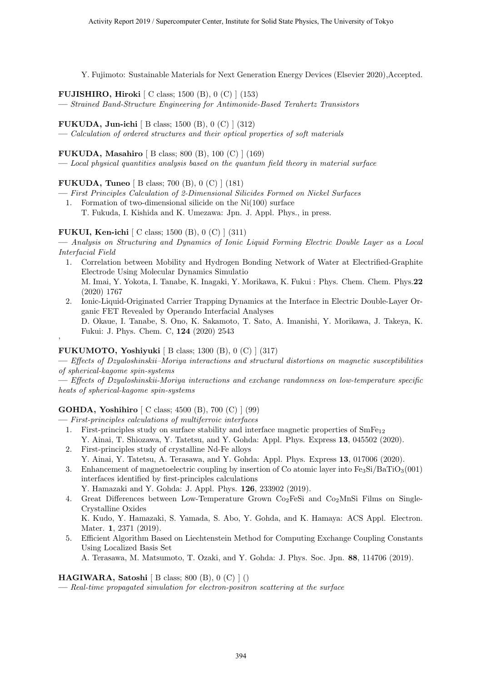Y. Fujimoto: Sustainable Materials for Next Generation Energy Devices (Elsevier 2020),Accepted.

**FUJISHIRO, Hiroki** [ C class; 1500 (B), 0 (C) ] (153)

**—** *Strained Band-Structure Engineering for Antimonide-Based Terahertz Transistors*

**FUKUDA, Jun-ichi** [ B class; 1500 (B), 0 (C) ] (312)

**—** *Calculation of ordered structures and their optical properties of soft materials*

**FUKUDA, Masahiro** [ B class; 800 (B), 100 (C) ] (169)

**—** *Local physical quantities analysis based on the quantum field theory in material surface*

#### **FUKUDA, Tuneo** [ B class; 700 (B), 0 (C) ] (181)

- **—** *First Principles Calculation of 2-Dimensional Silicides Formed on Nickel Surfaces*
	- 1. Formation of two-dimensional silicide on the Ni(100) surface T. Fukuda, I. Kishida and K. Umezawa: Jpn. J. Appl. Phys., in press.

#### **FUKUI, Ken-ichi** [ C class; 1500 (B), 0 (C) ] (311)

**—** *Analysis on Structuring and Dynamics of Ionic Liquid Forming Electric Double Layer as a Local Interfacial Field*

- 1. Correlation between Mobility and Hydrogen Bonding Network of Water at Electrified-Graphite Electrode Using Molecular Dynamics Simulatio M. Imai, Y. Yokota, I. Tanabe, K. Inagaki, Y. Morikawa, K. Fukui : Phys. Chem. Chem. Phys.**22** (2020) 1767
- 2. Ionic-Liquid-Originated Carrier Trapping Dynamics at the Interface in Electric Double-Layer Organic FET Revealed by Operando Interfacial Analyses D. Okaue, I. Tanabe, S. Ono, K. Sakamoto, T. Sato, A. Imanishi, Y. Morikawa, J. Takeya, K. Fukui: J. Phys. Chem. C, **124** (2020) 2543

#### **FUKUMOTO, Yoshiyuki** [ B class; 1300 (B), 0 (C) ] (317)

'

**—** *Effects of Dzyaloshinskii–Moriya interactions and structural distortions on magnetic susceptibilities of spherical-kagome spin-systems*

**—** *Effects of Dzyaloshinskii-Moriya interactions and exchange randomness on low-temperature specific heats of spherical-kagome spin-systems*

#### **GOHDA, Yoshihiro** [ C class; 4500 (B), 700 (C) ] (99)

**—** *First-principles calculations of multiferroic interfaces*

- 1. First-principles study on surface stability and interface magnetic properties of  $SmFe_{12}$ Y. Ainai, T. Shiozawa, Y. Tatetsu, and Y. Gohda: Appl. Phys. Express **13**, 045502 (2020).
- 2. First-principles study of crystalline Nd-Fe alloys Y. Ainai, Y. Tatetsu, A. Terasawa, and Y. Gohda: Appl. Phys. Express **13**, 017006 (2020).
- 3. Enhancement of magnetoelectric coupling by insertion of Co atomic layer into  $Fe<sub>3</sub>Si/BaTiO<sub>3</sub>(001)$ interfaces identified by first-principles calculations

Y. Hamazaki and Y. Gohda: J. Appl. Phys. **126**, 233902 (2019).

4. Great Differences between Low-Temperature Grown  $Co<sub>2</sub>FeSi$  and  $Co<sub>2</sub>MnSi$  Films on Single-Crystalline Oxides

K. Kudo, Y. Hamazaki, S. Yamada, S. Abo, Y. Gohda, and K. Hamaya: ACS Appl. Electron. Mater. **1**, 2371 (2019).

5. Efficient Algorithm Based on Liechtenstein Method for Computing Exchange Coupling Constants Using Localized Basis Set

A. Terasawa, M. Matsumoto, T. Ozaki, and Y. Gohda: J. Phys. Soc. Jpn. **88**, 114706 (2019).

#### **HAGIWARA, Satoshi** [ B class; 800 (B), 0 (C) ] ()

**—** *Real-time propagated simulation for electron-positron scattering at the surface*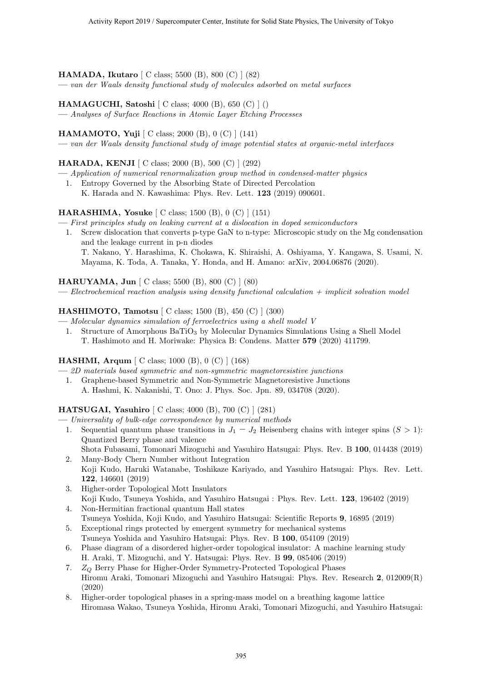**HAMADA, Ikutaro** [ C class; 5500 (B), 800 (C) ] (82)

**—** *van der Waals density functional study of molecules adsorbed on metal surfaces*

**HAMAGUCHI, Satoshi** [ C class; 4000 (B), 650 (C) ] ()

**—** *Analyses of Surface Reactions in Atomic Layer Etching Processes*

**HAMAMOTO, Yuji** [ C class; 2000 (B), 0 (C) ] (141)

**—** *van der Waals density functional study of image potential states at organic-metal interfaces*

#### **HARADA, KENJI** [ C class; 2000 (B), 500 (C) ] (292)

- **—** *Application of numerical renormalization group method in condensed-matter physics*
	- 1. Entropy Governed by the Absorbing State of Directed Percolation K. Harada and N. Kawashima: Phys. Rev. Lett. **123** (2019) 090601.

#### **HARASHIMA, Yosuke** [ C class; 1500 (B), 0 (C) ] (151)

- **—** *First principles study on leaking current at a dislocation in doped semiconductors*
	- 1. Screw dislocation that converts p-type GaN to n-type: Microscopic study on the Mg condensation and the leakage current in p-n diodes T. Nakano, Y. Harashima, K. Chokawa, K. Shiraishi, A. Oshiyama, Y. Kangawa, S. Usami, N. Mayama, K. Toda, A. Tanaka, Y. Honda, and H. Amano: arXiv, 2004.06876 (2020).

**HARUYAMA, Jun** [ C class; 5500 (B), 800 (C) ] (80)

**—** *Electrochemical reaction analysis using density functional calculation + implicit solvation model*

#### **HASHIMOTO, Tamotsu** [ C class; 1500 (B), 450 (C) ] (300)

- **—** *Molecular dynamics simulation of ferroelectrics using a shell model V*
	- 1. Structure of Amorphous BaTiO<sub>3</sub> by Molecular Dynamics Simulations Using a Shell Model T. Hashimoto and H. Moriwake: Physica B: Condens. Matter **579** (2020) 411799.

#### **HASHMI, Arqum** [ C class; 1000 (B), 0 (C) ] (168)

**—** *2D materials based symmetric and non-symmetric magnetoresistive junctions*

1. Graphene-based Symmetric and Non-Symmetric Magnetoresistive Junctions A. Hashmi, K. Nakanishi, T. Ono: J. Phys. Soc. Jpn. 89, 034708 (2020).

#### **HATSUGAI, Yasuhiro** [ C class; 4000 (B), 700 (C) ] (281)

- **—** *Universality of bulk-edge correspondence by numerical methods*
	- 1. Sequential quantum phase transitions in  $J_1 J_2$  Heisenberg chains with integer spins  $(S > 1)$ : Quantized Berry phase and valence Shota Fubasami, Tomonari Mizoguchi and Yasuhiro Hatsugai: Phys. Rev. B **100**, 014438 (2019)
	- 2. Many-Body Chern Number without Integration Koji Kudo, Haruki Watanabe, Toshikaze Kariyado, and Yasuhiro Hatsugai: Phys. Rev. Lett. **122**, 146601 (2019)
	- 3. Higher-order Topological Mott Insulators Koji Kudo, Tsuneya Yoshida, and Yasuhiro Hatsugai : Phys. Rev. Lett. **123**, 196402 (2019)
	- 4. Non-Hermitian fractional quantum Hall states Tsuneya Yoshida, Koji Kudo, and Yasuhiro Hatsugai: Scientific Reports **9**, 16895 (2019)
	- 5. Exceptional rings protected by emergent symmetry for mechanical systems Tsuneya Yoshida and Yasuhiro Hatsugai: Phys. Rev. B **100**, 054109 (2019)
	- 6. Phase diagram of a disordered higher-order topological insulator: A machine learning study H. Araki, T. Mizoguchi, and Y. Hatsugai: Phys. Rev. B **99**, 085406 (2019)
	- 7. *Z<sup>Q</sup>* Berry Phase for Higher-Order Symmetry-Protected Topological Phases Hiromu Araki, Tomonari Mizoguchi and Yasuhiro Hatsugai: Phys. Rev. Research **2**, 012009(R) (2020)
	- 8. Higher-order topological phases in a spring-mass model on a breathing kagome lattice Hiromasa Wakao, Tsuneya Yoshida, Hiromu Araki, Tomonari Mizoguchi, and Yasuhiro Hatsugai: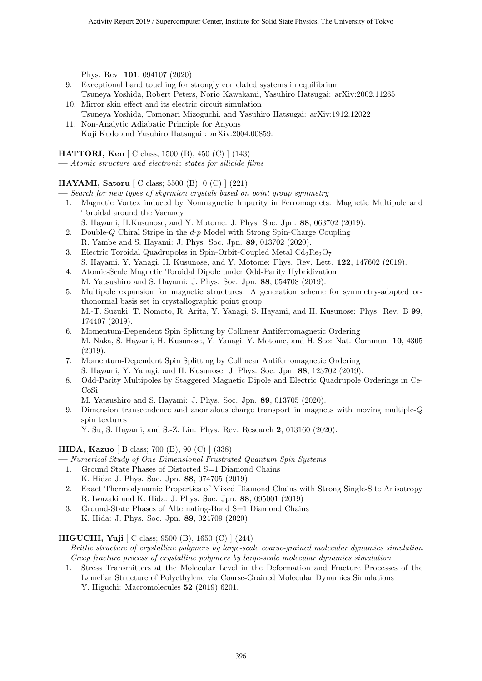Phys. Rev. **101**, 094107 (2020)

- 9. Exceptional band touching for strongly correlated systems in equilibrium Tsuneya Yoshida, Robert Peters, Norio Kawakami, Yasuhiro Hatsugai: arXiv:2002.11265
- 10. Mirror skin effect and its electric circuit simulation Tsuneya Yoshida, Tomonari Mizoguchi, and Yasuhiro Hatsugai: arXiv:1912.12022 11. Non-Analytic Adiabatic Principle for Anyons
- Koji Kudo and Yasuhiro Hatsugai : arXiv:2004.00859.

**HATTORI, Ken** [ C class; 1500 (B), 450 (C) ] (143)

**—** *Atomic structure and electronic states for silicide films*

#### **HAYAMI, Satoru** [ C class; 5500 (B), 0 (C) ] (221)

**—** *Search for new types of skyrmion crystals based on point group symmetry*

- 1. Magnetic Vortex induced by Nonmagnetic Impurity in Ferromagnets: Magnetic Multipole and Toroidal around the Vacancy
	- S. Hayami, H.Kusunose, and Y. Motome: J. Phys. Soc. Jpn. **88**, 063702 (2019).
- 2. Double-*Q* Chiral Stripe in the *d*-*p* Model with Strong Spin-Charge Coupling R. Yambe and S. Hayami: J. Phys. Soc. Jpn. **89**, 013702 (2020).
- 3. Electric Toroidal Quadrupoles in Spin-Orbit-Coupled Metal  $Cd_2Re_2O_7$ S. Hayami, Y. Yanagi, H. Kusunose, and Y. Motome: Phys. Rev. Lett. **122**, 147602 (2019).
- 4. Atomic-Scale Magnetic Toroidal Dipole under Odd-Parity Hybridization M. Yatsushiro and S. Hayami: J. Phys. Soc. Jpn. **88**, 054708 (2019).
- 5. Multipole expansion for magnetic structures: A generation scheme for symmetry-adapted orthonormal basis set in crystallographic point group M.-T. Suzuki, T. Nomoto, R. Arita, Y. Yanagi, S. Hayami, and H. Kusunose: Phys. Rev. B **99**, 174407 (2019).
- 6. Momentum-Dependent Spin Splitting by Collinear Antiferromagnetic Ordering M. Naka, S. Hayami, H. Kusunose, Y. Yanagi, Y. Motome, and H. Seo: Nat. Commun. **10**, 4305 (2019).
- 7. Momentum-Dependent Spin Splitting by Collinear Antiferromagnetic Ordering S. Hayami, Y. Yanagi, and H. Kusunose: J. Phys. Soc. Jpn. **88**, 123702 (2019).
- 8. Odd-Parity Multipoles by Staggered Magnetic Dipole and Electric Quadrupole Orderings in Ce-CoSi
	- M. Yatsushiro and S. Hayami: J. Phys. Soc. Jpn. **89**, 013705 (2020).
- 9. Dimension transcendence and anomalous charge transport in magnets with moving multiple-*Q* spin textures

Y. Su, S. Hayami, and S.-Z. Lin: Phys. Rev. Research **2**, 013160 (2020).

#### **HIDA, Kazuo** [ B class; 700 (B), 90 (C) ] (338)

- **—** *Numerical Study of One Dimensional Frustrated Quantum Spin Systems*
	- 1. Ground State Phases of Distorted S=1 Diamond Chains K. Hida: J. Phys. Soc. Jpn. **88**, 074705 (2019)
	- 2. Exact Thermodynamic Properties of Mixed Diamond Chains with Strong Single-Site Anisotropy R. Iwazaki and K. Hida: J. Phys. Soc. Jpn. **88**, 095001 (2019)
	- 3. Ground-State Phases of Alternating-Bond S=1 Diamond Chains K. Hida: J. Phys. Soc. Jpn. **89**, 024709 (2020)

#### **HIGUCHI, Yuji** [ C class; 9500 (B), 1650 (C) ] (244)

- **—** *Brittle structure of crystalline polymers by large-scale coarse-grained molecular dynamics simulation*
- **—** *Creep fracture process of crystalline polymers by large-scale molecular dynamics simulation*
	- 1. Stress Transmitters at the Molecular Level in the Deformation and Fracture Processes of the Lamellar Structure of Polyethylene via Coarse-Grained Molecular Dynamics Simulations Y. Higuchi: Macromolecules **52** (2019) 6201.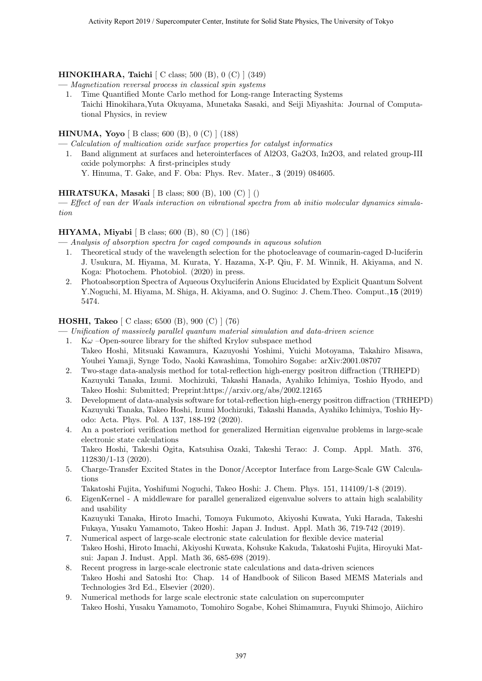#### **HINOKIHARA, Taichi** [ C class; 500 (B), 0 (C) ] (349)

**—** *Magnetization reversal process in classical spin systems*

1. Time Quantified Monte Carlo method for Long-range Interacting Systems Taichi Hinokihara,Yuta Okuyama, Munetaka Sasaki, and Seiji Miyashita: Journal of Computational Physics, in review

#### **HINUMA, Yoyo** [ B class; 600 (B), 0 (C) ] (188)

**—** *Calculation of multication oxide surface properties for catalyst informatics*

1. Band alignment at surfaces and heterointerfaces of Al2O3, Ga2O3, In2O3, and related group-III oxide polymorphs: A first-principles study Y. Hinuma, T. Gake, and F. Oba: Phys. Rev. Mater., **3** (2019) 084605.

#### **HIRATSUKA, Masaki** [ B class; 800 (B), 100 (C) ] ()

**—** *Effect of van der Waals interaction on vibrational spectra from ab initio molecular dynamics simulation*

#### **HIYAMA, Miyabi** [ B class; 600 (B), 80 (C) ] (186)

- **—** *Analysis of absorption spectra for caged compounds in aqueous solution*
	- 1. Theoretical study of the wavelength selection for the photocleavage of coumarin-caged D-luciferin J. Usukura, M. Hiyama, M. Kurata, Y. Hazama, X-P. Qiu, F. M. Winnik, H. Akiyama, and N. Koga: Photochem. Photobiol. (2020) in press.
	- 2. Photoabsorption Spectra of Aqueous Oxyluciferin Anions Elucidated by Explicit Quantum Solvent Y.Noguchi, M. Hiyama, M. Shiga, H. Akiyama, and O. Sugino: J. Chem.Theo. Comput.,**15** (2019) 5474.

#### **HOSHI, Takeo** [ C class; 6500 (B), 900 (C) ] (76)

- **—** *Unification of massively parallel quantum material simulation and data-driven science*
	- 1. K $\omega$  –Open-source library for the shifted Krylov subspace method Takeo Hoshi, Mitsuaki Kawamura, Kazuyoshi Yoshimi, Yuichi Motoyama, Takahiro Misawa, Youhei Yamaji, Synge Todo, Naoki Kawashima, Tomohiro Sogabe: arXiv:2001.08707
	- 2. Two-stage data-analysis method for total-reflection high-energy positron diffraction (TRHEPD) Kazuyuki Tanaka, Izumi. Mochizuki, Takashi Hanada, Ayahiko Ichimiya, Toshio Hyodo, and Takeo Hoshi: Submitted; Preprint:https://arxiv.org/abs/2002.12165
	- 3. Development of data-analysis software for total-reflection high-energy positron diffraction (TRHEPD) Kazuyuki Tanaka, Takeo Hoshi, Izumi Mochizuki, Takashi Hanada, Ayahiko Ichimiya, Toshio Hyodo: Acta. Phys. Pol. A 137, 188-192 (2020).
	- 4. An a posteriori verification method for generalized Hermitian eigenvalue problems in large-scale electronic state calculations Takeo Hoshi, Takeshi Ogita, Katsuhisa Ozaki, Takeshi Terao: J. Comp. Appl. Math. 376, 112830/1-13 (2020).
	- 5. Charge-Transfer Excited States in the Donor/Acceptor Interface from Large-Scale GW Calculations

Takatoshi Fujita, Yoshifumi Noguchi, Takeo Hoshi: J. Chem. Phys. 151, 114109/1-8 (2019).

6. EigenKernel - A middleware for parallel generalized eigenvalue solvers to attain high scalability and usability

Kazuyuki Tanaka, Hiroto Imachi, Tomoya Fukumoto, Akiyoshi Kuwata, Yuki Harada, Takeshi Fukaya, Yusaku Yamamoto, Takeo Hoshi: Japan J. Indust. Appl. Math 36, 719-742 (2019).

- 7. Numerical aspect of large-scale electronic state calculation for flexible device material Takeo Hoshi, Hiroto Imachi, Akiyoshi Kuwata, Kohsuke Kakuda, Takatoshi Fujita, Hiroyuki Matsui: Japan J. Indust. Appl. Math 36, 685-698 (2019).
- 8. Recent progress in large-scale electronic state calculations and data-driven sciences Takeo Hoshi and Satoshi Ito: Chap. 14 of Handbook of Silicon Based MEMS Materials and Technologies 3rd Ed., Elsevier (2020).
- 9. Numerical methods for large scale electronic state calculation on supercomputer Takeo Hoshi, Yusaku Yamamoto, Tomohiro Sogabe, Kohei Shimamura, Fuyuki Shimojo, Aiichiro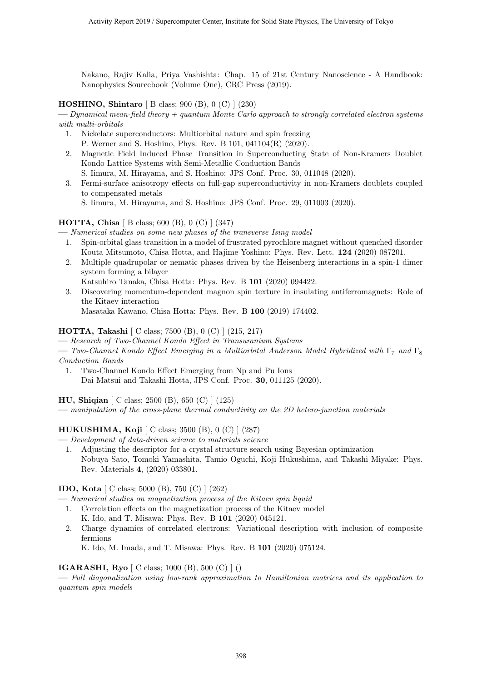Nakano, Rajiv Kalia, Priya Vashishta: Chap. 15 of 21st Century Nanoscience - A Handbook: Nanophysics Sourcebook (Volume One), CRC Press (2019).

#### **HOSHINO, Shintaro** [ B class; 900 (B), 0 (C) ] (230)

**—** *Dynamical mean-field theory + quantum Monte Carlo approach to strongly correlated electron systems with multi-orbitals*

- 1. Nickelate superconductors: Multiorbital nature and spin freezing P. Werner and S. Hoshino, Phys. Rev. B 101, 041104(R) (2020).
- 2. Magnetic Field Induced Phase Transition in Superconducting State of Non-Kramers Doublet Kondo Lattice Systems with Semi-Metallic Conduction Bands S. Iimura, M. Hirayama, and S. Hoshino: JPS Conf. Proc. 30, 011048 (2020).
- 3. Fermi-surface anisotropy effects on full-gap superconductivity in non-Kramers doublets coupled to compensated metals

S. Iimura, M. Hirayama, and S. Hoshino: JPS Conf. Proc. 29, 011003 (2020).

#### **HOTTA, Chisa** [ B class; 600 (B), 0 (C) ] (347)

**—** *Numerical studies on some new phases of the transverse Ising model*

- 1. Spin-orbital glass transition in a model of frustrated pyrochlore magnet without quenched disorder Kouta Mitsumoto, Chisa Hotta, and Hajime Yoshino: Phys. Rev. Lett. **124** (2020) 087201.
- 2. Multiple quadrupolar or nematic phases driven by the Heisenberg interactions in a spin-1 dimer system forming a bilayer
- Katsuhiro Tanaka, Chisa Hotta: Phys. Rev. B **101** (2020) 094422.
- 3. Discovering momentum-dependent magnon spin texture in insulating antiferromagnets: Role of the Kitaev interaction
	- Masataka Kawano, Chisa Hotta: Phys. Rev. B **100** (2019) 174402.

#### **HOTTA, Takashi** [ C class; 7500 (B), 0 (C) ] (215, 217)

**—** *Research of Two-Channel Kondo Effect in Transuranium Systems*

**—** *Two-Channel Kondo Effect Emerging in a Multiorbital Anderson Model Hybridized with* Γ<sup>7</sup> *and* Γ<sup>8</sup> *Conduction Bands*

1. Two-Channel Kondo Effect Emerging from Np and Pu Ions Dai Matsui and Takashi Hotta, JPS Conf. Proc. **30**, 011125 (2020).

**HU, Shiqian** [ C class; 2500 (B), 650 (C) ] (125)

**—** *manipulation of the cross-plane thermal conductivity on the 2D hetero-junction materials*

### **HUKUSHIMA, Koji** [ C class; 3500 (B), 0 (C) ] (287)

- **—** *Development of data-driven science to materials science*
- 1. Adjusting the descriptor for a crystal structure search using Bayesian optimization Nobuya Sato, Tomoki Yamashita, Tamio Oguchi, Koji Hukushima, and Takashi Miyake: Phys. Rev. Materials **4**, (2020) 033801.

**IDO, Kota** [ C class; 5000 (B), 750 (C) ] (262)

**—** *Numerical studies on magnetization process of the Kitaev spin liquid*

- 1. Correlation effects on the magnetization process of the Kitaev model
	- K. Ido, and T. Misawa: Phys. Rev. B **101** (2020) 045121.
- 2. Charge dynamics of correlated electrons: Variational description with inclusion of composite fermions

K. Ido, M. Imada, and T. Misawa: Phys. Rev. B **101** (2020) 075124.

#### **IGARASHI, Ryo** [ C class; 1000 (B), 500 (C) ] ()

**—** *Full diagonalization using low-rank approximation to Hamiltonian matrices and its application to quantum spin models*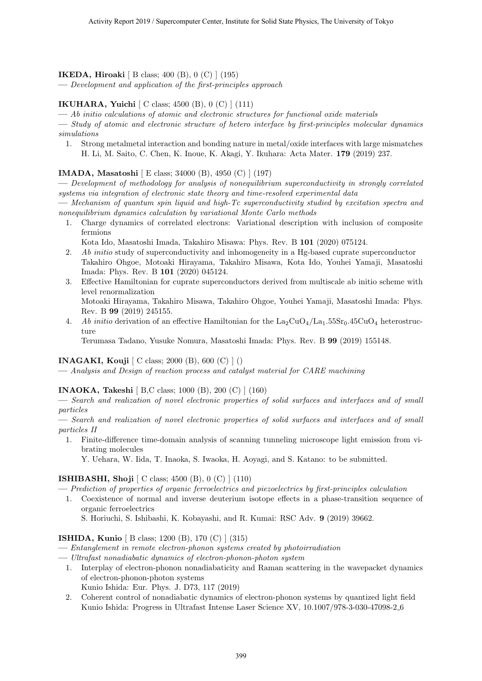#### **IKEDA, Hiroaki** [ B class; 400 (B), 0 (C) ] (195)

**—** *Development and application of the first-principles approach*

#### **IKUHARA, Yuichi** [ C class; 4500 (B), 0 (C) ] (111)

**—** *Ab initio calculations of atomic and electronic structures for functional oxide materials*

**—** *Study of atomic and electronic structure of hetero interface by first-principles molecular dynamics simulations*

1. Strong metalmetal interaction and bonding nature in metal/oxide interfaces with large mismatches H. Li, M. Saito, C. Chen, K. Inoue, K. Akagi, Y. Ikuhara: Acta Mater. **179** (2019) 237.

#### **IMADA, Masatoshi** [ E class; 34000 (B), 4950 (C) ] (197)

**—** *Development of methodology for analysis of nonequilibrium superconductivity in strongly correlated systems via integration of electronic state theory and time-resolved experimental data*

**—** *Mechanism of quantum spin liquid and high-Tc superconductivity studied by excitation spectra and nonequilibrium dynamics calculation by variational Monte Carlo methods*

1. Charge dynamics of correlated electrons: Variational description with inclusion of composite fermions

Kota Ido, Masatoshi Imada, Takahiro Misawa: Phys. Rev. B **101** (2020) 075124.

- 2. *Ab initio* study of superconductivity and inhomogeneity in a Hg-based cuprate superconductor Takahiro Ohgoe, Motoaki Hirayama, Takahiro Misawa, Kota Ido, Youhei Yamaji, Masatoshi Imada: Phys. Rev. B **101** (2020) 045124.
- 3. Effective Hamiltonian for cuprate superconductors derived from multiscale ab initio scheme with level renormalization

Motoaki Hirayama, Takahiro Misawa, Takahiro Ohgoe, Youhei Yamaji, Masatoshi Imada: Phys. Rev. B **99** (2019) 245155.

4. *Ab initio* derivation of an effective Hamiltonian for the  $\text{La}_2\text{CuO}_4/\text{La}_1.55\text{Sr}_0.45\text{CuO}_4$  heterostructure

Terumasa Tadano, Yusuke Nomura, Masatoshi Imada: Phys. Rev. B **99** (2019) 155148.

#### **INAGAKI, Kouji** [ C class; 2000 (B), 600 (C) ] ()

**—** *Analysis and Design of reaction process and catalyst material for CARE machining*

#### **INAOKA, Takeshi** [ B,C class; 1000 (B), 200 (C) ] (160)

**—** *Search and realization of novel electronic properties of solid surfaces and interfaces and of small particles*

**—** *Search and realization of novel electronic properties of solid surfaces and interfaces and of small particles II*

1. Finite-difference time-domain analysis of scanning tunneling microscope light emission from vibrating molecules

Y. Uehara, W. Iida, T. Inaoka, S. Iwaoka, H. Aoyagi, and S. Katano: to be submitted.

#### **ISHIBASHI, Shoji** [ C class; 4500 (B), 0 (C) ] (110)

**—** *Prediction of properties of organic ferroelectrics and piezoelectrics by first-principles calculation*

1. Coexistence of normal and inverse deuterium isotope effects in a phase-transition sequence of organic ferroelectrics

S. Horiuchi, S. Ishibashi, K. Kobayashi, and R. Kumai: RSC Adv. **9** (2019) 39662.

#### **ISHIDA, Kunio** [ B class; 1200 (B), 170 (C) ] (315)

- **—** *Entanglement in remote electron-phonon systems created by photoirradiation*
- **—** *Ultrafast nonadiabatic dynamics of electron-phonon-photon system*
	- 1. Interplay of electron-phonon nonadiabaticity and Raman scattering in the wavepacket dynamics of electron-phonon-photon systems
		- Kunio Ishida: Eur. Phys. J. D73, 117 (2019)
	- 2. Coherent control of nonadiabatic dynamics of electron-phonon systems by quantized light field Kunio Ishida: Progress in Ultrafast Intense Laser Science XV, 10.1007/978-3-030-47098-2 6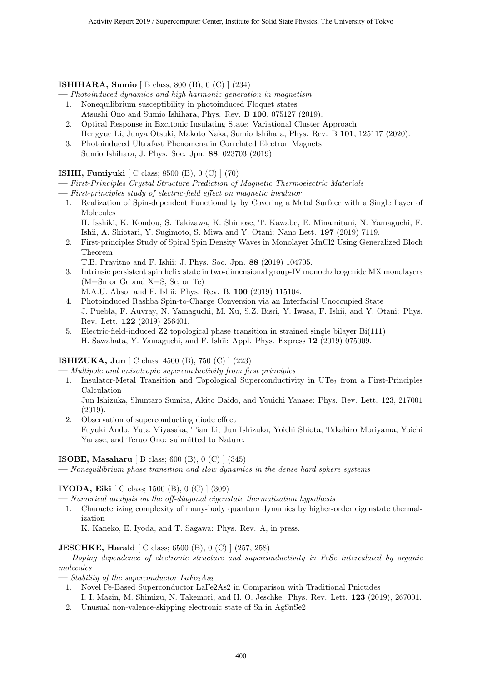#### **ISHIHARA, Sumio** [ B class; 800 (B), 0 (C) ] (234)

- **—** *Photoinduced dynamics and high harmonic generation in magnetism*
	- 1. Nonequilibrium susceptibility in photoinduced Floquet states Atsushi Ono and Sumio Ishihara, Phys. Rev. B **100**, 075127 (2019).
	- 2. Optical Response in Excitonic Insulating State: Variational Cluster Approach Hengyue Li, Junya Otsuki, Makoto Naka, Sumio Ishihara, Phys. Rev. B **101**, 125117 (2020).
	- 3. Photoinduced Ultrafast Phenomena in Correlated Electron Magnets Sumio Ishihara, J. Phys. Soc. Jpn. **88**, 023703 (2019).

#### **ISHII, Fumiyuki** [ C class; 8500 (B), 0 (C) ] (70)

**—** *First-Principles Crystal Structure Prediction of Magnetic Thermoelectric Materials*

- **—** *First-principles study of electric-field effect on magnetic insulator*
	- 1. Realization of Spin-dependent Functionality by Covering a Metal Surface with a Single Layer of Molecules
		- H. Isshiki, K. Kondou, S. Takizawa, K. Shimose, T. Kawabe, E. Minamitani, N. Yamaguchi, F. Ishii, A. Shiotari, Y. Sugimoto, S. Miwa and Y. Otani: Nano Lett. **197** (2019) 7119.
	- 2. First-principles Study of Spiral Spin Density Waves in Monolayer MnCl2 Using Generalized Bloch Theorem

T.B. Prayitno and F. Ishii: J. Phys. Soc. Jpn. **88** (2019) 104705.

- 3. Intrinsic persistent spin helix state in two-dimensional group-IV monochalcogenide MX monolayers (M=Sn or Ge and X=S, Se, or Te)
	- M.A.U. Absor and F. Ishii: Phys. Rev. B. **100** (2019) 115104.
- 4. Photoinduced Rashba Spin-to-Charge Conversion via an Interfacial Unoccupied State J. Puebla, F. Auvray, N. Yamaguchi, M. Xu, S.Z. Bisri, Y. Iwasa, F. Ishii, and Y. Otani: Phys. Rev. Lett. **122** (2019) 256401.
- 5. Electric-field-induced Z2 topological phase transition in strained single bilayer Bi(111) H. Sawahata, Y. Yamaguchi, and F. Ishii: Appl. Phys. Express **12** (2019) 075009.

#### **ISHIZUKA, Jun** [ C class; 4500 (B), 750 (C) ] (223)

**—** *Multipole and anisotropic superconductivity from first principles*

1. Insulator-Metal Transition and Topological Superconductivity in  $UTe<sub>2</sub>$  from a First-Principles Calculation

Jun Ishizuka, Shuntaro Sumita, Akito Daido, and Youichi Yanase: Phys. Rev. Lett. 123, 217001 (2019).

2. Observation of superconducting diode effect Fuyuki Ando, Yuta Miyasaka, Tian Li, Jun Ishizuka, Yoichi Shiota, Takahiro Moriyama, Yoichi Yanase, and Teruo Ono: submitted to Nature.

#### **ISOBE, Masaharu** [ B class; 600 (B), 0 (C) ] (345)

**—** *Nonequilibrium phase transition and slow dynamics in the dense hard sphere systems*

#### **IYODA, Eiki** [ C class; 1500 (B), 0 (C) ] (309)

**—** *Numerical analysis on the off-diagonal eigenstate thermalization hypothesis*

1. Characterizing complexity of many-body quantum dynamics by higher-order eigenstate thermalization

K. Kaneko, E. Iyoda, and T. Sagawa: Phys. Rev. A, in press.

#### **JESCHKE, Harald** [ C class; 6500 (B), 0 (C) ] (257, 258)

**—** *Doping dependence of electronic structure and superconductivity in FeSe intercalated by organic molecules*

- $-$  *Stability of the superconductor LaFe<sub>2</sub>As<sub>2</sub>* 
	- 1. Novel Fe-Based Superconductor LaFe2As2 in Comparison with Traditional Pnictides I. I. Mazin, M. Shimizu, N. Takemori, and H. O. Jeschke: Phys. Rev. Lett. **123** (2019), 267001.
	- 2. Unusual non-valence-skipping electronic state of Sn in AgSnSe2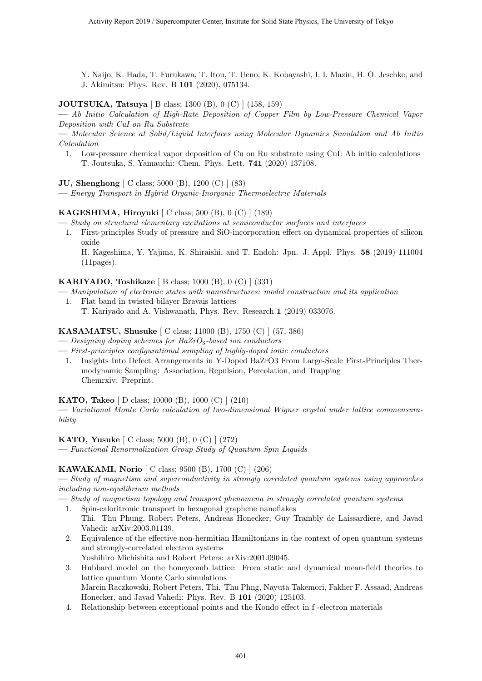Y. Naijo, K. Hada, T. Furukawa, T. Itou, T. Ueno, K. Kobayashi, I. I. Mazin, H. O. Jeschke, and J. Akimitsu: Phys. Rev. B **101** (2020), 075134.

**JOUTSUKA, Tatsuya** [ B class; 1300 (B), 0 (C) ] (158, 159)

**—** *Ab Initio Calculation of High-Rate Deposition of Copper Film by Low-Pressure Chemical Vapor Deposition with CuI on Ru Substrate*

**—** *Molecular Science at Solid/Liquid Interfaces using Molecular Dynamics Simulation and Ab Initio Calculation*

1. Low-pressure chemical vapor deposition of Cu on Ru substrate using CuI: Ab initio calculations T. Joutsuka, S. Yamauchi: Chem. Phys. Lett. **741** (2020) 137108.

**JU, Shenghong** [ C class; 5000 (B), 1200 (C) ] (83)

**—** *Energy Transport in Hybrid Organic-Inorganic Thermoelectric Materials*

#### **KAGESHIMA, Hiroyuki** [ C class; 500 (B), 0 (C) ] (189)

- **—** *Study on structural elementary excitations at semiconductor surfaces and interfaces*
	- 1. First-principles Study of pressure and SiO-incorporation effect on dynamical properties of silicon oxide

H. Kageshima, Y. Yajima, K. Shiraishi, and T. Endoh: Jpn. J. Appl. Phys. **58** (2019) 111004 (11pages).

#### **KARIYADO, Toshikaze** [ B class; 1000 (B), 0 (C) ] (331)

- **—** *Manipulation of electronic states with nanostructures: model construction and its application*
- 1. Flat band in twisted bilayer Bravais lattices
	- T. Kariyado and A. Vishwanath, Phys. Rev. Research **1** (2019) 033076.

#### **KASAMATSU, Shusuke** [ C class; 11000 (B), 1750 (C) ] (57, 386)

- **—** *Designing doping schemes for BaZrO*3*-based ion conductors*
- **—** *First-principles configurational sampling of highly-doped ionic conductors*
	- 1. Insights Into Defect Arrangements in Y-Doped BaZrO3 From Large-Scale First-Principles Thermodynamic Sampling: Association, Repulsion, Percolation, and Trapping Chemrxiv. Preprint.

**KATO, Takeo** [ D class; 10000 (B), 1000 (C) ] (210)

**—** *Variational Monte Carlo calculation of two-dimensional Wigner crystal under lattice commensurability*

**KATO, Yusuke** [ C class; 5000 (B), 0 (C) ] (272)

**—** *Functional Renormalization Group Study of Quantum Spin Liquids*

#### **KAWAKAMI, Norio** [ C class; 9500 (B), 1700 (C) ] (206)

**—** *Study of magnetism and superconductivity in strongly correlated quantum systems using approaches including non-equilibrium methods*

**—** *Study of magnetism topology and transport phenomena in strongly correlated quantum systems*

- 1. Spin-caloritronic transport in hexagonal graphene nanoflakes Thi. Thu Phung, Robert Peters, Andreas Honecker, Guy Trambly de Laissardiere, and Javad Vahedi: arXiv:2003.01139.
- 2. Equivalence of the effective non-hermitian Hamiltonians in the context of open quantum systems and strongly-correlated electron systems Yoshihiro Michishita and Robert Peters: arXiv:2001.09045.
- 3. Hubbard model on the honeycomb lattice: From static and dynamical mean-field theories to lattice quantum Monte Carlo simulations Marcin Raczkowski, Robert Peters, Thi. Thu Phng, Nayuta Takemori, Fakher F. Assaad, Andreas Honecker, and Javad Vahedi: Phys. Rev. B **101** (2020) 125103.
- 4. Relationship between exceptional points and the Kondo effect in f -electron materials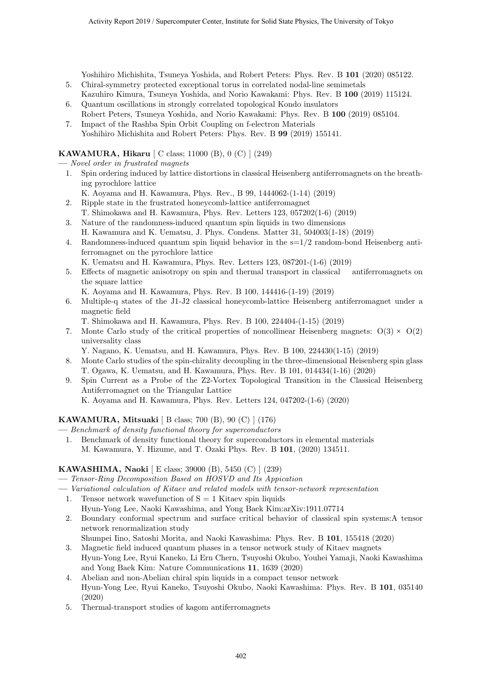Yoshihiro Michishita, Tsuneya Yoshida, and Robert Peters: Phys. Rev. B **101** (2020) 085122.

- 5. Chiral-symmetry protected exceptional torus in correlated nodal-line semimetals Kazuhiro Kimura, Tsuneya Yoshida, and Norio Kawakami: Phys. Rev. B **100** (2019) 115124.
- 6. Quantum oscillations in strongly correlated topological Kondo insulators Robert Peters, Tsuneya Yoshida, and Norio Kawakami: Phys. Rev. B **100** (2019) 085104.
- 7. Impact of the Rashba Spin Orbit Coupling on f-electron Materials Yoshihiro Michishita and Robert Peters: Phys. Rev. B **99** (2019) 155141.

#### **KAWAMURA, Hikaru** [ C class; 11000 (B), 0 (C) ] (249)

**—** *Novel order in frustrated magnets*

- 1. Spin ordering induced by lattice distortions in classical Heisenberg antiferromagnets on the breathing pyrochlore lattice
	- K. Aoyama and H. Kawamura, Phys. Rev., B 99, 1444062-(1-14) (2019)
- 2. Ripple state in the frustrated honeycomb-lattice antiferromagnet T. Shimokawa and H. Kawamura, Phys. Rev. Letters 123, 057202(1-6) (2019)
- 3. Nature of the randomness-induced quantum spin liquids in two dimensions H. Kawamura and K. Uematsu, J. Phys. Condens. Matter 31, 504003(1-18) (2019)
- 4. Randomness-induced quantum spin liquid behavior in the  $s=1/2$  random-bond Heisenberg antiferromagnet on the pyrochlore lattice

K. Uematsu and H. Kawamura, Phys. Rev. Letters 123, 087201-(1-6) (2019)

5. Effects of magnetic anisotropy on spin and thermal transport in classical antiferromagnets on the square lattice

K. Aoyama and H. Kawamura, Phys. Rev. B 100, 144416-(1-19) (2019)

- 6. Multiple-q states of the J1-J2 classical honeycomb-lattice Heisenberg antiferromagnet under a magnetic field
	- T. Shimokawa and H. Kawamura, Phys. Rev. B 100, 224404-(1-15) (2019)
- 7. Monte Carlo study of the critical properties of noncollinear Heisenberg magnets:  $O(3) \times O(2)$ universality class

Y. Nagano, K. Uematsu, and H. Kawamura, Phys. Rev. B 100, 224430(1-15) (2019)

- 8. Monte Carlo studies of the spin-chirality decoupling in the three-dimensional Heisenberg spin glass T. Ogawa, K. Uematsu, and H. Kawamura, Phys. Rev. B 101, 014434(1-16) (2020)
- 9. Spin Current as a Probe of the Z2-Vortex Topological Transition in the Classical Heisenberg Antiferromagnet on the Triangular Lattice K. Aoyama and H. Kawamura, Phys. Rev. Letters 124, 047202-(1-6) (2020)

#### **KAWAMURA, Mitsuaki** [ B class; 700 (B), 90 (C) ] (176)

**—** *Benchmark of density functional theory for superconductors*

1. Benchmark of density functional theory for superconductors in elemental materials M. Kawamura, Y. Hizume, and T. Ozaki Phys. Rev. B **101**, (2020) 134511.

#### **KAWASHIMA, Naoki** [ E class; 39000 (B), 5450 (C) ] (239)

**—** *Tensor-Ring Decomposition Based on HOSVD and Its Appication*

- **—** *Variational calculation of Kitaev and related models with tensor-network representation*
	- 1. Tensor network wavefunction of  $S = 1$  Kitaev spin liquids
	- Hyun-Yong Lee, Naoki Kawashima, and Yong Baek Kim:arXiv:1911.07714
	- 2. Boundary conformal spectrum and surface critical behavior of classical spin systems:A tensor network renormalization study

Shumpei Iino, Satoshi Morita, and Naoki Kawashima: Phys. Rev. B **101**, 155418 (2020)

- 3. Magnetic field induced quantum phases in a tensor network study of Kitaev magnets Hyun-Yong Lee, Ryui Kaneko, Li Ern Chern, Tsuyoshi Okubo, Youhei Yamaji, Naoki Kawashima and Yong Baek Kim: Nature Communications **11**, 1639 (2020)
- 4. Abelian and non-Abelian chiral spin liquids in a compact tensor network Hyun-Yong Lee, Ryui Kaneko, Tsuyoshi Okubo, Naoki Kawashima: Phys. Rev. B **101**, 035140 (2020)
- 5. Thermal-transport studies of kagom antiferromagnets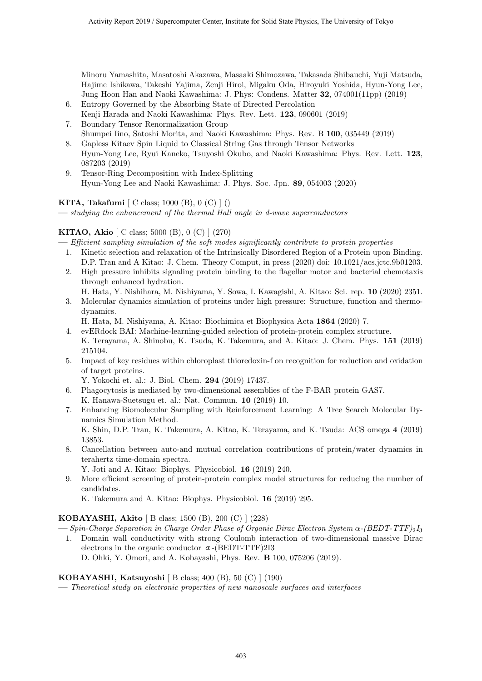Minoru Yamashita, Masatoshi Akazawa, Masaaki Shimozawa, Takasada Shibauchi, Yuji Matsuda, Hajime Ishikawa, Takeshi Yajima, Zenji Hiroi, Migaku Oda, Hiroyuki Yoshida, Hyun-Yong Lee, Jung Hoon Han and Naoki Kawashima: J. Phys: Condens. Matter **32**, 074001(11pp) (2019)

- 6. Entropy Governed by the Absorbing State of Directed Percolation Kenji Harada and Naoki Kawashima: Phys. Rev. Lett. **123**, 090601 (2019)
- 7. Boundary Tensor Renormalization Group Shumpei Iino, Satoshi Morita, and Naoki Kawashima: Phys. Rev. B **100**, 035449 (2019)
- 8. Gapless Kitaev Spin Liquid to Classical String Gas through Tensor Networks Hyun-Yong Lee, Ryui Kaneko, Tsuyoshi Okubo, and Naoki Kawashima: Phys. Rev. Lett. **123**, 087203 (2019)
- 9. Tensor-Ring Decomposition with Index-Splitting Hyun-Yong Lee and Naoki Kawashima: J. Phys. Soc. Jpn. **89**, 054003 (2020)

**KITA, Takafumi** [ C class; 1000 (B), 0 (C) ] ()

**—** *studying the enhancement of the thermal Hall angle in d-wave superconductors*

#### **KITAO, Akio** [ C class; 5000 (B), 0 (C) ] (270)

**—** *Efficient sampling simulation of the soft modes significantly contribute to protein properties*

- 1. Kinetic selection and relaxation of the Intrinsically Disordered Region of a Protein upon Binding. D.P. Tran and A Kitao: J. Chem. Theory Comput, in press (2020) doi: 10.1021/acs.jctc.9b01203.
- 2. High pressure inhibits signaling protein binding to the flagellar motor and bacterial chemotaxis through enhanced hydration.
	- H. Hata, Y. Nishihara, M. Nishiyama, Y. Sowa, I. Kawagishi, A. Kitao: Sci. rep. **10** (2020) 2351.
- 3. Molecular dynamics simulation of proteins under high pressure: Structure, function and thermodynamics.
	- H. Hata, M. Nishiyama, A. Kitao: Biochimica et Biophysica Acta **1864** (2020) 7.
- 4. evERdock BAI: Machine-learning-guided selection of protein-protein complex structure. K. Terayama, A. Shinobu, K. Tsuda, K. Takemura, and A. Kitao: J. Chem. Phys. **151** (2019) 215104.
- 5. Impact of key residues within chloroplast thioredoxin-f on recognition for reduction and oxidation of target proteins.

Y. Yokochi et. al.: J. Biol. Chem. **294** (2019) 17437.

- 6. Phagocytosis is mediated by two-dimensional assemblies of the F-BAR protein GAS7. K. Hanawa-Suetsugu et. al.: Nat. Commun. **10** (2019) 10.
- 7. Enhancing Biomolecular Sampling with Reinforcement Learning: A Tree Search Molecular Dynamics Simulation Method. K. Shin, D.P. Tran, K. Takemura, A. Kitao, K. Terayama, and K. Tsuda: ACS omega **4** (2019) 13853.
- 8. Cancellation between auto-and mutual correlation contributions of protein/water dynamics in terahertz time-domain spectra.

Y. Joti and A. Kitao: Biophys. Physicobiol. **16** (2019) 240.

9. More efficient screening of protein-protein complex model structures for reducing the number of candidates.

K. Takemura and A. Kitao: Biophys. Physicobiol. **16** (2019) 295.

#### **KOBAYASHI, Akito** [ B class; 1500 (B), 200 (C) ] (228)

**—** *Spin-Charge Separation in Charge Order Phase of Organic Dirac Electron System α-(BEDT-TTF)*2*I*<sup>3</sup>

1. Domain wall conductivity with strong Coulomb interaction of two-dimensional massive Dirac electrons in the organic conductor  $\alpha$ -(BEDT-TTF)2I3 D. Ohki, Y. Omori, and A. Kobayashi, Phys. Rev. **B** 100, 075206 (2019).

**KOBAYASHI, Katsuyoshi** [ B class; 400 (B), 50 (C) ] (190)

**—** *Theoretical study on electronic properties of new nanoscale surfaces and interfaces*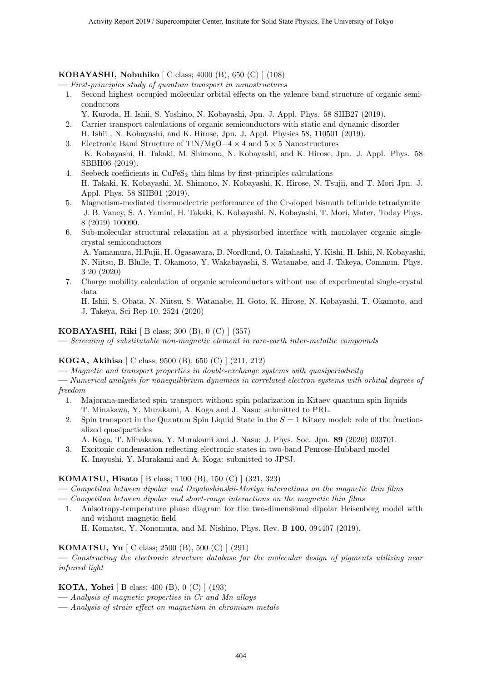#### **KOBAYASHI, Nobuhiko** [ C class; 4000 (B), 650 (C) ] (108)

**—** *First-principles study of quantum transport in nanostructures*

- 1. Second highest occupied molecular orbital effects on the valence band structure of organic semiconductors
	- Y. Kuroda, H. Ishii, S. Yoshino, N. Kobayashi, Jpn. J. Appl. Phys. 58 SIIB27 (2019).
- 2. Carrier transport calculations of organic semiconductors with static and dynamic disorder H. Ishii , N. Kobayashi, and K. Hirose, Jpn. J. Appl. Physics 58, 110501 (2019).
- 3. Electronic Band Structure of TiN/MgO*−*4 *×* 4 and 5 *×* 5 Nanostructures K. Kobayashi, H. Takaki, M. Shimono, N. Kobayashi, and K. Hirose, Jpn. J. Appl. Phys. 58 SBBH06 (2019).
- 4. Seebeck coefficients in  $CuFeS<sub>2</sub>$  thin films by first-principles calculations H. Takaki, K. Kobayashi, M. Shimono, N. Kobayashi, K. Hirose, N. Tsujii, and T. Mori Jpn. J. Appl. Phys. 58 SIIB01 (2019).
- 5. Magnetism-mediated thermoelectric performance of the Cr-doped bismuth telluride tetradymite J. B. Vaney, S. A. Yamini, H. Takaki, K. Kobayashi, N. Kobayashi, T. Mori, Mater. Today Phys. 8 (2019) 100090.
- 6. Sub-molecular structural relaxation at a physisorbed interface with monolayer organic singlecrystal semiconductors

A. Yamamura, H.Fujii, H. Ogasawara, D. Nordlund, O. Takahashi, Y. Kishi, H. Ishii, N. Kobayashi, N. Niitsu, B. Blulle, T. Okamoto, Y. Wakabayashi, S. Watanabe, and J. Takeya, Commun. Phys. 3 20 (2020)

7. Charge mobility calculation of organic semiconductors without use of experimental single-crystal data

H. Ishii, S. Obata, N. Niitsu, S. Watanabe, H. Goto, K. Hirose, N. Kobayashi, T. Okamoto, and J. Takeya, Sci Rep 10, 2524 (2020)

#### **KOBAYASHI, Riki** [ B class; 300 (B), 0 (C) ] (357)

**—** *Screening of substitutable non-magnetic element in rare-earth inter-metallic compounds*

#### **KOGA, Akihisa** [ C class; 9500 (B), 650 (C) ] (211, 212)

**—** *Magnetic and transport properties in double-exchange systems with quasiperiodicity*

**—** *Numerical analysis for nonequilibrium dynamics in correlated electron systems with orbital degrees of freedom*

- 1. Majorana-mediated spin transport without spin polarization in Kitaev quantum spin liquids T. Minakawa, Y. Murakami, A. Koga and J. Nasu: submitted to PRL.
- 2. Spin transport in the Quantum Spin Liquid State in the *S* = 1 Kitaev model: role of the fractionalized quasiparticles
- A. Koga, T. Minakawa, Y. Murakami and J. Nasu: J. Phys. Soc. Jpn. **89** (2020) 033701.
- 3. Excitonic condensation reflecting electronic states in two-band Penrose-Hubbard model
- K. Inayoshi, Y. Murakami and A. Koga: submitted to JPSJ.

#### **KOMATSU, Hisato** [ B class; 1100 (B), 150 (C) ] (321, 323)

- **—** *Competiton between dipolar and Dzyaloshinskii-Moriya interactions on the magnetic thin films*
- **—** *Competiton between dipolar and short-range interactions on the magnetic thin films*
- 1. Anisotropy-temperature phase diagram for the two-dimensional dipolar Heisenberg model with and without magnetic field

H. Komatsu, Y. Nonomura, and M. Nishino, Phys. Rev. B **100**, 094407 (2019).

#### **KOMATSU, Yu** [ C class; 2500 (B), 500 (C) ] (291)

**—** *Constructing the electronic structure database for the molecular design of pigments utilizing near infrared light*

#### **KOTA, Yohei** [ B class; 400 (B), 0 (C) ] (193)

- **—** *Analysis of magnetic properties in Cr and Mn alloys*
- **—** *Analysis of strain effect on magnetism in chromium metals*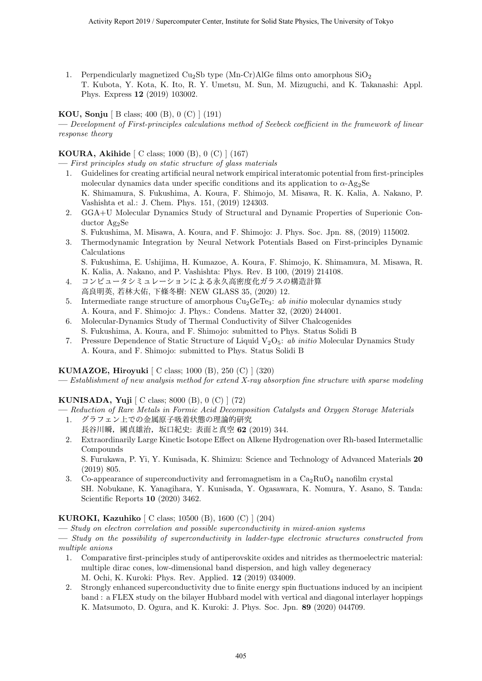1. Perpendicularly magnetized Cu<sub>2</sub>Sb type (Mn-Cr)AlGe films onto amorphous  $SiO<sub>2</sub>$ T. Kubota, Y. Kota, K. Ito, R. Y. Umetsu, M. Sun, M. Mizuguchi, and K. Takanashi: Appl. Phys. Express **12** (2019) 103002.

#### **KOU, Sonju** [ B class; 400 (B), 0 (C) ] (191)

**—** *Development of First-principles calculations method of Seebeck coefficient in the framework of linear response theory*

#### **KOURA, Akihide** [ C class; 1000 (B), 0 (C) ] (167)

**—** *First principles study on static structure of glass materials*

- 1. Guidelines for creating artificial neural network empirical interatomic potential from first-principles molecular dynamics data under specific conditions and its application to  $\alpha$ -Ag<sub>2</sub>Se K. Shimamura, S. Fukushima, A. Koura, F. Shimojo, M. Misawa, R. K. Kalia, A. Nakano, P. Vashishta et al.: J. Chem. Phys. 151, (2019) 124303.
- 2. GGA+U Molecular Dynamics Study of Structural and Dynamic Properties of Superionic Conductor Ag2Se

S. Fukushima, M. Misawa, A. Koura, and F. Shimojo: J. Phys. Soc. Jpn. 88, (2019) 115002.

3. Thermodynamic Integration by Neural Network Potentials Based on First-principles Dynamic Calculations

S. Fukushima, E. Ushijima, H. Kumazoe, A. Koura, F. Shimojo, K. Shimamura, M. Misawa, R. K. Kalia, A. Nakano, and P. Vashishta: Phys. Rev. B 100, (2019) 214108.

- 4. コンピュータシミュレーションによる永久高密度化ガラスの構造計算 高良明英, 若林大佑, 下條冬樹: NEW GLASS 35, (2020) 12.
- 5. Intermediate range structure of amorphous Cu2GeTe3: *ab initio* molecular dynamics study A. Koura, and F. Shimojo: J. Phys.: Condens. Matter 32, (2020) 244001.
- 6. Molecular-Dynamics Study of Thermal Conductivity of Silver Chalcogenides S. Fukushima, A. Koura, and F. Shimojo: submitted to Phys. Status Solidi B
- 7. Pressure Dependence of Static Structure of Liquid V2O5: *ab initio* Molecular Dynamics Study A. Koura, and F. Shimojo: submitted to Phys. Status Solidi B

#### **KUMAZOE, Hiroyuki** [ C class; 1000 (B), 250 (C) ] (320)

**—** *Establishment of new analysis method for extend X-ray absorption fine structure with sparse modeling*

### **KUNISADA, Yuji** [ C class; 8000 (B), 0 (C) ] (72)

- **—** *Reduction of Rare Metals in Formic Acid Decomposition Catalysts and Oxygen Storage Materials*
- 1. グラフェン上での金属原子吸着状態の理論的研究
	- 長谷川瞬,國貞雄治,坂口紀史: 表面と真空 **62** (2019) 344.
- 2. Extraordinarily Large Kinetic Isotope Effect on Alkene Hydrogenation over Rh-based Intermetallic Compounds

S. Furukawa, P. Yi, Y. Kunisada, K. Shimizu: Science and Technology of Advanced Materials **20** (2019) 805.

3. Co-appearance of superconductivity and ferromagnetism in a  $Ca<sub>2</sub>RuO<sub>4</sub>$  nanofilm crystal SH. Nobukane, K. Yanagihara, Y. Kunisada, Y. Ogasawara, K. Nomura, Y. Asano, S. Tanda: Scientific Reports **10** (2020) 3462.

#### **KUROKI, Kazuhiko** [ C class; 10500 (B), 1600 (C) ] (204)

**—** *Study on electron correlation and possible superconductivity in mixed-anion systems*

**—** *Study on the possibility of superconductivity in ladder-type electronic structures constructed from multiple anions*

- 1. Comparative first-principles study of antiperovskite oxides and nitrides as thermoelectric material: multiple dirac cones, low-dimensional band dispersion, and high valley degeneracy M. Ochi, K. Kuroki: Phys. Rev. Applied. **12** (2019) 034009.
- 2. Strongly enhanced superconductivity due to finite energy spin fluctuations induced by an incipient band : a FLEX study on the bilayer Hubbard model with vertical and diagonal interlayer hoppings K. Matsumoto, D. Ogura, and K. Kuroki: J. Phys. Soc. Jpn. **89** (2020) 044709.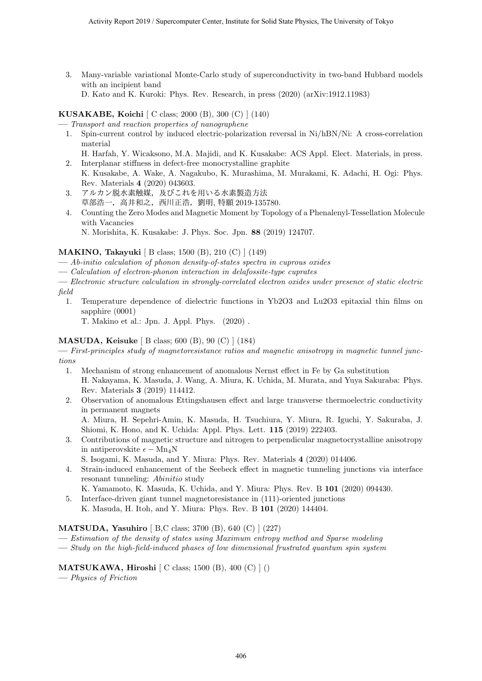3. Many-variable variational Monte-Carlo study of superconductivity in two-band Hubbard models with an incipient band

D. Kato and K. Kuroki: Phys. Rev. Research, in press (2020) (arXiv:1912.11983)

#### **KUSAKABE, Koichi** [ C class; 2000 (B), 300 (C) ] (140)

**—** *Transport and reaction properties of nanographene*

- 1. Spin-current control by induced electric-polarization reversal in Ni/hBN/Ni: A cross-correlation material
- H. Harfah, Y. Wicaksono, M.A. Majidi, and K. Kusakabe: ACS Appl. Elect. Materials, in press. 2. Interplanar stiffness in defect-free monocrystalline graphite
- K. Kusakabe, A. Wake, A. Nagakubo, K. Murashima, M. Murakami, K. Adachi, H. Ogi: Phys. Rev. Materials **4** (2020) 043603.
- 3. アルカン脱水素触媒,及びこれを用いる水素製造方法 草部浩一,高井和之,西川正浩,劉明, 特願 2019-135780.
- 4. Counting the Zero Modes and Magnetic Moment by Topology of a Phenalenyl-Tessellation Molecule with Vacancies

N. Morishita, K. Kusakabe: J. Phys. Soc. Jpn. **88** (2019) 124707.

#### **MAKINO, Takayuki** [ B class; 1500 (B), 210 (C) ] (149)

- **—** *Ab-initio calculation of phonon density-of-states spectra in cuprous oxides*
- **—** *Calculation of electron-phonon interaction in delafossite-type cuprates*

**—** *Electronic structure calculation in strongly-correlated electron oxides under presence of static electric field*

1. Temperature dependence of dielectric functions in Yb2O3 and Lu2O3 epitaxial thin films on sapphire (0001)

T. Makino et al.: Jpn. J. Appl. Phys. (2020) .

#### **MASUDA, Keisuke** [ B class; 600 (B), 90 (C) ] (184)

**—** *First-principles study of magnetoresistance ratios and magnetic anisotropy in magnetic tunnel junctions*

- 1. Mechanism of strong enhancement of anomalous Nernst effect in Fe by Ga substitution H. Nakayama, K. Masuda, J. Wang, A. Miura, K. Uchida, M. Murata, and Yuya Sakuraba: Phys. Rev. Materials **3** (2019) 114412.
- 2. Observation of anomalous Ettingshausen effect and large transverse thermoelectric conductivity in permanent magnets

A. Miura, H. Sepehri-Amin, K. Masuda, H. Tsuchiura, Y. Miura, R. Iguchi, Y. Sakuraba, J. Shiomi, K. Hono, and K. Uchida: Appl. Phys. Lett. **115** (2019) 222403.

- 3. Contributions of magnetic structure and nitrogen to perpendicular magnetocrystalline anisotropy in antiperovskite  $\epsilon - Mn_4N$ 
	- S. Isogami, K. Masuda, and Y. Miura: Phys. Rev. Materials **4** (2020) 014406.
- 4. Strain-induced enhancement of the Seebeck effect in magnetic tunneling junctions via interface resonant tunneling: *Abinitio* study
	- K. Yamamoto, K. Masuda, K. Uchida, and Y. Miura: Phys. Rev. B **101** (2020) 094430.
- 5. Interface-driven giant tunnel magnetoresistance in (111)-oriented junctions K. Masuda, H. Itoh, and Y. Miura: Phys. Rev. B **101** (2020) 144404.

#### **MATSUDA, Yasuhiro** [ B,C class; 3700 (B), 640 (C) ] (227)

- **—** *Estimation of the density of states using Maximum entropy method and Sparse modeling*
- **—** *Study on the high-field-induced phases of low dimensional frustrated quantum spin system*

#### **MATSUKAWA, Hiroshi** [ C class; 1500 (B), 400 (C) ] ()

**—** *Physics of Friction*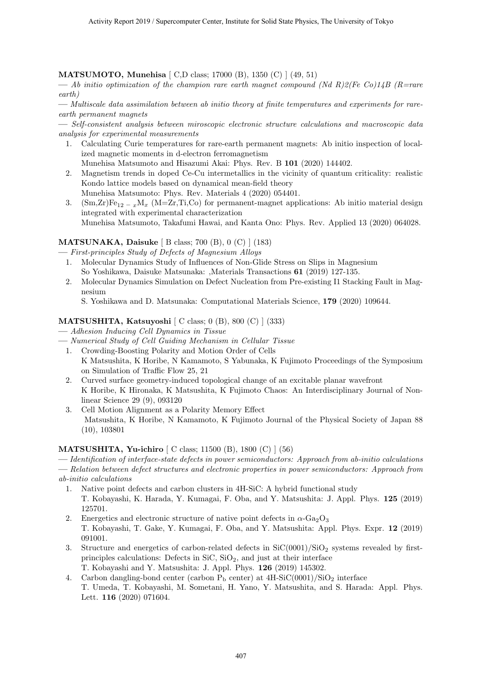#### **MATSUMOTO, Munehisa** [ C,D class; 17000 (B), 1350 (C) ] (49, 51)

**—** *Ab initio optimization of the champion rare earth magnet compound (Nd R)2(Fe Co)14B (R=rare earth)*

**—** *Multiscale data assimilation between ab initio theory at finite temperatures and experiments for rareearth permanent magnets*

**—** *Self-consistent analysis between miroscopic electronic structure calculations and macroscopic data analysis for experimental measurements*

1. Calculating Curie temperatures for rare-earth permanent magnets: Ab initio inspection of localized magnetic moments in d-electron ferromagnetism

Munehisa Matsumoto and Hisazumi Akai: Phys. Rev. B **101** (2020) 144402.

- 2. Magnetism trends in doped Ce-Cu intermetallics in the vicinity of quantum criticality: realistic Kondo lattice models based on dynamical mean-field theory Munehisa Matsumoto: Phys. Rev. Materials 4 (2020) 054401.
- 3.  $(Sm,Zr)Fe_{12-x}M_x$  (M=Zr,Ti,Co) for permanent-magnet applications: Ab initio material design integrated with experimental characterization Munehisa Matsumoto, Takafumi Hawai, and Kanta Ono: Phys. Rev. Applied 13 (2020) 064028.

#### **MATSUNAKA, Daisuke** [ B class; 700 (B), 0 (C) ] (183)

**—** *First-principles Study of Defects of Magnesium Alloys*

- 1. Molecular Dynamics Study of Influences of Non-Glide Stress on Slips in Magnesium So Yoshikawa, Daisuke Matsunaka: ,Materials Transactions **61** (2019) 127-135.
- 2. Molecular Dynamics Simulation on Defect Nucleation from Pre-existing I1 Stacking Fault in Magnesium
	- S. Yoshikawa and D. Matsunaka: Computational Materials Science, **179** (2020) 109644.

#### **MATSUSHITA, Katsuyoshi** [ C class; 0 (B), 800 (C) ] (333)

- **—** *Adhesion Inducing Cell Dynamics in Tissue*
- **—** *Numerical Study of Cell Guiding Mechanism in Cellular Tissue*
- 1. Crowding-Boosting Polarity and Motion Order of Cells K Matsushita, K Horibe, N Kamamoto, S Yabunaka, K Fujimoto Proceedings of the Symposium on Simulation of Traffic Flow 25, 21
- 2. Curved surface geometry-induced topological change of an excitable planar wavefront K Horibe, K Hironaka, K Matsushita, K Fujimoto Chaos: An Interdisciplinary Journal of Nonlinear Science 29 (9), 093120
- 3. Cell Motion Alignment as a Polarity Memory Effect Matsushita, K Horibe, N Kamamoto, K Fujimoto Journal of the Physical Society of Japan 88 (10), 103801

#### **MATSUSHITA, Yu-ichiro** [ C class; 11500 (B), 1800 (C) ] (56)

**—** *Identification of interface-state defects in power semiconductors: Approach from ab-initio calculations* **—** *Relation between defect structures and electronic properties in power semiconductors: Approach from ab-initio calculations*

- 1. Native point defects and carbon clusters in 4H-SiC: A hybrid functional study T. Kobayashi, K. Harada, Y. Kumagai, F. Oba, and Y. Matsushita: J. Appl. Phys. **125** (2019) 125701.
- 2. Energetics and electronic structure of native point defects in  $\alpha$ -Ga<sub>2</sub>O<sub>3</sub> T. Kobayashi, T. Gake, Y. Kumagai, F. Oba, and Y. Matsushita: Appl. Phys. Expr. **12** (2019) 091001.
- 3. Structure and energetics of carbon-related defects in  $SiC(0001)/SiO<sub>2</sub>$  systems revealed by firstprinciples calculations: Defects in  $\text{SiC}, \text{SiO}_2$ , and just at their interface T. Kobayashi and Y. Matsushita: J. Appl. Phys. **126** (2019) 145302.
- 4. Carbon dangling-bond center (carbon  $P_b$  center) at  $4H-SiC(0001)/SiO_2$  interface T. Umeda, T. Kobayashi, M. Sometani, H. Yano, Y. Matsushita, and S. Harada: Appl. Phys. Lett. **116** (2020) 071604.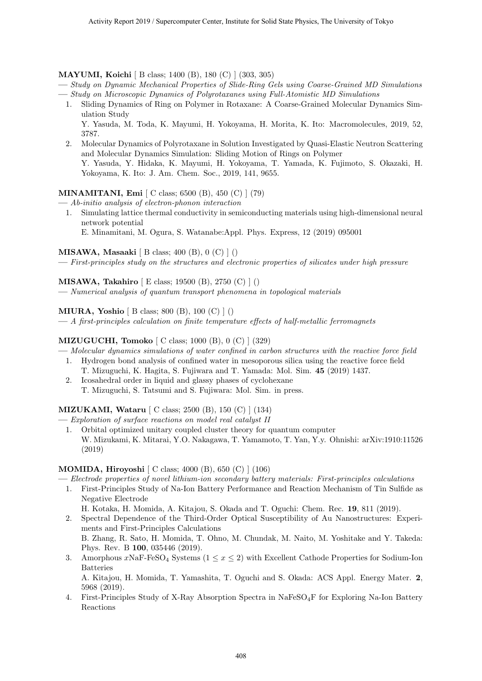#### **MAYUMI, Koichi** [ B class; 1400 (B), 180 (C) ] (303, 305)

- **—** *Study on Dynamic Mechanical Properties of Slide-Ring Gels using Coarse-Grained MD Simulations* **—** *Study on Microscopic Dynamics of Polyrotaxanes using Full-Atomistic MD Simulations*
- 1. Sliding Dynamics of Ring on Polymer in Rotaxane: A Coarse-Grained Molecular Dynamics Simulation Study Y. Yasuda, M. Toda, K. Mayumi, H. Yokoyama, H. Morita, K. Ito: Macromolecules, 2019, 52, 3787.
- 2. Molecular Dynamics of Polyrotaxane in Solution Investigated by Quasi-Elastic Neutron Scattering and Molecular Dynamics Simulation: Sliding Motion of Rings on Polymer Y. Yasuda, Y. Hidaka, K. Mayumi, H. Yokoyama, T. Yamada, K. Fujimoto, S. Okazaki, H. Yokoyama, K. Ito: J. Am. Chem. Soc., 2019, 141, 9655.

#### **MINAMITANI, Emi** [ C class; 6500 (B), 450 (C) ] (79)

**—** *Ab-initio analysis of electron-phonon interaction*

1. Simulating lattice thermal conductivity in semiconducting materials using high-dimensional neural network potential

E. Minamitani, M. Ogura, S. Watanabe:Appl. Phys. Express, 12 (2019) 095001

**MISAWA, Masaaki** [ B class; 400 (B), 0 (C) ] ()

**—** *First-principles study on the structures and electronic properties of silicates under high pressure*

**MISAWA, Takahiro** [ E class; 19500 (B), 2750 (C) ] ()

**—** *Numerical analysis of quantum transport phenomena in topological materials*

**MIURA, Yoshio** [ B class; 800 (B), 100 (C) ] ()

**—** *A first-principles calculation on finite temperature effects of half-metallic ferromagnets*

#### **MIZUGUCHI, Tomoko** [ C class; 1000 (B), 0 (C) ] (329)

- **—** *Molecular dynamics simulations of water confined in carbon structures with the reactive force field* 1. Hydrogen bond analysis of confined water in mesoporous silica using the reactive force field
	- T. Mizuguchi, K. Hagita, S. Fujiwara and T. Yamada: Mol. Sim. **45** (2019) 1437.
	- 2. Icosahedral order in liquid and glassy phases of cyclohexane T. Mizuguchi, S. Tatsumi and S. Fujiwara: Mol. Sim. in press.

#### **MIZUKAMI, Wataru** [ C class; 2500 (B), 150 (C) ] (134)

- **—** *Exploration of surface reactions on model real catalyst II*
	- 1. Orbital optimized unitary coupled cluster theory for quantum computer W. Mizukami, K. Mitarai, Y.O. Nakagawa, T. Yamamoto, T. Yan, Y.y. Ohnishi: arXiv:1910:11526 (2019)

#### **MOMIDA, Hiroyoshi** [ C class; 4000 (B), 650 (C) ] (106)

- **—** *Electrode properties of novel lithium-ion secondary battery materials: First-principles calculations*
- 1. First-Principles Study of Na-Ion Battery Performance and Reaction Mechanism of Tin Sulfide as Negative Electrode
- H. Kotaka, H. Momida, A. Kitajou, S. Okada and T. Oguchi: Chem. Rec. **19**, 811 (2019).
- 2. Spectral Dependence of the Third-Order Optical Susceptibility of Au Nanostructures: Experiments and First-Principles Calculations

B. Zhang, R. Sato, H. Momida, T. Ohno, M. Chundak, M. Naito, M. Yoshitake and Y. Takeda: Phys. Rev. B **100**, 035446 (2019).

3. Amorphous  $x\text{NaF-FeSO}_4$  Systems  $(1 \leq x \leq 2)$  with Excellent Cathode Properties for Sodium-Ion Batteries

A. Kitajou, H. Momida, T. Yamashita, T. Oguchi and S. Okada: ACS Appl. Energy Mater. **2**, 5968 (2019).

4. First-Principles Study of X-Ray Absorption Spectra in NaFeSO4F for Exploring Na-Ion Battery Reactions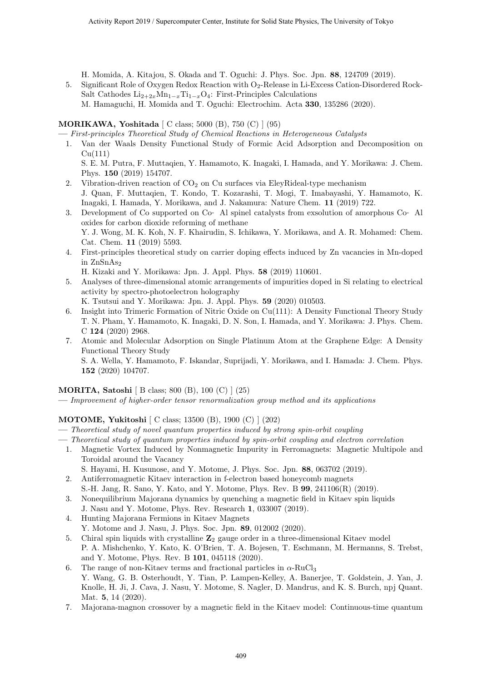H. Momida, A. Kitajou, S. Okada and T. Oguchi: J. Phys. Soc. Jpn. **88**, 124709 (2019).

5. Significant Role of Oxygen Redox Reaction with O<sub>2</sub>-Release in Li-Excess Cation-Disordered Rock-Salt Cathodes  $Li_{2+2x}Mn_{1-x}Ti_{1-x}O_4$ : First-Principles Calculations M. Hamaguchi, H. Momida and T. Oguchi: Electrochim. Acta **330**, 135286 (2020).

#### **MORIKAWA, Yoshitada** [ C class; 5000 (B), 750 (C) ] (95)

**—** *First-principles Theoretical Study of Chemical Reactions in Heterogeneous Catalysts*

1. Van der Waals Density Functional Study of Formic Acid Adsorption and Decomposition on  $Cu(111)$ 

S. E. M. Putra, F. Muttaqien, Y. Hamamoto, K. Inagaki, I. Hamada, and Y. Morikawa: J. Chem. Phys. **150** (2019) 154707.

- 2. Vibration-driven reaction of  $CO<sub>2</sub>$  on Cu surfaces via EleyRideal-type mechanism
- J. Quan, F. Muttaqien, T. Kondo, T. Kozarashi, T. Mogi, T. Imabayashi, Y. Hamamoto, K. Inagaki, I. Hamada, Y. Morikawa, and J. Nakamura: Nature Chem. **11** (2019) 722.
- 3. Development of Co supported on Co‐ Al spinel catalysts from exsolution of amorphous Co‐ Al oxides for carbon dioxide reforming of methane Y. J. Wong, M. K. Koh, N. F. Khairudin, S. Ichikawa, Y. Morikawa, and A. R. Mohamed: Chem. Cat. Chem. **11** (2019) 5593.
- 4. First-principles theoretical study on carrier doping effects induced by Zn vacancies in Mn-doped in ZnSnAs<sup>2</sup>
	- H. Kizaki and Y. Morikawa: Jpn. J. Appl. Phys. **58** (2019) 110601.
- 5. Analyses of three-dimensional atomic arrangements of impurities doped in Si relating to electrical activity by spectro-photoelectron holography

K. Tsutsui and Y. Morikawa: Jpn. J. Appl. Phys. **59** (2020) 010503.

- 6. Insight into Trimeric Formation of Nitric Oxide on Cu(111): A Density Functional Theory Study T. N. Pham, Y. Hamamoto, K. Inagaki, D. N. Son, I. Hamada, and Y. Morikawa: J. Phys. Chem. C **124** (2020) 2968.
- 7. Atomic and Molecular Adsorption on Single Platinum Atom at the Graphene Edge: A Density Functional Theory Study

S. A. Wella, Y. Hamamoto, F. Iskandar, Suprijadi, Y. Morikawa, and I. Hamada: J. Chem. Phys. **152** (2020) 104707.

#### **MORITA, Satoshi** [ B class; 800 (B), 100 (C) ] (25)

**—** *Improvement of higher-order tensor renormalization group method and its applications*

#### **MOTOME, Yukitoshi** [ C class; 13500 (B), 1900 (C) ] (202)

- **—** *Theoretical study of novel quantum properties induced by strong spin-orbit coupling*
- **—** *Theoretical study of quantum properties induced by spin-orbit coupling and electron correlation*
- 1. Magnetic Vortex Induced by Nonmagnetic Impurity in Ferromagnets: Magnetic Multipole and Toroidal around the Vacancy
- S. Hayami, H. Kusunose, and Y. Motome, J. Phys. Soc. Jpn. **88**, 063702 (2019). 2. Antiferromagnetic Kitaev interaction in f-electron based honeycomb magnets
- S.-H. Jang, R. Sano, Y. Kato, and Y. Motome, Phys. Rev. B **99**, 241106(R) (2019).
- 3. Nonequilibrium Majorana dynamics by quenching a magnetic field in Kitaev spin liquids J. Nasu and Y. Motome, Phys. Rev. Research **1**, 033007 (2019).
- 4. Hunting Majorana Fermions in Kitaev Magnets
	- Y. Motome and J. Nasu, J. Phys. Soc. Jpn. **89**, 012002 (2020).
- 5. Chiral spin liquids with crystalline **Z**<sup>2</sup> gauge order in a three-dimensional Kitaev model P. A. Mishchenko, Y. Kato, K. O'Brien, T. A. Bojesen, T. Eschmann, M. Hermanns, S. Trebst, and Y. Motome, Phys. Rev. B **101**, 045118 (2020).
- 6. The range of non-Kitaev terms and fractional particles in  $\alpha$ -RuCl<sub>3</sub> Y. Wang, G. B. Osterhoudt, Y. Tian, P. Lampen-Kelley, A. Banerjee, T. Goldstein, J. Yan, J. Knolle, H. Ji, J. Cava, J. Nasu, Y. Motome, S. Nagler, D. Mandrus, and K. S. Burch, npj Quant. Mat. **5**, 14 (2020).
- 7. Majorana-magnon crossover by a magnetic field in the Kitaev model: Continuous-time quantum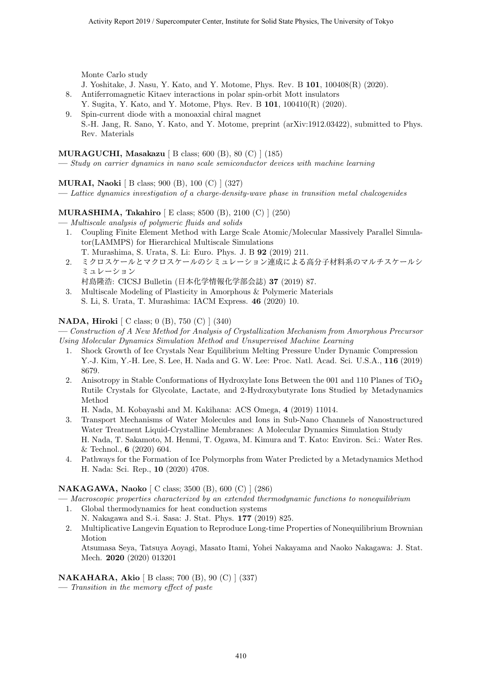Monte Carlo study

- J. Yoshitake, J. Nasu, Y. Kato, and Y. Motome, Phys. Rev. B **101**, 100408(R) (2020).
- 8. Antiferromagnetic Kitaev interactions in polar spin-orbit Mott insulators Y. Sugita, Y. Kato, and Y. Motome, Phys. Rev. B **101**, 100410(R) (2020).
- 9. Spin-current diode with a monoaxial chiral magnet S.-H. Jang, R. Sano, Y. Kato, and Y. Motome, preprint (arXiv:1912.03422), submitted to Phys. Rev. Materials

#### **MURAGUCHI, Masakazu** [ B class; 600 (B), 80 (C) ] (185)

**—** *Study on carrier dynamics in nano scale semiconductor devices with machine learning*

#### **MURAI, Naoki** [ B class; 900 (B), 100 (C) ] (327)

**—** *Lattice dynamics investigation of a charge-density-wave phase in transition metal chalcogenides*

#### **MURASHIMA, Takahiro** [ E class; 8500 (B), 2100 (C) ] (250)

- **—** *Multiscale analysis of polymeric fluids and solids*
	- 1. Coupling Finite Element Method with Large Scale Atomic/Molecular Massively Parallel Simulator(LAMMPS) for Hierarchical Multiscale Simulations T. Murashima, S. Urata, S. Li: Euro. Phys. J. B **92** (2019) 211.
	- 2. ミクロスケールとマクロスケールのシミュレーション連成による高分子材料系のマルチスケールシ ミュレーション
	- 村島隆浩: CICSJ Bulletin (日本化学情報化学部会誌) **37** (2019) 87. 3. Multiscale Modeling of Plasticity in Amorphous & Polymeric Materials
		- S. Li, S. Urata, T. Murashima: IACM Express. **46** (2020) 10.

#### **NADA, Hiroki** [ C class; 0 (B), 750 (C) ] (340)

**—** *Construction of A New Method for Analysis of Crystallization Mechanism from Amorphous Precursor Using Molecular Dynamics Simulation Method and Unsupervised Machine Learning*

- 1. Shock Growth of Ice Crystals Near Equilibrium Melting Pressure Under Dynamic Compression Y.-J. Kim, Y.-H. Lee, S. Lee, H. Nada and G. W. Lee: Proc. Natl. Acad. Sci. U.S.A., **116** (2019) 8679.
- 2. Anisotropy in Stable Conformations of Hydroxylate Ions Between the 001 and 110 Planes of TiO<sub>2</sub> Rutile Crystals for Glycolate, Lactate, and 2-Hydroxybutyrate Ions Studied by Metadynamics Method

H. Nada, M. Kobayashi and M. Kakihana: ACS Omega, **4** (2019) 11014.

- 3. Transport Mechanisms of Water Molecules and Ions in Sub-Nano Channels of Nanostructured Water Treatment Liquid-Crystalline Membranes: A Molecular Dynamics Simulation Study H. Nada, T. Sakamoto, M. Henmi, T. Ogawa, M. Kimura and T. Kato: Environ. Sci.: Water Res. & Technol., **6** (2020) 604.
- 4. Pathways for the Formation of Ice Polymorphs from Water Predicted by a Metadynamics Method H. Nada: Sci. Rep., **10** (2020) 4708.

#### **NAKAGAWA, Naoko** [ C class; 3500 (B), 600 (C) ] (286)

**—** *Macroscopic properties characterized by an extended thermodynamic functions to nonequilibrium*

- 1. Global thermodynamics for heat conduction systems N. Nakagawa and S.-i. Sasa: J. Stat. Phys. **177** (2019) 825.
- 2. Multiplicative Langevin Equation to Reproduce Long-time Properties of Nonequilibrium Brownian Motion

Atsumasa Seya, Tatsuya Aoyagi, Masato Itami, Yohei Nakayama and Naoko Nakagawa: J. Stat. Mech. **2020** (2020) 013201

#### **NAKAHARA, Akio** [ B class; 700 (B), 90 (C) ] (337)

**—** *Transition in the memory effect of paste*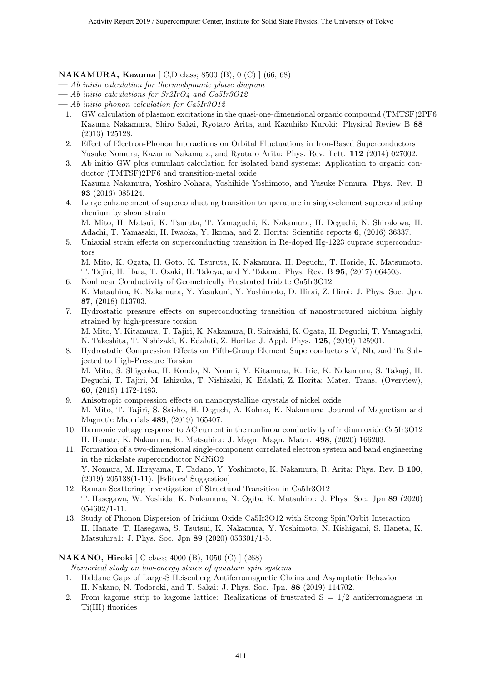**NAKAMURA, Kazuma** [ C,D class; 8500 (B), 0 (C) ] (66, 68)

- **—** *Ab initio calculation for thermodynamic phase diagram*
- **—** *Ab initio calculations for Sr2IrO4 and Ca5Ir3O12*
- **—** *Ab initio phonon calculation for Ca5Ir3O12*
	- 1. GW calculation of plasmon excitations in the quasi-one-dimensional organic compound (TMTSF)2PF6 Kazuma Nakamura, Shiro Sakai, Ryotaro Arita, and Kazuhiko Kuroki: Physical Review B **88** (2013) 125128.
	- 2. Effect of Electron-Phonon Interactions on Orbital Fluctuations in Iron-Based Superconductors Yusuke Nomura, Kazuma Nakamura, and Ryotaro Arita: Phys. Rev. Lett. **112** (2014) 027002.
	- 3. Ab initio GW plus cumulant calculation for isolated band systems: Application to organic conductor (TMTSF)2PF6 and transition-metal oxide Kazuma Nakamura, Yoshiro Nohara, Yoshihide Yoshimoto, and Yusuke Nomura: Phys. Rev. B **93** (2016) 085124.
	- 4. Large enhancement of superconducting transition temperature in single-element superconducting rhenium by shear strain

M. Mito, H. Matsui, K. Tsuruta, T. Yamaguchi, K. Nakamura, H. Deguchi, N. Shirakawa, H. Adachi, T. Yamasaki, H. Iwaoka, Y. Ikoma, and Z. Horita: Scientific reports **6**, (2016) 36337.

5. Uniaxial strain effects on superconducting transition in Re-doped Hg-1223 cuprate superconductors

M. Mito, K. Ogata, H. Goto, K. Tsuruta, K. Nakamura, H. Deguchi, T. Horide, K. Matsumoto, T. Tajiri, H. Hara, T. Ozaki, H. Takeya, and Y. Takano: Phys. Rev. B **95**, (2017) 064503.

- 6. Nonlinear Conductivity of Geometrically Frustrated Iridate Ca5Ir3O12 K. Matsuhira, K. Nakamura, Y. Yasukuni, Y. Yoshimoto, D. Hirai, Z. Hiroi: J. Phys. Soc. Jpn. **87**, (2018) 013703.
- 7. Hydrostatic pressure effects on superconducting transition of nanostructured niobium highly strained by high-pressure torsion M. Mito, Y. Kitamura, T. Tajiri, K. Nakamura, R. Shiraishi, K. Ogata, H. Deguchi, T. Yamaguchi, N. Takeshita, T. Nishizaki, K. Edalati, Z. Horita: J. Appl. Phys. **125**, (2019) 125901.
- 8. Hydrostatic Compression Effects on Fifth-Group Element Superconductors V, Nb, and Ta Subjected to High-Pressure Torsion M. Mito, S. Shigeoka, H. Kondo, N. Noumi, Y. Kitamura, K. Irie, K. Nakamura, S. Takagi, H. Deguchi, T. Tajiri, M. Ishizuka, T. Nishizaki, K. Edalati, Z. Horita: Mater. Trans. (Overview), **60**, (2019) 1472-1483.
- 9. Anisotropic compression effects on nanocrystalline crystals of nickel oxide M. Mito, T. Tajiri, S. Saisho, H. Deguch, A. Kohno, K. Nakamura: Journal of Magnetism and Magnetic Materials **489**, (2019) 165407.
- 10. Harmonic voltage response to AC current in the nonlinear conductivity of iridium oxide Ca5Ir3O12 H. Hanate, K. Nakamura, K. Matsuhira: J. Magn. Magn. Mater. **498**, (2020) 166203.
- 11. Formation of a two-dimensional single-component correlated electron system and band engineering in the nickelate superconductor NdNiO2 Y. Nomura, M. Hirayama, T. Tadano, Y. Yoshimoto, K. Nakamura, R. Arita: Phys. Rev. B **100**, (2019) 205138(1-11). [Editors' Suggestion]
- 12. Raman Scattering Investigation of Structural Transition in Ca5Ir3O12 T. Hasegawa, W. Yoshida, K. Nakamura, N. Ogita, K. Matsuhira: J. Phys. Soc. Jpn **89** (2020) 054602/1-11.
- 13. Study of Phonon Dispersion of Iridium Oxide Ca5Ir3O12 with Strong Spin?Orbit Interaction H. Hanate, T. Hasegawa, S. Tsutsui, K. Nakamura, Y. Yoshimoto, N. Kishigami, S. Haneta, K. Matsuhira1: J. Phys. Soc. Jpn **89** (2020) 053601/1-5.

#### **NAKANO, Hiroki** [ C class; 4000 (B), 1050 (C) ] (268)

**—** *Numerical study on low-energy states of quantum spin systems*

- 1. Haldane Gaps of Large-S Heisenberg Antiferromagnetic Chains and Asymptotic Behavior H. Nakano, N. Todoroki, and T. Sakai: J. Phys. Soc. Jpn. **88** (2019) 114702.
- 2. From kagome strip to kagome lattice: Realizations of frustrated  $S = 1/2$  antiferromagnets in Ti(III) fluorides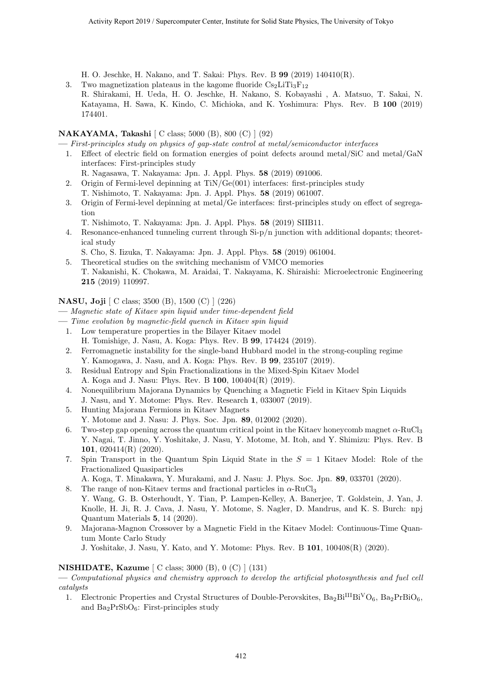H. O. Jeschke, H. Nakano, and T. Sakai: Phys. Rev. B **99** (2019) 140410(R).

3. Two magnetization plateaus in the kagome fluoride  $Cs<sub>2</sub>LiTi<sub>3</sub>F<sub>12</sub>$ R. Shirakami, H. Ueda, H. O. Jeschke, H. Nakano, S. Kobayashi , A. Matsuo, T. Sakai, N. Katayama, H. Sawa, K. Kindo, C. Michioka, and K. Yoshimura: Phys. Rev. B **100** (2019) 174401.

#### **NAKAYAMA, Takashi** [ C class; 5000 (B), 800 (C) ] (92)

**—** *First-principles study on physics of gap-state control at metal/semiconductor interfaces*

- 1. Effect of electric field on formation energies of point defects around metal/SiC and metal/GaN interfaces: First-principles study
	- R. Nagasawa, T. Nakayama: Jpn. J. Appl. Phys. **58** (2019) 091006.
- 2. Origin of Fermi-level depinning at TiN/Ge(001) interfaces: first-principles study T. Nishimoto, T. Nakayama: Jpn. J. Appl. Phys. **58** (2019) 061007.
- 3. Origin of Fermi-level depinning at metal/Ge interfaces: first-principles study on effect of segregation
	- T. Nishimoto, T. Nakayama: Jpn. J. Appl. Phys. **58** (2019) SIIB11.
- 4. Resonance-enhanced tunneling current through Si-p/n junction with additional dopants; theoretical study
	- S. Cho, S. Iizuka, T. Nakayama: Jpn. J. Appl. Phys. **58** (2019) 061004.
- 5. Theoretical studies on the switching mechanism of VMCO memories T. Nakanishi, K. Chokawa, M. Araidai, T. Nakayama, K. Shiraishi: Microelectronic Engineering **215** (2019) 110997.

#### **NASU, Joji** [ C class; 3500 (B), 1500 (C) ] (226)

- **—** *Magnetic state of Kitaev spin liquid under time-dependent field*
- **—** *Time evolution by magnetic-field quench in Kitaev spin liquid*
	- 1. Low temperature properties in the Bilayer Kitaev model H. Tomishige, J. Nasu, A. Koga: Phys. Rev. B **99**, 174424 (2019).
	- 2. Ferromagnetic instability for the single-band Hubbard model in the strong-coupling regime Y. Kamogawa, J. Nasu, and A. Koga: Phys. Rev. B **99**, 235107 (2019).
	- 3. Residual Entropy and Spin Fractionalizations in the Mixed-Spin Kitaev Model
	- A. Koga and J. Nasu: Phys. Rev. B **100**, 100404(R) (2019).
	- 4. Nonequilibrium Majorana Dynamics by Quenching a Magnetic Field in Kitaev Spin Liquids J. Nasu, and Y. Motome: Phys. Rev. Research **1**, 033007 (2019).
	- 5. Hunting Majorana Fermions in Kitaev Magnets
	- Y. Motome and J. Nasu: J. Phys. Soc. Jpn. **89**, 012002 (2020).
	- 6. Two-step gap opening across the quantum critical point in the Kitaev honeycomb magnet  $\alpha$ -RuCl<sub>3</sub> Y. Nagai, T. Jinno, Y. Yoshitake, J. Nasu, Y. Motome, M. Itoh, and Y. Shimizu: Phys. Rev. B **101**, 020414(R) (2020).
	- 7. Spin Transport in the Quantum Spin Liquid State in the *S* = 1 Kitaev Model: Role of the Fractionalized Quasiparticles

A. Koga, T. Minakawa, Y. Murakami, and J. Nasu: J. Phys. Soc. Jpn. **89**, 033701 (2020).

- 8. The range of non-Kitaev terms and fractional particles in *α*-RuCl<sup>3</sup> Y. Wang, G. B. Osterhoudt, Y. Tian, P. Lampen-Kelley, A. Banerjee, T. Goldstein, J. Yan, J. Knolle, H. Ji, R. J. Cava, J. Nasu, Y. Motome, S. Nagler, D. Mandrus, and K. S. Burch: npj Quantum Materials **5**, 14 (2020).
- 9. Majorana-Magnon Crossover by a Magnetic Field in the Kitaev Model: Continuous-Time Quantum Monte Carlo Study

J. Yoshitake, J. Nasu, Y. Kato, and Y. Motome: Phys. Rev. B **101**, 100408(R) (2020).

#### **NISHIDATE, Kazume** [ C class; 3000 (B), 0 (C) ] (131)

**—** *Computational physics and chemistry approach to develop the artificial photosynthesis and fuel cell catalysts*

1. Electronic Properties and Crystal Structures of Double-Perovskites,  $Ba_2Bi^{III}Bi^{V}O_6$ ,  $Ba_2PrBiO_6$ , and  $Ba<sub>2</sub>PrSbO<sub>6</sub>$ : First-principles study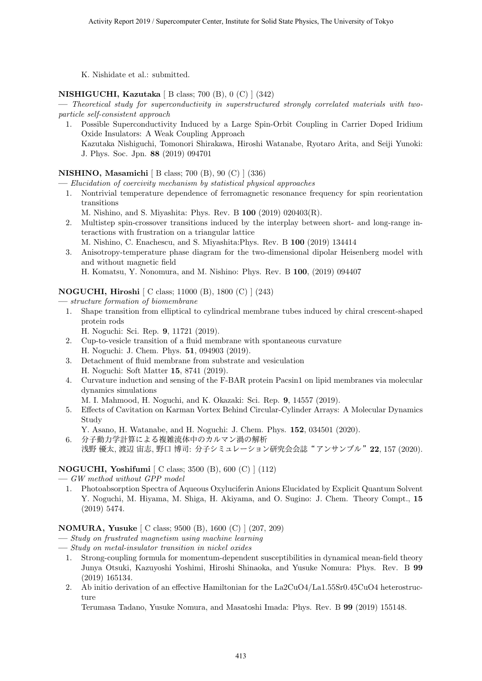K. Nishidate et al.: submitted.

#### **NISHIGUCHI, Kazutaka** [ B class; 700 (B), 0 (C) ] (342)

**—** *Theoretical study for superconductivity in superstructured strongly correlated materials with twoparticle self-consistent approach*

1. Possible Superconductivity Induced by a Large Spin-Orbit Coupling in Carrier Doped Iridium Oxide Insulators: A Weak Coupling Approach Kazutaka Nishiguchi, Tomonori Shirakawa, Hiroshi Watanabe, Ryotaro Arita, and Seiji Yunoki: J. Phys. Soc. Jpn. **88** (2019) 094701

#### **NISHINO, Masamichi** [ B class; 700 (B), 90 (C) ] (336)

**—** *Elucidation of coercivity mechanism by statistical physical approaches*

- 1. Nontrivial temperature dependence of ferromagnetic resonance frequency for spin reorientation transitions
	- M. Nishino, and S. Miyashita: Phys. Rev. B **100** (2019) 020403(R).
- 2. Multistep spin-crossover transitions induced by the interplay between short- and long-range interactions with frustration on a triangular lattice
- M. Nishino, C. Enachescu, and S. Miyashita:Phys. Rev. B **100** (2019) 134414 3. Anisotropy-temperature phase diagram for the two-dimensional dipolar Heisenberg model with and without magnetic field

H. Komatsu, Y. Nonomura, and M. Nishino: Phys. Rev. B **100**, (2019) 094407

#### **NOGUCHI, Hiroshi** [ C class; 11000 (B), 1800 (C) ] (243)

**—** *structure formation of biomembrane*

- 1. Shape transition from elliptical to cylindrical membrane tubes induced by chiral crescent-shaped protein rods
	- H. Noguchi: Sci. Rep. **9**, 11721 (2019).
- 2. Cup-to-vesicle transition of a fluid membrane with spontaneous curvature H. Noguchi: J. Chem. Phys. **51**, 094903 (2019).
- 3. Detachment of fluid membrane from substrate and vesiculation H. Noguchi: Soft Matter **15**, 8741 (2019).
- 4. Curvature induction and sensing of the F-BAR protein Pacsin1 on lipid membranes via molecular dynamics simulations
	- M. I. Mahmood, H. Noguchi, and K. Okazaki: Sci. Rep. **9**, 14557 (2019).
- 5. Effects of Cavitation on Karman Vortex Behind Circular-Cylinder Arrays: A Molecular Dynamics Study
- Y. Asano, H. Watanabe, and H. Noguchi: J. Chem. Phys. **152**, 034501 (2020).
- 6. 分子動力学計算による複雑流体中のカルマン渦の解析 浅野 優太, 渡辺 宙志, 野口 博司: 分子シミュレーション研究会会誌"アンサンブル"**22**, 157 (2020).

#### **NOGUCHI, Yoshifumi** [ C class; 3500 (B), 600 (C) ] (112)

- **—** *GW method without GPP model*
- 1. Photoabsorption Spectra of Aqueous Oxyluciferin Anions Elucidated by Explicit Quantum Solvent Y. Noguchi, M. Hiyama, M. Shiga, H. Akiyama, and O. Sugino: J. Chem. Theory Compt., **15** (2019) 5474.

#### **NOMURA, Yusuke** [ C class; 9500 (B), 1600 (C) ] (207, 209)

- **—** *Study on frustrated magnetism using machine learning*
- **—** *Study on metal-insulator transition in nickel oxides*
- 1. Strong-coupling formula for momentum-dependent susceptibilities in dynamical mean-field theory Junya Otsuki, Kazuyoshi Yoshimi, Hiroshi Shinaoka, and Yusuke Nomura: Phys. Rev. B **99** (2019) 165134.
- 2. Ab initio derivation of an effective Hamiltonian for the La2CuO4/La1.55Sr0.45CuO4 heterostructure

Terumasa Tadano, Yusuke Nomura, and Masatoshi Imada: Phys. Rev. B **99** (2019) 155148.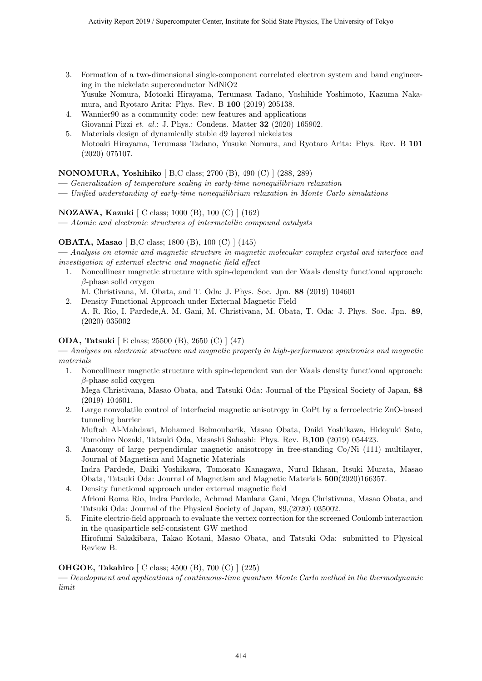- 3. Formation of a two-dimensional single-component correlated electron system and band engineering in the nickelate superconductor NdNiO2 Yusuke Nomura, Motoaki Hirayama, Terumasa Tadano, Yoshihide Yoshimoto, Kazuma Nakamura, and Ryotaro Arita: Phys. Rev. B **100** (2019) 205138.
- 4. Wannier90 as a community code: new features and applications Giovanni Pizzi *et. al.*: J. Phys.: Condens. Matter **32** (2020) 165902.
- 5. Materials design of dynamically stable d9 layered nickelates Motoaki Hirayama, Terumasa Tadano, Yusuke Nomura, and Ryotaro Arita: Phys. Rev. B **101** (2020) 075107.

#### **NONOMURA, Yoshihiko** [ B,C class; 2700 (B), 490 (C) ] (288, 289)

- **—** *Generalization of temperature scaling in early-time nonequilibrium relaxation*
- **—** *Unified understanding of early-time nonequilibrium relaxation in Monte Carlo simulations*

#### **NOZAWA, Kazuki** [ C class; 1000 (B), 100 (C) ] (162)

**—** *Atomic and electronic structures of intermetallic compound catalysts*

#### **OBATA, Masao** [ B,C class; 1800 (B), 100 (C) ] (145)

**—** *Analysis on atomic and magnetic structure in magnetic molecular complex crystal and interface and investigation of external electric and magnetic field effect*

1. Noncollinear magnetic structure with spin-dependent van der Waals density functional approach: *β*-phase solid oxygen

M. Christivana, M. Obata, and T. Oda: J. Phys. Soc. Jpn. **88** (2019) 104601

2. Density Functional Approach under External Magnetic Field A. R. Rio, I. Pardede,A. M. Gani, M. Christivana, M. Obata, T. Oda: J. Phys. Soc. Jpn. **89**, (2020) 035002

#### **ODA, Tatsuki** [ E class; 25500 (B), 2650 (C) ] (47)

**—** *Analyses on electronic structure and magnetic property in high-performance spintronics and magnetic materials*

- 1. Noncollinear magnetic structure with spin-dependent van der Waals density functional approach: *β*-phase solid oxygen Mega Christivana, Masao Obata, and Tatsuki Oda: Journal of the Physical Society of Japan, **88** (2019) 104601.
- 2. Large nonvolatile control of interfacial magnetic anisotropy in CoPt by a ferroelectric ZnO-based tunneling barrier Muftah Al-Mahdawi, Mohamed Belmoubarik, Masao Obata, Daiki Yoshikawa, Hideyuki Sato, Tomohiro Nozaki, Tatsuki Oda, Masashi Sahashi: Phys. Rev. B,**100** (2019) 054423.
- 3. Anatomy of large perpendicular magnetic anisotropy in free-standing Co/Ni (111) multilayer, Journal of Magnetism and Magnetic Materials Indra Pardede, Daiki Yoshikawa, Tomosato Kanagawa, Nurul Ikhsan, Itsuki Murata, Masao Obata, Tatsuki Oda: Journal of Magnetism and Magnetic Materials **500**(2020)166357.
- 4. Density functional approach under external magnetic field Afrioni Roma Rio, Indra Pardede, Achmad Maulana Gani, Mega Christivana, Masao Obata, and Tatsuki Oda: Journal of the Physical Society of Japan, 89,(2020) 035002.
- 5. Finite electric-field approach to evaluate the vertex correction for the screened Coulomb interaction in the quasiparticle self-consistent GW method Hirofumi Sakakibara, Takao Kotani, Masao Obata, and Tatsuki Oda: submitted to Physical Review B.

#### **OHGOE, Takahiro** [ C class; 4500 (B), 700 (C) ] (225)

**—** *Development and applications of continuous-time quantum Monte Carlo method in the thermodynamic limit*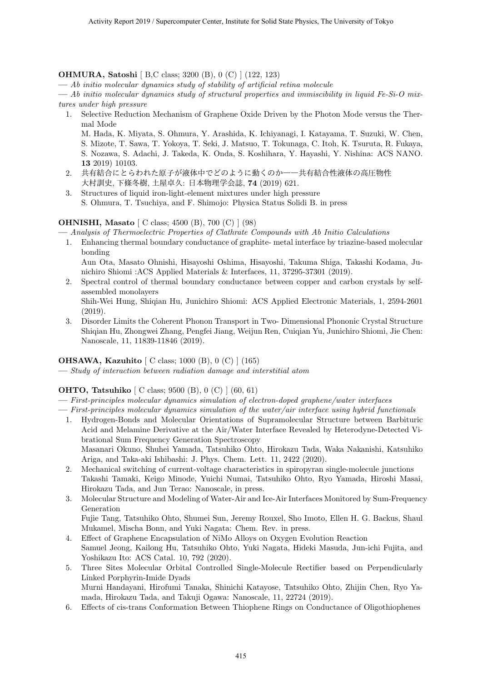#### **OHMURA, Satoshi** [ B,C class; 3200 (B), 0 (C) ] (122, 123)

**—** *Ab initio molecular dynamics study of stability of artificial retina molecule*

**—** *Ab initio molecular dynamics study of structural properties and immiscibility in liquid Fe-Si-O mixtures under high pressure*

1. Selective Reduction Mechanism of Graphene Oxide Driven by the Photon Mode versus the Thermal Mode

M. Hada, K. Miyata, S. Ohmura, Y. Arashida, K. Ichiyanagi, I. Katayama, T. Suzuki, W. Chen, S. Mizote, T. Sawa, T. Yokoya, T. Seki, J. Matsuo, T. Tokunaga, C. Itoh, K. Tsuruta, R. Fukaya, S. Nozawa, S. Adachi, J. Takeda, K. Onda, S. Koshihara, Y. Hayashi, Y. Nishina: ACS NANO. **13** 2019) 10103.

- 2. 共有結合にとらわれた原子が液体中でどのように動くのか――共有結合性液体の高圧物性 大村訓史, 下條冬樹, 土屋卓久: 日本物理学会誌, **74** (2019) 621.
- 3. Structures of liquid iron-light-element mixtures under high pressure S. Ohmura, T. Tsuchiya, and F. Shimojo: Physica Status Solidi B. in press

#### **OHNISHI, Masato** [ C class; 4500 (B), 700 (C) ] (98)

**—** *Analysis of Thermoelectric Properties of Clathrate Compounds with Ab Initio Calculations*

1. Enhancing thermal boundary conductance of graphite- metal interface by triazine-based molecular bonding

Aun Ota, Masato Ohnishi, Hisayoshi Oshima, Hisayoshi, Takuma Shiga, Takashi Kodama, Junichiro Shiomi :ACS Applied Materials & Interfaces, 11, 37295-37301 (2019).

- 2. Spectral control of thermal boundary conductance between copper and carbon crystals by selfassembled monolayers Shih-Wei Hung, Shiqian Hu, Junichiro Shiomi: ACS Applied Electronic Materials, 1, 2594-2601
- (2019). 3. Disorder Limits the Coherent Phonon Transport in Two- Dimensional Phononic Crystal Structure Shiqian Hu, Zhongwei Zhang, Pengfei Jiang, Weijun Ren, Cuiqian Yu, Junichiro Shiomi, Jie Chen: Nanoscale, 11, 11839-11846 (2019).

#### **OHSAWA, Kazuhito** [ C class; 1000 (B), 0 (C) ] (165)

**—** *Study of interaction between radiation damage and interstitial atom*

#### **OHTO, Tatsuhiko** [ C class; 9500 (B), 0 (C) ] (60, 61)

- **—** *First-principles molecular dynamics simulation of electron-doped graphene/water interfaces*
- **—** *First-principles molecular dynamics simulation of the water/air interface using hybrid functionals*
	- 1. Hydrogen-Bonds and Molecular Orientations of Supramolecular Structure between Barbituric Acid and Melamine Derivative at the Air/Water Interface Revealed by Heterodyne-Detected Vibrational Sum Frequency Generation Spectroscopy Masanari Okuno, Shuhei Yamada, Tatsuhiko Ohto, Hirokazu Tada, Waka Nakanishi, Katsuhiko Ariga, and Taka-aki Ishibashi: J. Phys. Chem. Lett. 11, 2422 (2020).
	- 2. Mechanical switching of current-voltage characteristics in spiropyran single-molecule junctions Takashi Tamaki, Keigo Minode, Yuichi Numai, Tatsuhiko Ohto, Ryo Yamada, Hiroshi Masai, Hirokazu Tada, and Jun Terao: Nanoscale, in press.
	- 3. Molecular Structure and Modeling of Water-Air and Ice-Air Interfaces Monitored by Sum-Frequency Generation Fujie Tang, Tatsuhiko Ohto, Shumei Sun, Jeremy Rouxel, Sho Imoto, Ellen H. G. Backus, Shaul

Mukamel, Mischa Bonn, and Yuki Nagata: Chem. Rev. in press.

- 4. Effect of Graphene Encapsulation of NiMo Alloys on Oxygen Evolution Reaction Samuel Jeong, Kailong Hu, Tatsuhiko Ohto, Yuki Nagata, Hideki Masuda, Jun-ichi Fujita, and Yoshikazu Ito: ACS Catal. 10, 792 (2020).
- 5. Three Sites Molecular Orbital Controlled Single-Molecule Rectifier based on Perpendicularly Linked Porphyrin-Imide Dyads Murni Handayani, Hirofumi Tanaka, Shinichi Katayose, Tatsuhiko Ohto, Zhijin Chen, Ryo Yamada, Hirokazu Tada, and Takuji Ogawa: Nanoscale, 11, 22724 (2019).
- 6. Effects of cis-trans Conformation Between Thiophene Rings on Conductance of Oligothiophenes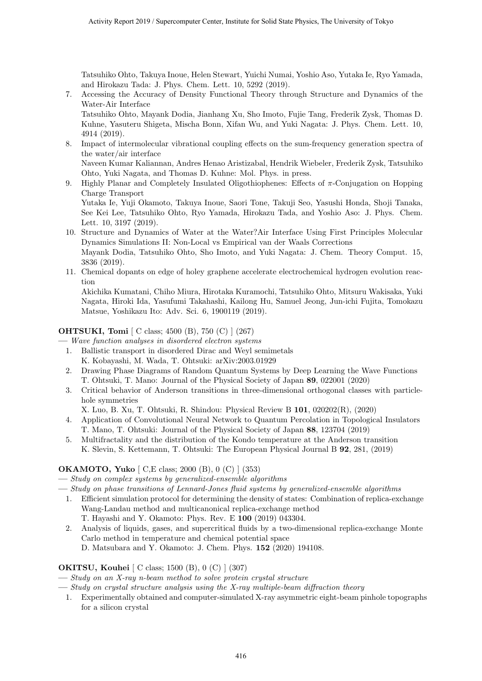Tatsuhiko Ohto, Takuya Inoue, Helen Stewart, Yuichi Numai, Yoshio Aso, Yutaka Ie, Ryo Yamada, and Hirokazu Tada: J. Phys. Chem. Lett. 10, 5292 (2019).

7. Accessing the Accuracy of Density Functional Theory through Structure and Dynamics of the Water-Air Interface

Tatsuhiko Ohto, Mayank Dodia, Jianhang Xu, Sho Imoto, Fujie Tang, Frederik Zysk, Thomas D. Kuhne, Yasuteru Shigeta, Mischa Bonn, Xifan Wu, and Yuki Nagata: J. Phys. Chem. Lett. 10, 4914 (2019).

8. Impact of intermolecular vibrational coupling effects on the sum-frequency generation spectra of the water/air interface

Naveen Kumar Kaliannan, Andres Henao Aristizabal, Hendrik Wiebeler, Frederik Zysk, Tatsuhiko Ohto, Yuki Nagata, and Thomas D. Kuhne: Mol. Phys. in press.

9. Highly Planar and Completely Insulated Oligothiophenes: Effects of *π*-Conjugation on Hopping Charge Transport

Yutaka Ie, Yuji Okamoto, Takuya Inoue, Saori Tone, Takuji Seo, Yasushi Honda, Shoji Tanaka, See Kei Lee, Tatsuhiko Ohto, Ryo Yamada, Hirokazu Tada, and Yoshio Aso: J. Phys. Chem. Lett. 10, 3197 (2019).

- 10. Structure and Dynamics of Water at the Water?Air Interface Using First Principles Molecular Dynamics Simulations II: Non-Local vs Empirical van der Waals Corrections Mayank Dodia, Tatsuhiko Ohto, Sho Imoto, and Yuki Nagata: J. Chem. Theory Comput. 15, 3836 (2019).
- 11. Chemical dopants on edge of holey graphene accelerate electrochemical hydrogen evolution reaction

Akichika Kumatani, Chiho Miura, Hirotaka Kuramochi, Tatsuhiko Ohto, Mitsuru Wakisaka, Yuki Nagata, Hiroki Ida, Yasufumi Takahashi, Kailong Hu, Samuel Jeong, Jun-ichi Fujita, Tomokazu Matsue, Yoshikazu Ito: Adv. Sci. 6, 1900119 (2019).

#### **OHTSUKI, Tomi** [ C class; 4500 (B), 750 (C) ] (267)

**—** *Wave function analyses in disordered electron systems*

- 1. Ballistic transport in disordered Dirac and Weyl semimetals K. Kobayashi, M. Wada, T. Ohtsuki: arXiv:2003.01929
- 2. Drawing Phase Diagrams of Random Quantum Systems by Deep Learning the Wave Functions T. Ohtsuki, T. Mano: Journal of the Physical Society of Japan **89**, 022001 (2020)
- 3. Critical behavior of Anderson transitions in three-dimensional orthogonal classes with particlehole symmetries
	- X. Luo, B. Xu, T. Ohtsuki, R. Shindou: Physical Review B **101**, 020202(R), (2020)
- 4. Application of Convolutional Neural Network to Quantum Percolation in Topological Insulators T. Mano, T. Ohtsuki: Journal of the Physical Society of Japan **88**, 123704 (2019)
- 5. Multifractality and the distribution of the Kondo temperature at the Anderson transition K. Slevin, S. Kettemann, T. Ohtsuki: The European Physical Journal B **92**, 281, (2019)

#### **OKAMOTO, Yuko** [ C,E class; 2000 (B), 0 (C) ] (353)

**—** *Study on complex systems by generalized-ensemble algorithms*

**—** *Study on phase transitions of Lennard-Jones fluid systems by generalized-ensemble algorithms*

- 1. Efficient simulation protocol for determining the density of states: Combination of replica-exchange Wang-Landau method and multicanonical replica-exchange method
- T. Hayashi and Y. Okamoto: Phys. Rev. E **100** (2019) 043304. 2. Analysis of liquids, gases, and supercritical fluids by a two-dimensional replica-exchange Monte
	- Carlo method in temperature and chemical potential space

D. Matsubara and Y. Okamoto: J. Chem. Phys. **152** (2020) 194108.

### **OKITSU, Kouhei** [ C class; 1500 (B), 0 (C) ] (307)

**—** *Study on an X-ray n-beam method to solve protein crystal structure*

**—** *Study on crystal structure analysis using the X-ray multiple-beam diffraction theory*

1. Experimentally obtained and computer-simulated X-ray asymmetric eight-beam pinhole topographs for a silicon crystal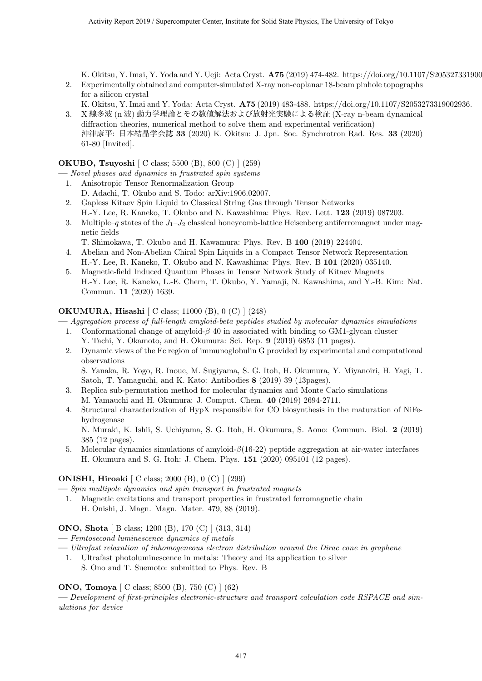K. Okitsu, Y. Imai, Y. Yoda and Y. Ueji: Acta Cryst. **A75** (2019) 474-482. https://doi.org/10.1107/S205327331900

- 2. Experimentally obtained and computer-simulated X-ray non-coplanar 18-beam pinhole topographs for a silicon crystal K. Okitsu, Y. Imai and Y. Yoda: Acta Cryst. **A75** (2019) 483-488. https://doi.org/10.1107/S2053273319002936.
- 3. X 線多波 (n 波) 動力学理論とその数値解法および放射光実験による検証 (X-ray n-beam dynamical diffraction theories, numerical method to solve them and experimental verification) 沖津康平: 日本結晶学会誌 **33** (2020) K. Okitsu: J. Jpn. Soc. Synchrotron Rad. Res. **33** (2020) 61-80 [Invited].

**OKUBO, Tsuyoshi** [ C class; 5500 (B), 800 (C) ] (259)

- **—** *Novel phases and dynamics in frustrated spin systems*
	- 1. Anisotropic Tensor Renormalization Group D. Adachi, T. Okubo and S. Todo: arXiv:1906.02007.
	- 2. Gapless Kitaev Spin Liquid to Classical String Gas through Tensor Networks H.-Y. Lee, R. Kaneko, T. Okubo and N. Kawashima: Phys. Rev. Lett. **123** (2019) 087203.
	- 3. Multiple–*q* states of the  $J_1$ – $J_2$  classical honeycomb-lattice Heisenberg antiferromagnet under magnetic fields
	- T. Shimokawa, T. Okubo and H. Kawamura: Phys. Rev. B **100** (2019) 224404.
	- 4. Abelian and Non-Abelian Chiral Spin Liquids in a Compact Tensor Network Representation H.-Y. Lee, R. Kaneko, T. Okubo and N. Kawashima: Phys. Rev. B **101** (2020) 035140.
	- 5. Magnetic-field Induced Quantum Phases in Tensor Network Study of Kitaev Magnets H.-Y. Lee, R. Kaneko, L.-E. Chern, T. Okubo, Y. Yamaji, N. Kawashima, and Y.-B. Kim: Nat. Commun. **11** (2020) 1639.

### **OKUMURA, Hisashi** [ C class; 11000 (B), 0 (C) ] (248)

**—** *Aggregation process of full-length amyloid-beta peptides studied by molecular dynamics simulations*

- 1. Conformational change of amyloid-*β* 40 in associated with binding to GM1-glycan cluster Y. Tachi, Y. Okamoto, and H. Okumura: Sci. Rep. **9** (2019) 6853 (11 pages).
- 2. Dynamic views of the Fc region of immunoglobulin G provided by experimental and computational observations
	- S. Yanaka, R. Yogo, R. Inoue, M. Sugiyama, S. G. Itoh, H. Okumura, Y. Miyanoiri, H. Yagi, T. Satoh, T. Yamaguchi, and K. Kato: Antibodies **8** (2019) 39 (13pages).
- 3. Replica sub-permutation method for molecular dynamics and Monte Carlo simulations M. Yamauchi and H. Okumura: J. Comput. Chem. **40** (2019) 2694-2711.
- 4. Structural characterization of HypX responsible for CO biosynthesis in the maturation of NiFehydrogenase

N. Muraki, K. Ishii, S. Uchiyama, S. G. Itoh, H. Okumura, S. Aono: Commun. Biol. **2** (2019) 385 (12 pages).

5. Molecular dynamics simulations of amyloid-*β*(16-22) peptide aggregation at air-water interfaces H. Okumura and S. G. Itoh: J. Chem. Phys. **151** (2020) 095101 (12 pages).

### **ONISHI, Hiroaki** [ C class; 2000 (B), 0 (C) ] (299)

**—** *Spin multipole dynamics and spin transport in frustrated magnets*

1. Magnetic excitations and transport properties in frustrated ferromagnetic chain H. Onishi, J. Magn. Magn. Mater. 479, 88 (2019).

#### **ONO, Shota** [ B class; 1200 (B), 170 (C) ] (313, 314)

**—** *Femtosecond luminescence dynamics of metals*

- **—** *Ultrafast relaxation of inhomogeneous electron distribution around the Dirac cone in graphene*
- 1. Ultrafast photoluminescence in metals: Theory and its application to silver
	- S. Ono and T. Suemoto: submitted to Phys. Rev. B

#### **ONO, Tomoya** [ C class; 8500 (B), 750 (C) ] (62)

**—** *Development of first-principles electronic-structure and transport calculation code RSPACE and simulations for device*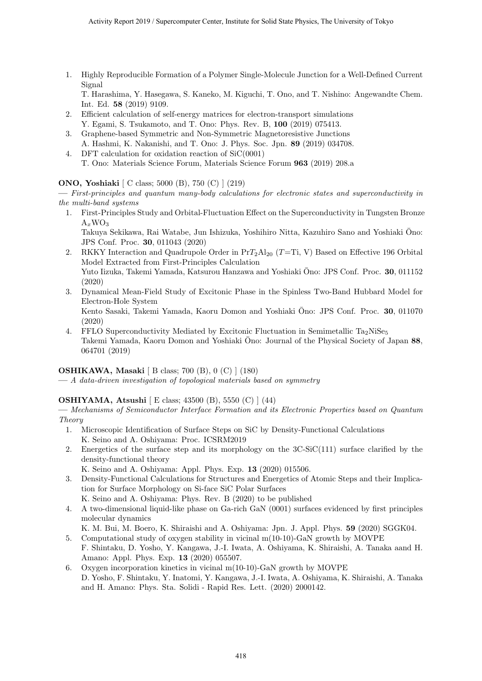1. Highly Reproducible Formation of a Polymer Single-Molecule Junction for a Well-Defined Current Signal

T. Harashima, Y. Hasegawa, S. Kaneko, M. Kiguchi, T. Ono, and T. Nishino: Angewandte Chem. Int. Ed. **58** (2019) 9109.

- 2. Efficient calculation of self-energy matrices for electron-transport simulations Y. Egami, S. Tsukamoto, and T. Ono: Phys. Rev. B, **100** (2019) 075413.
- 3. Graphene-based Symmetric and Non-Symmetric Magnetoresistive Junctions A. Hashmi, K. Nakanishi, and T. Ono: J. Phys. Soc. Jpn. **89** (2019) 034708.
- 4. DFT calculation for oxidation reaction of SiC(0001) T. Ono: Materials Science Forum, Materials Science Forum **963** (2019) 208.a

#### **ONO, Yoshiaki** [ C class; 5000 (B), 750 (C) ] (219)

**—** *First-principles and quantum many-body calculations for electronic states and superconductivity in the multi-band systems*

1. First-Principles Study and Orbital-Fluctuation Effect on the Superconductivity in Tungsten Bronze  $A_xWO_3$ 

Takuya Sekikawa, Rai Watabe, Jun Ishizuka, Yoshihiro Nitta, Kazuhiro Sano and Yoshiaki Ono: ¯ JPS Conf. Proc. **30**, 011043 (2020)

- 2. RKKY Interaction and Quadrupole Order in  $\Pr{T_2Al_{20} (T=Ti, V)}$  Based on Effective 196 Orbital Model Extracted from First-Principles Calculation Yuto Iizuka, Takemi Yamada, Katsurou Hanzawa and Yoshiaki Ono: JPS Conf. Proc. 30, 011152 (2020)
- 3. Dynamical Mean-Field Study of Excitonic Phase in the Spinless Two-Band Hubbard Model for Electron-Hole System Kento Sasaki, Takemi Yamada, Kaoru Domon and Yoshiaki Ono: JPS Conf. Proc. 30, 011070 (2020)
- 4. FFLO Superconductivity Mediated by Excitonic Fluctuation in Semimetallic  $Ta_2NiSe_5$ Takemi Yamada, Kaoru Domon and Yoshiaki Ono: Journal of the Physical Society of Japan ¯ **88**, 064701 (2019)

### **OSHIKAWA, Masaki** [ B class; 700 (B), 0 (C) ] (180)

**—** *A data-driven investigation of topological materials based on symmetry*

#### **OSHIYAMA, Atsushi** [ E class; 43500 (B), 5550 (C) ] (44)

**—** *Mechanisms of Semiconductor Interface Formation and its Electronic Properties based on Quantum Theory*

- 1. Microscopic Identification of Surface Steps on SiC by Density-Functional Calculations K. Seino and A. Oshiyama: Proc. ICSRM2019
- 2. Energetics of the surface step and its morphology on the 3C-SiC(111) surface clarified by the density-functional theory
	- K. Seino and A. Oshiyama: Appl. Phys. Exp. **13** (2020) 015506.
- 3. Density-Functional Calculations for Structures and Energetics of Atomic Steps and their Implication for Surface Morphology on Si-face SiC Polar Surfaces K. Seino and A. Oshiyama: Phys. Rev. B (2020) to be published
- 4. A two-dimensional liquid-like phase on Ga-rich GaN (0001) surfaces evidenced by first principles molecular dynamics

K. M. Bui, M. Boero, K. Shiraishi and A. Oshiyama: Jpn. J. Appl. Phys. **59** (2020) SGGK04. 5. Computational study of oxygen stability in vicinal m(10-10)-GaN growth by MOVPE

- F. Shintaku, D. Yosho, Y. Kangawa, J.-I. Iwata, A. Oshiyama, K. Shiraishi, A. Tanaka aand H. Amano: Appl. Phys. Exp. **13** (2020) 055507.
- 6. Oxygen incorporation kinetics in vicinal m(10-10)-GaN growth by MOVPE D. Yosho, F. Shintaku, Y. Inatomi, Y. Kangawa, J.-I. Iwata, A. Oshiyama, K. Shiraishi, A. Tanaka and H. Amano: Phys. Sta. Solidi - Rapid Res. Lett. (2020) 2000142.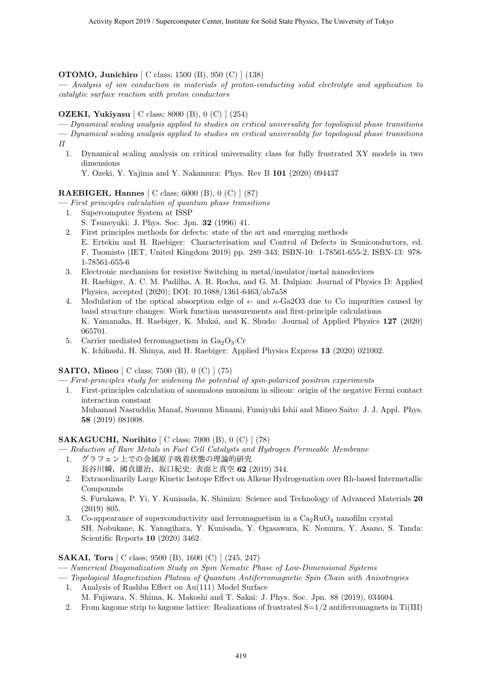#### **OTOMO, Junichiro** [ C class; 1500 (B), 950 (C) ] (138)

**—** *Analysis of ion conduction in materials of proton-conducting solid electrolyte and application to catalytic surface reaction with proton conductors*

#### **OZEKI, Yukiyasu** [ C class; 8000 (B), 0 (C) ] (254)

- **—** *Dynamical scaling analysis applied to studies on critical universality for topological phase transitions*
- **—** *Dynamical scaling analysis applied to studies on critical universality for topological phase transitions II*
- 1. Dynamical scaling analysis on critical universality class for fully frustrated XY models in two dimensions

Y. Ozeki, Y. Yajima and Y. Nakamura: Phys. Rev B **101** (2020) 094437

#### **RAEBIGER, Hannes** [ C class; 6000 (B), 0 (C) ] (87)

**—** *First principles calculation of quantum phase transitions*

- 1. Supercomputer System at ISSP
- S. Tsuneyuki: J. Phys. Soc. Jpn. **32** (1996) 41.
- 2. First principles methods for defects: state of the art and emerging methods E. Ertekin and H. Raebiger: Characterisation and Control of Defects in Semiconductors, ed. F. Tuomisto (IET, United Kingdom 2019) pp. 289–343; ISBN-10: 1-78561-655-2, ISBN-13: 978- 1-78561-655-6
- 3. Electronic mechanism for resistive Switching in metal/insulator/metal nanodevices H. Raebiger, A. C. M. Padilha, A. R. Rocha, and G. M. Dalpian: Journal of Physics D: Applied Physics, accepted (2020); DOI: 10.1088/1361-6463/ab7a58
- 4. Modulation of the optical absorption edge of *ϵ* and *κ*-Ga2O3 due to Co impurities caused by band structure changes: Work function measurements and first-principle calculations K. Yamanaka, H. Raebiger, K. Mukai, and K. Shudo: Journal of Applied Physics **127** (2020) 065701.
- 5. Carrier mediated ferromagnetism in  $Ga<sub>2</sub>O<sub>3</sub>:Cr$ K. Ichihashi, H. Shinya, and H. Raebiger: Applied Physics Express **13** (2020) 021002.

#### **SAITO, Mineo** [ C class; 7500 (B), 0 (C) ] (75)

- **—** *First-principles study for widening the potential of spin-polarized positron experiments*
- 1. First-principles calculation of anomalous muonium in silicon: origin of the negative Fermi contact interaction constant Muhamad Nasruddin Manaf, Susumu Minami, Fumiyuki Ishii and Mineo Saito: J. J. Appl. Phys. **58** (2019) 081008.

#### **SAKAGUCHI, Norihito** [ C class; 7000 (B), 0 (C) ] (78)

- **—** *Reduction of Rare Metals in Fuel Cell Catalysts and Hydrogen Permeable Membrane*
- 1. グラフェン上での金属原子吸着状態の理論的研究 長谷川瞬,國貞雄治,坂口紀史: 表面と真空 **62** (2019) 344.
- 2. Extraordinarily Large Kinetic Isotope Effect on Alkene Hydrogenation over Rh-based Intermetallic Compounds

S. Furukawa, P. Yi, Y. Kunisada, K. Shimizu: Science and Technology of Advanced Materials **20** (2019) 805.

3. Co-appearance of superconductivity and ferromagnetism in a  $Ca<sub>2</sub>RuO<sub>4</sub>$  nanofilm crystal SH. Nobukane, K. Yanagihara, Y. Kunisada, Y. Ogasawara, K. Nomura, Y. Asano, S. Tanda: Scientific Reports **10** (2020) 3462.

#### **SAKAI, Toru** [ C class; 9500 (B), 1600 (C) ] (245, 247)

- **—** *Numerical Diagonalization Study on Spin Nematic Phase of Low-Dimensional Systems*
- **—** *Topological Magnetization Plateau of Quantum Antiferromagnetic Spin Chain with Anisotropies*
	- 1. Analysis of Rashba Effect on Au(111) Model Surface M. Fujiwara, N. Shima, K. Makoshi and T. Sakai: J. Phys. Soc. Jpn. 88 (2019), 034604.
	- 2. From kagome strip to kagome lattice: Realizations of frustrated S=1/2 antiferromagnets in Ti(III)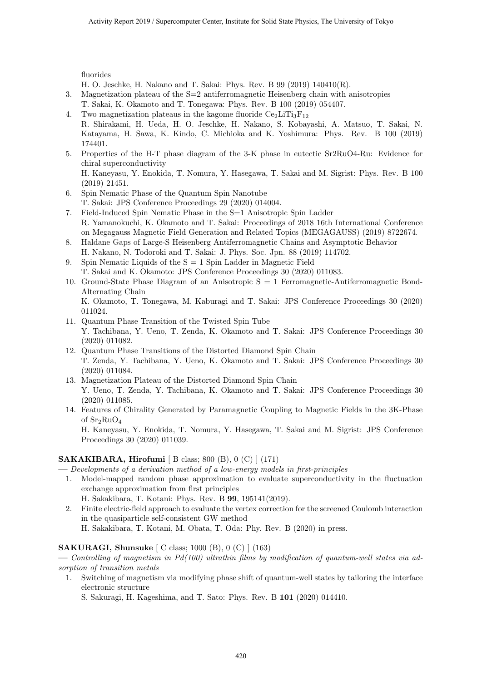fluorides

H. O. Jeschke, H. Nakano and T. Sakai: Phys. Rev. B 99 (2019) 140410(R).

- 3. Magnetization plateau of the S=2 antiferromagnetic Heisenberg chain with anisotropies
- T. Sakai, K. Okamoto and T. Tonegawa: Phys. Rev. B 100 (2019) 054407.
- 4. Two magnetization plateaus in the kagome fluoride  $Ce_2LiTi_3F_{12}$ R. Shirakami, H. Ueda, H. O. Jeschke, H. Nakano, S. Kobayashi, A. Matsuo, T. Sakai, N. Katayama, H. Sawa, K. Kindo, C. Michioka and K. Yoshimura: Phys. Rev. B 100 (2019) 174401.
- 5. Properties of the H-T phase diagram of the 3-K phase in eutectic Sr2RuO4-Ru: Evidence for chiral superconductivity

H. Kaneyasu, Y. Enokida, T. Nomura, Y. Hasegawa, T. Sakai and M. Sigrist: Phys. Rev. B 100 (2019) 21451.

- 6. Spin Nematic Phase of the Quantum Spin Nanotube T. Sakai: JPS Conference Proceedings 29 (2020) 014004.
- 7. Field-Induced Spin Nematic Phase in the S=1 Anisotropic Spin Ladder R. Yamanokuchi, K. Okamoto and T. Sakai: Proceedings of 2018 16th International Conference on Megagauss Magnetic Field Generation and Related Topics (MEGAGAUSS) (2019) 8722674.
- 8. Haldane Gaps of Large-S Heisenberg Antiferromagnetic Chains and Asymptotic Behavior H. Nakano, N. Todoroki and T. Sakai: J. Phys. Soc. Jpn. 88 (2019) 114702.
- 9. Spin Nematic Liquids of the  $S = 1$  Spin Ladder in Magnetic Field T. Sakai and K. Okamoto: JPS Conference Proceedings 30 (2020) 011083.
- 10. Ground-State Phase Diagram of an Anisotropic S = 1 Ferromagnetic-Antiferromagnetic Bond-Alternating Chain K. Okamoto, T. Tonegawa, M. Kaburagi and T. Sakai: JPS Conference Proceedings 30 (2020)
- 011024. 11. Quantum Phase Transition of the Twisted Spin Tube Y. Tachibana, Y. Ueno, T. Zenda, K. Okamoto and T. Sakai: JPS Conference Proceedings 30 (2020) 011082.
- 12. Quantum Phase Transitions of the Distorted Diamond Spin Chain T. Zenda, Y. Tachibana, Y. Ueno, K. Okamoto and T. Sakai: JPS Conference Proceedings 30 (2020) 011084.
- 13. Magnetization Plateau of the Distorted Diamond Spin Chain Y. Ueno, T. Zenda, Y. Tachibana, K. Okamoto and T. Sakai: JPS Conference Proceedings 30 (2020) 011085.
- 14. Features of Chirality Generated by Paramagnetic Coupling to Magnetic Fields in the 3K-Phase of  $Sr<sub>2</sub>RuO<sub>4</sub>$ H. Kaneyasu, Y. Enokida, T. Nomura, Y. Hasegawa, T. Sakai and M. Sigrist: JPS Conference Proceedings 30 (2020) 011039.

#### **SAKAKIBARA, Hirofumi** [ B class; 800 (B), 0 (C) ] (171)

- **—** *Developments of a derivation method of a low-energy models in first-principles*
- 1. Model-mapped random phase approximation to evaluate superconductivity in the fluctuation exchange approximation from first principles H. Sakakibara, T. Kotani: Phys. Rev. B **99**, 195141(2019).
- 2. Finite electric-field approach to evaluate the vertex correction for the screened Coulomb interaction in the quasiparticle self-consistent GW method H. Sakakibara, T. Kotani, M. Obata, T. Oda: Phy. Rev. B (2020) in press.

#### **SAKURAGI, Shunsuke** [ C class; 1000 (B), 0 (C) ] (163)

**—** *Controlling of magnetism in Pd(100) ultrathin films by modification of quantum-well states via adsorption of transition metals*

1. Switching of magnetism via modifying phase shift of quantum-well states by tailoring the interface electronic structure

S. Sakuragi, H. Kageshima, and T. Sato: Phys. Rev. B **101** (2020) 014410.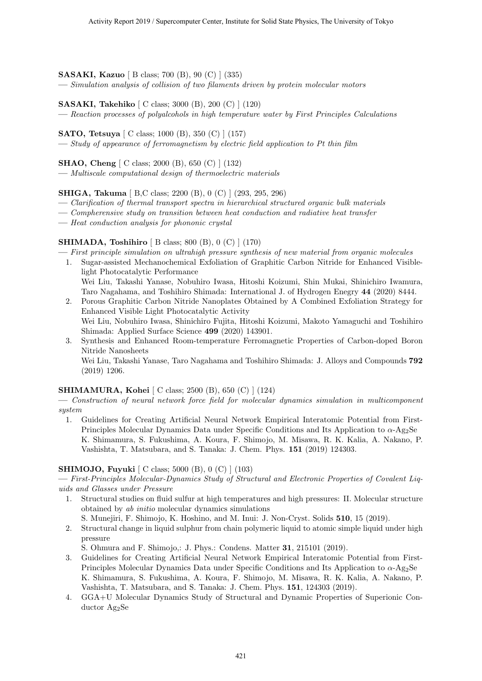#### **SASAKI, Kazuo** [ B class; 700 (B), 90 (C) ] (335)

**—** *Simulation analysis of collision of two filaments driven by protein molecular motors*

#### **SASAKI, Takehiko** [ C class; 3000 (B), 200 (C) ] (120)

**—** *Reaction processes of polyalcohols in high temperature water by First Principles Calculations*

#### **SATO, Tetsuya** [ C class; 1000 (B), 350 (C) ] (157)

**—** *Study of appearance of ferromagnetism by electric field application to Pt thin film*

#### **SHAO, Cheng** [ C class; 2000 (B), 650 (C) ] (132)

**—** *Multiscale computational design of thermoelectric materials*

**SHIGA, Takuma** [ B,C class; 2200 (B), 0 (C) ] (293, 295, 296)

- **—** *Clarification of thermal transport spectra in hierarchical structured organic bulk materials*
- **—** *Compherensive study on transition between heat conduction and radiative heat transfer*
- **—** *Heat conduction analysis for phononic crystal*

#### **SHIMADA, Toshihiro** [ B class; 800 (B), 0 (C) ] (170)

- **—** *First principle simulation on ultrahigh pressure synthesis of new material from organic molecules*
- 1. Sugar-assisted Mechanochemical Exfoliation of Graphitic Carbon Nitride for Enhanced Visiblelight Photocatalytic Performance Wei Liu, Takashi Yanase, Nobuhiro Iwasa, Hitoshi Koizumi, Shin Mukai, Shinichiro Iwamura,
- Taro Nagahama, and Toshihiro Shimada: International J. of Hydrogen Enegry **44** (2020) 8444. 2. Porous Graphitic Carbon Nitride Nanoplates Obtained by A Combined Exfoliation Strategy for Enhanced Visible Light Photocatalytic Activity Wei Liu, Nobuhiro Iwasa, Shinichiro Fujita, Hitoshi Koizumi, Makoto Yamaguchi and Toshihiro Shimada: Applied Surface Science **499** (2020) 143901.
- 3. Synthesis and Enhanced Room-temperature Ferromagnetic Properties of Carbon-doped Boron Nitride Nanosheets Wei Liu, Takashi Yanase, Taro Nagahama and Toshihiro Shimada: J. Alloys and Compounds **792**

(2019) 1206.

#### **SHIMAMURA, Kohei** [ C class; 2500 (B), 650 (C) ] (124)

**—** *Construction of neural network force field for molecular dynamics simulation in multicomponent system*

1. Guidelines for Creating Artificial Neural Network Empirical Interatomic Potential from First-Principles Molecular Dynamics Data under Specific Conditions and Its Application to *α*-Ag2Se K. Shimamura, S. Fukushima, A. Koura, F. Shimojo, M. Misawa, R. K. Kalia, A. Nakano, P. Vashishta, T. Matsubara, and S. Tanaka: J. Chem. Phys. **151** (2019) 124303.

#### **SHIMOJO, Fuyuki** [ C class; 5000 (B), 0 (C) ] (103)

**—** *First-Principles Molecular-Dynamics Study of Structural and Electronic Properties of Covalent Liquids and Glasses under Pressure*

1. Structural studies on fluid sulfur at high temperatures and high pressures: II. Molecular structure obtained by *ab initio* molecular dynamics simulations

S. Munejiri, F. Shimojo, K. Hoshino, and M. Inui: J. Non-Cryst. Solids **510**, 15 (2019).

2. Structural change in liquid sulphur from chain polymeric liquid to atomic simple liquid under high pressure

S. Ohmura and F. Shimojo,: J. Phys.: Condens. Matter **31**, 215101 (2019).

- 3. Guidelines for Creating Artificial Neural Network Empirical Interatomic Potential from First-Principles Molecular Dynamics Data under Specific Conditions and Its Application to *α*-Ag2Se K. Shimamura, S. Fukushima, A. Koura, F. Shimojo, M. Misawa, R. K. Kalia, A. Nakano, P. Vashishta, T. Matsubara, and S. Tanaka: J. Chem. Phys. **151**, 124303 (2019).
- 4. GGA+U Molecular Dynamics Study of Structural and Dynamic Properties of Superionic Conductor Ag<sub>2</sub>Se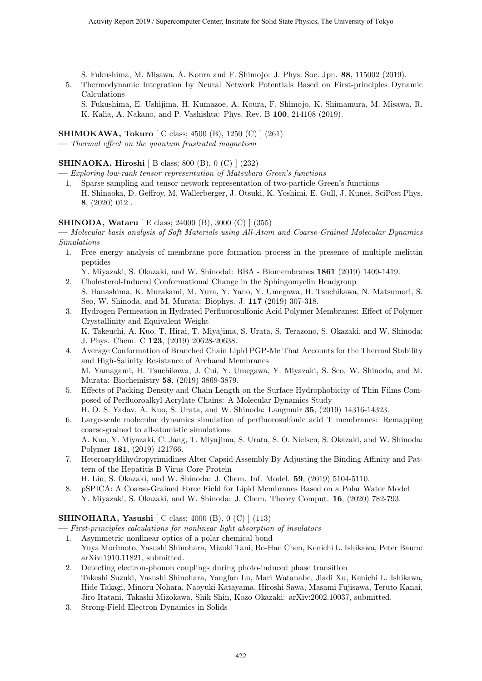S. Fukushima, M. Misawa, A. Koura and F. Shimojo: J. Phys. Soc. Jpn. **88**, 115002 (2019).

5. Thermodynamic Integration by Neural Network Potentials Based on First-principles Dynamic Calculations

S. Fukushima, E. Ushijima, H. Kumazoe, A. Koura, F. Shimojo, K. Shimamura, M. Misawa, R. K. Kalia, A. Nakano, and P. Vashishta: Phys. Rev. B **100**, 214108 (2019).

**SHIMOKAWA, Tokuro** [ C class; 4500 (B), 1250 (C) ] (261)

**—** *Thermal effect on the quantum frustrated magnetism*

#### **SHINAOKA, Hiroshi** [ B class; 800 (B), 0 (C) ] (232)

**—** *Exploring low-rank tensor representation of Matsubara Green's functions*

1. Sparse sampling and tensor network representation of two-particle Green's functions H. Shinaoka, D. Geffroy, M. Wallerberger, J. Otsuki, K. Yoshimi, E. Gull, J. Kuneš, SciPost Phys. **8**, (2020) 012 .

#### **SHINODA, Wataru** [ E class; 24000 (B), 3000 (C) ] (355)

**—** *Molecular basis analysis of Soft Materials using All-Atom and Coarse-Grained Molecular Dynamics Simulations*

- 1. Free energy analysis of membrane pore formation process in the presence of multiple melittin peptides
	- Y. Miyazaki, S. Okazaki, and W. Shinodai: BBA Biomembranes **1861** (2019) 1409-1419.
- 2. Cholesterol-Induced Conformational Change in the Sphingomyelin Headgroup S. Hanashima, K. Murakami, M. Yura, Y. Yano, Y. Umegawa, H. Tsuchikawa, N. Matsumori, S. Seo, W. Shinoda, and M. Murata: Biophys. J. **117** (2019) 307-318.
- 3. Hydrogen Permeation in Hydrated Perfluorosulfonic Acid Polymer Membranes: Effect of Polymer Crystallinity and Equivalent Weight K. Takeuchi, A. Kuo, T. Hirai, T. Miyajima, S. Urata, S. Terazono, S. Okazaki, and W. Shinoda: J. Phys. Chem. C **123**, (2019) 20628-20638.
- 4. Average Conformation of Branched Chain Lipid PGP-Me That Accounts for the Thermal Stability and High-Salinity Resistance of Archaeal Membranes M. Yamagami, H. Tsuchikawa, J. Cui, Y. Umegawa, Y. Miyazaki, S. Seo, W. Shinoda, and M. Murata: Biochemistry **58**, (2019) 3869-3879.
- 5. Effects of Packing Density and Chain Length on the Surface Hydrophobicity of Thin Films Composed of Perfluoroalkyl Acrylate Chains: A Molecular Dynamics Study H. O. S. Yadav, A. Kuo, S. Urata, and W. Shinoda: Langmuir **35**, (2019) 14316-14323.
- 6. Large-scale molecular dynamics simulation of perfluorosulfonic acid T membranes: Remapping coarse-grained to all-atomistic simulations A. Kuo, Y. Miyazaki, C. Jang, T. Miyajima, S. Urata, S. O. Nielsen, S. Okazaki, and W. Shinoda: Polymer **181**, (2019) 121766.
- 7. Heteroaryldihydropyrimidines Alter Capsid Assembly By Adjusting the Binding Affinity and Pattern of the Hepatitis B Virus Core Protein
- H. Liu, S. Okazaki, and W. Shinoda: J. Chem. Inf. Model. **59**, (2019) 5104-5110.
- 8. pSPICA: A Coarse-Grained Force Field for Lipid Membranes Based on a Polar Water Model Y. Miyazaki, S. Okazaki, and W. Shinoda: J. Chem. Theory Comput. **16**, (2020) 782-793.

#### **SHINOHARA, Yasushi** [ C class; 4000 (B), 0 (C) ] (113)

**—** *First-principles calculations for nonlinear light absorption of insulators*

- 1. Asymmetric nonlinear optics of a polar chemical bond Yuya Morimoto, Yasushi Shinohara, Mizuki Tani, Bo-Han Chen, Kenichi L. Ishikawa, Peter Baum: arXiv:1910.11821, submitted.
- 2. Detecting electron-phonon couplings during photo-induced phase transition Takeshi Suzuki, Yasushi Shinohara, Yangfan Lu, Mari Watanabe, Jiadi Xu, Kenichi L. Ishikawa, Hide Takagi, Minoru Nohara, Naoyuki Katayama, Hiroshi Sawa, Masami Fujisawa, Teruto Kanai, Jiro Itatani, Takashi Mizokawa, Shik Shin, Kozo Okazaki: arXiv:2002.10037, submitted.
- 3. Strong-Field Electron Dynamics in Solids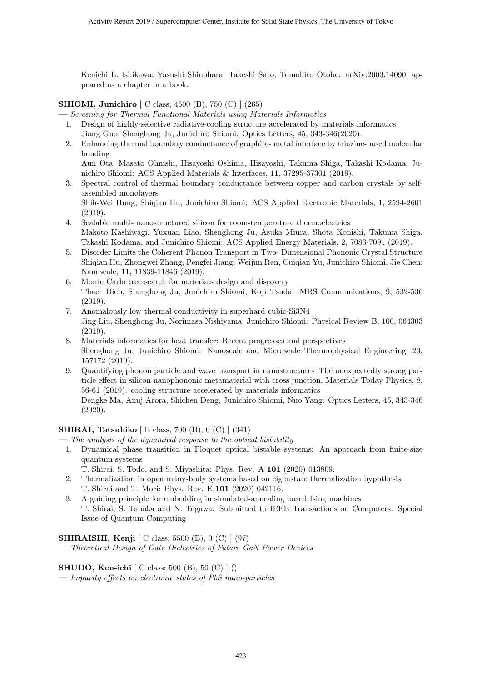Kenichi L. Ishikawa, Yasushi Shinohara, Takeshi Sato, Tomohito Otobe: arXiv:2003.14090, appeared as a chapter in a book.

#### **SHIOMI, Junichiro** [ C class; 4500 (B), 750 (C) ] (265)

**—** *Screening for Thermal Functional Materials using Materials Informatics*

- 1. Design of highly-selective radiative-cooling structure accelerated by materials informatics Jiang Guo, Shenghong Ju, Junichiro Shiomi: Optics Letters, 45, 343-346(2020).
- 2. Enhancing thermal boundary conductance of graphite- metal interface by triazine-based molecular bonding

Aun Ota, Masato Ohnishi, Hisayoshi Oshima, Hisayoshi, Takuma Shiga, Takashi Kodama, Junichiro Shiomi: ACS Applied Materials & Interfaces, 11, 37295-37301 (2019).

- 3. Spectral control of thermal boundary conductance between copper and carbon crystals by selfassembled monolayers Shih-Wei Hung, Shiqian Hu, Junichiro Shiomi: ACS Applied Electronic Materials, 1, 2594-2601 (2019).
- 4. Scalable multi- nanostructured silicon for room-temperature thermoelectrics Makoto Kashiwagi, Yuxuan Liao, Shenghong Ju, Asuka Miura, Shota Konishi, Takuma Shiga, Takashi Kodama, and Junichiro Shiomi: ACS Applied Energy Materials, 2, 7083-7091 (2019).
- 5. Disorder Limits the Coherent Phonon Transport in Two- Dimensional Phononic Crystal Structure Shiqian Hu, Zhongwei Zhang, Pengfei Jiang, Weijun Ren, Cuiqian Yu, Junichiro Shiomi, Jie Chen: Nanoscale, 11, 11839-11846 (2019).
- 6. Monte Carlo tree search for materials design and discovery Thaer Dieb, Shenghong Ju, Junichiro Shiomi, Koji Tsuda: MRS Communications, 9, 532-536 (2019).
- 7. Anomalously low thermal conductivity in superhard cubic-Si3N4 Jing Liu, Shenghong Ju, Norimasa Nishiyama, Junichiro Shiomi: Physical Review B, 100, 064303 (2019).
- 8. Materials informatics for heat transfer: Recent progresses and perspectives Shenghong Ju, Junichiro Shiomi: Nanoscale and Microscale Thermophysical Engineering, 23, 157172 (2019).
- 9. Quantifying phonon particle and wave transport in nanostructures–The unexpectedly strong particle effect in silicon nanophononic metamaterial with cross junction, Materials Today Physics, 8, 56-61 (2019). cooling structure accelerated by materials informatics

Dengke Ma, Anuj Arora, Shichen Deng, Junichiro Shiomi, Nuo Yang: Optics Letters, 45, 343-346 (2020).

#### **SHIRAI, Tatsuhiko** [ B class; 700 (B), 0 (C) ] (341)

- **—** *The analysis of the dynamical response to the optical bistability*
	- 1. Dynamical phase transition in Floquet optical bistable systems: An approach from finite-size quantum systems
		- T. Shirai, S. Todo, and S. Miyashita: Phys. Rev. A **101** (2020) 013809.
	- 2. Thermalization in open many-body systems based on eigenstate thermalization hypothesis T. Shirai and T. Mori: Phys. Rev. E **101** (2020) 042116.
	- 3. A guiding principle for embedding in simulated-annealing based Ising machines T. Shirai, S. Tanaka and N. Togawa: Submitted to IEEE Transactions on Computers: Special Issue of Quantum Computing

#### **SHIRAISHI, Kenji** [ C class; 5500 (B), 0 (C) ] (97)

**—** *Theoretical Design of Gate Dielectrics of Future GaN Power Devices*

#### **SHUDO, Ken-ichi** [ C class; 500 (B), 50 (C) ] ()

**—** *Impurity effects on electronic states of PbS nano-particles*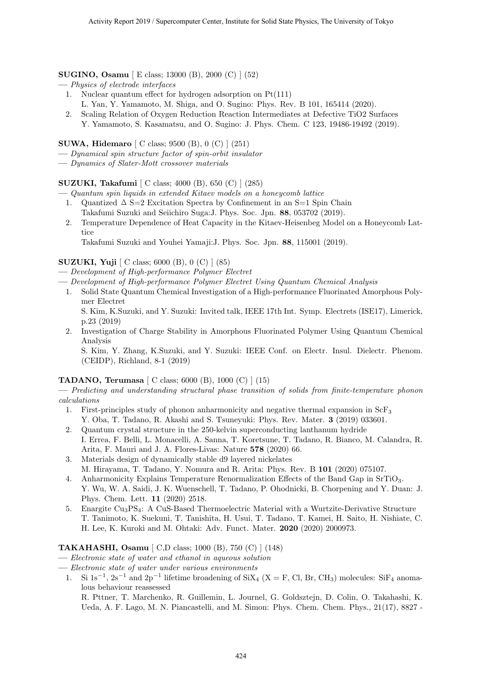#### **SUGINO, Osamu** [ E class; 13000 (B), 2000 (C) ] (52)

- **—** *Physics of electrode interfaces*
	- 1. Nuclear quantum effect for hydrogen adsorption on Pt(111)
		- L. Yan, Y. Yamamoto, M. Shiga, and O. Sugino: Phys. Rev. B 101, 165414 (2020).
	- 2. Scaling Relation of Oxygen Reduction Reaction Intermediates at Defective TiO2 Surfaces Y. Yamamoto, S. Kasamatsu, and O. Sugino: J. Phys. Chem. C 123, 19486-19492 (2019).

#### **SUWA, Hidemaro** [ C class; 9500 (B), 0 (C) ] (251)

- **—** *Dynamical spin structure factor of spin-orbit insulator*
- **—** *Dynamics of Slater-Mott crossover materials*

**SUZUKI, Takafumi** [ C class; 4000 (B), 650 (C) ] (285)

**—** *Quantum spin liquids in extended Kitaev models on a honeycomb lattice*

- 1. Quantized  $\Delta$  S=2 Excitation Spectra by Confinement in an S=1 Spin Chain Takafumi Suzuki and Seiichiro Suga:J. Phys. Soc. Jpn. **88**, 053702 (2019).
- 2. Temperature Dependence of Heat Capacity in the Kitaev-Heisenbeg Model on a Honeycomb Lattice

Takafumi Suzuki and Youhei Yamaji:J. Phys. Soc. Jpn. **88**, 115001 (2019).

#### **SUZUKI, Yuji** [ C class; 6000 (B), 0 (C) ] (85)

- **—** *Development of High-performance Polymer Electret*
- **—** *Development of High-performance Polymer Electret Using Quantum Chemical Analysis*
- 1. Solid State Quantum Chemical Investigation of a High-performance Fluorinated Amorphous Polymer Electret

S. Kim, K.Suzuki, and Y. Suzuki: Invited talk, IEEE 17th Int. Symp. Electrets (ISE17), Limerick, p.23 (2019)

2. Investigation of Charge Stability in Amorphous Fluorinated Polymer Using Quantum Chemical Analysis

S. Kim, Y. Zhang, K.Suzuki, and Y. Suzuki: IEEE Conf. on Electr. Insul. Dielectr. Phenom. (CEIDP), Richland, 8-1 (2019)

#### **TADANO, Terumasa** [ C class; 6000 (B), 1000 (C) ] (15)

**—** *Predicting and understanding structural phase transition of solids from finite-temperature phonon calculations*

- 1. First-principles study of phonon anharmonicity and negative thermal expansion in  $ScF_3$ Y. Oba, T. Tadano, R. Akashi and S. Tsuneyuki: Phys. Rev. Mater. **3** (2019) 033601.
- 2. Quantum crystal structure in the 250-kelvin superconducting lanthanum hydride I. Errea, F. Belli, L. Monacelli, A. Sanna, T. Koretsune, T. Tadano, R. Bianco, M. Calandra, R. Arita, F. Mauri and J. A. Flores-Livas: Nature **578** (2020) 66.
- 3. Materials design of dynamically stable d9 layered nickelates M. Hirayama, T. Tadano, Y. Nomura and R. Arita: Phys. Rev. B **101** (2020) 075107.
- 4. Anharmonicity Explains Temperature Renormalization Effects of the Band Gap in SrTiO3. Y. Wu, W. A. Saidi, J. K. Wuenschell, T. Tadano, P. Ohodnicki, B. Chorpening and Y. Duan: J. Phys. Chem. Lett. **11** (2020) 2518.
- 5. Enargite Cu3PS4: A CuS-Based Thermoelectric Material with a Wurtzite-Derivative Structure T. Tanimoto, K. Suekuni, T. Tanishita, H. Usui, T. Tadano, T. Kamei, H. Saito, H. Nishiate, C. H. Lee, K. Kuroki and M. Ohtaki: Adv. Funct. Mater. **2020** (2020) 2000973.

#### **TAKAHASHI, Osamu** [ C,D class; 1000 (B), 750 (C) ] (148)

- **—** *Electronic state of water and ethanol in aqueous solution*
- **—** *Electronic state of water under various environments*
- 1. Si 1s<sup>-1</sup>, 2s<sup>-1</sup> and 2p<sup>-1</sup> lifetime broadening of SiX<sub>4</sub> (X = F, Cl, Br, CH<sub>3</sub>) molecules: SiF<sub>4</sub> anomalous behaviour reassessed

R. Pttner, T. Marchenko, R. Guillemin, L. Journel, G. Goldsztejn, D. Colin, O. Takahashi, K. Ueda, A. F. Lago, M. N. Piancastelli, and M. Simon: Phys. Chem. Chem. Phys., 21(17), 8827 -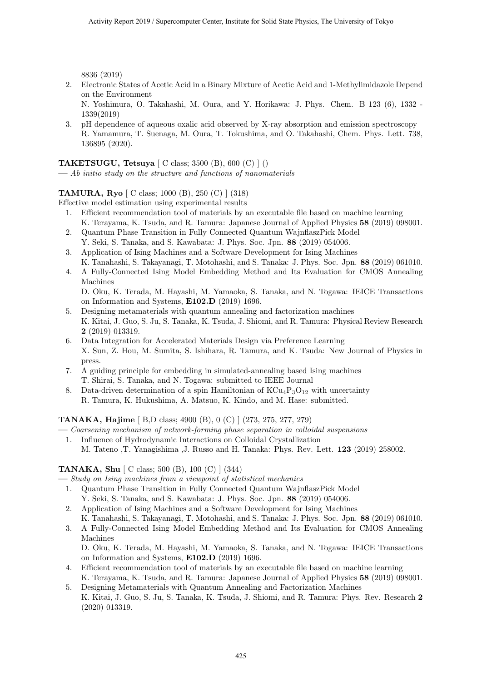8836 (2019)

2. Electronic States of Acetic Acid in a Binary Mixture of Acetic Acid and 1-Methylimidazole Depend on the Environment

N. Yoshimura, O. Takahashi, M. Oura, and Y. Horikawa: J. Phys. Chem. B 123 (6), 1332 - 1339(2019)

3. pH dependence of aqueous oxalic acid observed by X-ray absorption and emission spectroscopy R. Yamamura, T. Suenaga, M. Oura, T. Tokushima, and O. Takahashi, Chem. Phys. Lett. 738, 136895 (2020).

#### **TAKETSUGU, Tetsuya** [ C class; 3500 (B), 600 (C) ] ()

**—** *Ab initio study on the structure and functions of nanomaterials*

#### **TAMURA, Ryo** [ C class; 1000 (B), 250 (C) ] (318)

Effective model estimation using experimental results

- 1. Efficient recommendation tool of materials by an executable file based on machine learning K. Terayama, K. Tsuda, and R. Tamura: Japanese Journal of Applied Physics **58** (2019) 098001.
- 2. Quantum Phase Transition in Fully Connected Quantum WajnflaszPick Model Y. Seki, S. Tanaka, and S. Kawabata: J. Phys. Soc. Jpn. **88** (2019) 054006.
- 3. Application of Ising Machines and a Software Development for Ising Machines K. Tanahashi, S. Takayanagi, T. Motohashi, and S. Tanaka: J. Phys. Soc. Jpn. **88** (2019) 061010.
- 4. A Fully-Connected Ising Model Embedding Method and Its Evaluation for CMOS Annealing Machines

D. Oku, K. Terada, M. Hayashi, M. Yamaoka, S. Tanaka, and N. Togawa: IEICE Transactions on Information and Systems, **E102.D** (2019) 1696.

- 5. Designing metamaterials with quantum annealing and factorization machines K. Kitai, J. Guo, S. Ju, S. Tanaka, K. Tsuda, J. Shiomi, and R. Tamura: Physical Review Research **2** (2019) 013319.
- 6. Data Integration for Accelerated Materials Design via Preference Learning X. Sun, Z. Hou, M. Sumita, S. Ishihara, R. Tamura, and K. Tsuda: New Journal of Physics in press.
- 7. A guiding principle for embedding in simulated-annealing based Ising machines T. Shirai, S. Tanaka, and N. Togawa: submitted to IEEE Journal
- 8. Data-driven determination of a spin Hamiltonian of  $KCu_4P_3O_{12}$  with uncertainty R. Tamura, K. Hukushima, A. Matsuo, K. Kindo, and M. Hase: submitted.

**TANAKA, Hajime** [ B,D class; 4900 (B), 0 (C) ] (273, 275, 277, 279)

**—** *Coarsening mechanism of network-forming phase separation in colloidal suspensions*

1. Influence of Hydrodynamic Interactions on Colloidal Crystallization M. Tateno ,T. Yanagishima ,J. Russo and H. Tanaka: Phys. Rev. Lett. **123** (2019) 258002.

#### **TANAKA, Shu** [ C class; 500 (B), 100 (C) ] (344)

**—** *Study on Ising machines from a viewpoint of statistical mechanics*

- 1. Quantum Phase Transition in Fully Connected Quantum WajnflaszPick Model Y. Seki, S. Tanaka, and S. Kawabata: J. Phys. Soc. Jpn. **88** (2019) 054006.
- 2. Application of Ising Machines and a Software Development for Ising Machines K. Tanahashi, S. Takayanagi, T. Motohashi, and S. Tanaka: J. Phys. Soc. Jpn. **88** (2019) 061010.
- 3. A Fully-Connected Ising Model Embedding Method and Its Evaluation for CMOS Annealing Machines D. Oku, K. Terada, M. Hayashi, M. Yamaoka, S. Tanaka, and N. Togawa: IEICE Transactions

on Information and Systems, **E102.D** (2019) 1696.

- 4. Efficient recommendation tool of materials by an executable file based on machine learning K. Terayama, K. Tsuda, and R. Tamura: Japanese Journal of Applied Physics **58** (2019) 098001.
- 5. Designing Metamaterials with Quantum Annealing and Factorization Machines K. Kitai, J. Guo, S. Ju, S. Tanaka, K. Tsuda, J. Shiomi, and R. Tamura: Phys. Rev. Research **2** (2020) 013319.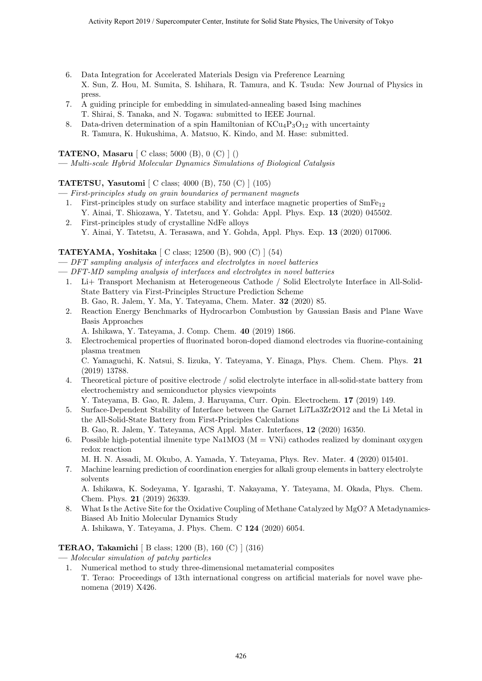- 6. Data Integration for Accelerated Materials Design via Preference Learning X. Sun, Z. Hou, M. Sumita, S. Ishihara, R. Tamura, and K. Tsuda: New Journal of Physics in press.
- 7. A guiding principle for embedding in simulated-annealing based Ising machines T. Shirai, S. Tanaka, and N. Togawa: submitted to IEEE Journal.
- 8. Data-driven determination of a spin Hamiltonian of  $KCu_4P_3O_{12}$  with uncertainty R. Tamura, K. Hukushima, A. Matsuo, K. Kindo, and M. Hase: submitted.

**TATENO, Masaru** [ C class; 5000 (B), 0 (C) ] ()

**—** *Multi-scale Hybrid Molecular Dynamics Simulations of Biological Catalysis*

#### **TATETSU, Yasutomi** [ C class; 4000 (B), 750 (C) ] (105)

- **—** *First-principles study on grain boundaries of permanent magnets*
	- 1. First-principles study on surface stability and interface magnetic properties of  $SmFe_{12}$ Y. Ainai, T. Shiozawa, Y. Tatetsu, and Y. Gohda: Appl. Phys. Exp. **13** (2020) 045502.
	- 2. First-principles study of crystalline NdFe alloys Y. Ainai, Y. Tatetsu, A. Terasawa, and Y. Gohda, Appl. Phys. Exp. **13** (2020) 017006.

#### **TATEYAMA, Yoshitaka** [ C class; 12500 (B), 900 (C) ] (54)

- **—** *DFT sampling analysis of interfaces and electrolytes in novel batteries*
- **—** *DFT-MD sampling analysis of interfaces and electrolytes in novel batteries*
	- 1. Li+ Transport Mechanism at Heterogeneous Cathode / Solid Electrolyte Interface in All-Solid-State Battery via First-Principles Structure Prediction Scheme B. Gao, R. Jalem, Y. Ma, Y. Tateyama, Chem. Mater. **32** (2020) 85.
	- 2. Reaction Energy Benchmarks of Hydrocarbon Combustion by Gaussian Basis and Plane Wave Basis Approaches
		- A. Ishikawa, Y. Tateyama, J. Comp. Chem. **40** (2019) 1866.
	- 3. Electrochemical properties of fluorinated boron-doped diamond electrodes via fluorine-containing plasma treatmen

C. Yamaguchi, K. Natsui, S. Iizuka, Y. Tateyama, Y. Einaga, Phys. Chem. Chem. Phys. **21** (2019) 13788.

- 4. Theoretical picture of positive electrode / solid electrolyte interface in all-solid-state battery from electrochemistry and semiconductor physics viewpoints
- Y. Tateyama, B. Gao, R. Jalem, J. Haruyama, Curr. Opin. Electrochem. **17** (2019) 149.
- 5. Surface-Dependent Stability of Interface between the Garnet Li7La3Zr2O12 and the Li Metal in the All-Solid-State Battery from First-Principles Calculations

B. Gao, R. Jalem, Y. Tateyama, ACS Appl. Mater. Interfaces, **12** (2020) 16350.

6. Possible high-potential ilmenite type Na1MO3 ( $M = VNi$ ) cathodes realized by dominant oxygen redox reaction

M. H. N. Assadi, M. Okubo, A. Yamada, Y. Tateyama, Phys. Rev. Mater. **4** (2020) 015401.

7. Machine learning prediction of coordination energies for alkali group elements in battery electrolyte solvents

A. Ishikawa, K. Sodeyama, Y. Igarashi, T. Nakayama, Y. Tateyama, M. Okada, Phys. Chem. Chem. Phys. **21** (2019) 26339.

8. What Is the Active Site for the Oxidative Coupling of Methane Catalyzed by MgO? A Metadynamics-Biased Ab Initio Molecular Dynamics Study A. Ishikawa, Y. Tateyama, J. Phys. Chem. C **124** (2020) 6054.

#### **TERAO, Takamichi** [ B class; 1200 (B), 160 (C) ] (316)

- **—** *Molecular simulation of patchy particles*
	- 1. Numerical method to study three-dimensional metamaterial composites T. Terao: Proceedings of 13th international congress on artificial materials for novel wave phenomena (2019) X426.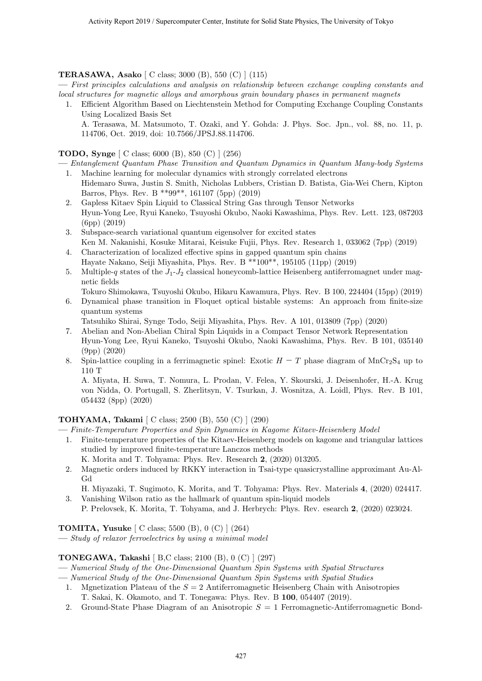#### **TERASAWA, Asako** [ C class; 3000 (B), 550 (C) ] (115)

**—** *First principles calculations and analysis on relationship between exchange coupling constants and local structures for magnetic alloys and amorphous grain boundary phases in permanent magnets*

1. Efficient Algorithm Based on Liechtenstein Method for Computing Exchange Coupling Constants Using Localized Basis Set A. Terasawa, M. Matsumoto, T. Ozaki, and Y. Gohda: J. Phys. Soc. Jpn., vol. 88, no. 11, p. 114706, Oct. 2019, doi: 10.7566/JPSJ.88.114706.

#### **TODO, Synge** [ C class; 6000 (B), 850 (C) ] (256)

- **—** *Entanglement Quantum Phase Transition and Quantum Dynamics in Quantum Many-body Systems* 1. Machine learning for molecular dynamics with strongly correlated electrons
- Hidemaro Suwa, Justin S. Smith, Nicholas Lubbers, Cristian D. Batista, Gia-Wei Chern, Kipton Barros, Phys. Rev. B \*\*99\*\*, 161107 (5pp) (2019)
- 2. Gapless Kitaev Spin Liquid to Classical String Gas through Tensor Networks Hyun-Yong Lee, Ryui Kaneko, Tsuyoshi Okubo, Naoki Kawashima, Phys. Rev. Lett. 123, 087203 (6pp) (2019)
- 3. Subspace-search variational quantum eigensolver for excited states Ken M. Nakanishi, Kosuke Mitarai, Keisuke Fujii, Phys. Rev. Research 1, 033062 (7pp) (2019)
- 4. Characterization of localized effective spins in gapped quantum spin chains Hayate Nakano, Seiji Miyashita, Phys. Rev. B \*\*100\*\*, 195105 (11pp) (2019)
- 5. Multiple-*q* states of the *J*1-*J*<sup>2</sup> classical honeycomb-lattice Heisenberg antiferromagnet under magnetic fields

Tokuro Shimokawa, Tsuyoshi Okubo, Hikaru Kawamura, Phys. Rev. B 100, 224404 (15pp) (2019)

- 6. Dynamical phase transition in Floquet optical bistable systems: An approach from finite-size quantum systems
	- Tatsuhiko Shirai, Synge Todo, Seiji Miyashita, Phys. Rev. A 101, 013809 (7pp) (2020)
- 7. Abelian and Non-Abelian Chiral Spin Liquids in a Compact Tensor Network Representation Hyun-Yong Lee, Ryui Kaneko, Tsuyoshi Okubo, Naoki Kawashima, Phys. Rev. B 101, 035140 (9pp) (2020)
- 8. Spin-lattice coupling in a ferrimagnetic spinel: Exotic  $H T$  phase diagram of MnCr<sub>2</sub>S<sub>4</sub> up to 110 T

A. Miyata, H. Suwa, T. Nomura, L. Prodan, V. Felea, Y. Skourski, J. Deisenhofer, H.-A. Krug von Nidda, O. Portugall, S. Zherlitsyn, V. Tsurkan, J. Wosnitza, A. Loidl, Phys. Rev. B 101, 054432 (8pp) (2020)

#### **TOHYAMA, Takami** [ C class; 2500 (B), 550 (C) ] (290)

**—** *Finite-Temperature Properties and Spin Dynamics in Kagome Kitaev-Heisenberg Model*

1. Finite-temperature properties of the Kitaev-Heisenberg models on kagome and triangular lattices studied by improved finite-temperature Lanczos methods

K. Morita and T. Tohyama: Phys. Rev. Research **2**, (2020) 013205.

2. Magnetic orders induced by RKKY interaction in Tsai-type quasicrystalline approximant Au-Al-Gd

H. Miyazaki, T. Sugimoto, K. Morita, and T. Tohyama: Phys. Rev. Materials **4**, (2020) 024417. 3. Vanishing Wilson ratio as the hallmark of quantum spin-liquid models

P. Prelovsek, K. Morita, T. Tohyama, and J. Herbrych: Phys. Rev. esearch **2**, (2020) 023024.

**TOMITA, Yusuke** [ C class; 5500 (B), 0 (C) ] (264)

**—** *Study of relaxor ferroelectrics by using a minimal model*

#### **TONEGAWA, Takashi** [ B,C class; 2100 (B), 0 (C) ] (297)

- **—** *Numerical Study of the One-Dimensional Quantum Spin Systems with Spatial Structures*
- **—** *Numerical Study of the One-Dimensional Quantum Spin Systems with Spatial Studies*
	- 1. Mgnetization Plateau of the *S* = 2 Antiferromagnetic Heisenberg Chain with Anisotropies T. Sakai, K. Okamoto, and T. Tonegawa: Phys. Rev. B **100**, 054407 (2019).
	- 2. Ground-State Phase Diagram of an Anisotropic *S* = 1 Ferromagnetic-Antiferromagnetic Bond-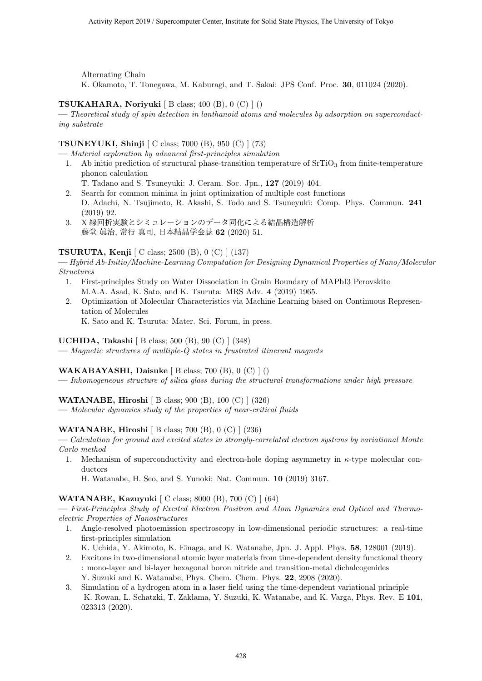Alternating Chain

K. Okamoto, T. Tonegawa, M. Kaburagi, and T. Sakai: JPS Conf. Proc. **30**, 011024 (2020).

#### **TSUKAHARA, Noriyuki** [ B class; 400 (B), 0 (C) ] ()

**—** *Theoretical study of spin detection in lanthanoid atoms and molecules by adsorption on superconducting substrate*

#### **TSUNEYUKI, Shinji** [ C class; 7000 (B), 950 (C) ] (73)

**—** *Material exploration by advanced first-principles simulation*

- 1. Ab initio prediction of structural phase-transition temperature of  $SrTiO<sub>3</sub>$  from finite-temperature phonon calculation
	- T. Tadano and S. Tsuneyuki: J. Ceram. Soc. Jpn., **127** (2019) 404.
- 2. Search for common minima in joint optimization of multiple cost functions D. Adachi, N. Tsujimoto, R. Akashi, S. Todo and S. Tsuneyuki: Comp. Phys. Commun. **241** (2019) 92.
- 3. X 線回折実験とシミュレーションのデータ同化による結晶構造解析 藤堂 眞治, 常行 真司, 日本結晶学会誌 **62** (2020) 51.

#### **TSURUTA, Kenji** [ C class; 2500 (B), 0 (C) ] (137)

**—** *Hybrid Ab-Initio/Machine-Learning Computation for Designing Dynamical Properties of Nano/Molecular Structures*

- 1. First-principles Study on Water Dissociation in Grain Boundary of MAPbI3 Perovskite M.A.A. Asad, K. Sato, and K. Tsuruta: MRS Adv. **4** (2019) 1965.
- 2. Optimization of Molecular Characteristics via Machine Learning based on Continuous Representation of Molecules

K. Sato and K. Tsuruta: Mater. Sci. Forum, in press.

#### **UCHIDA, Takashi** [ B class; 500 (B), 90 (C) ] (348)

**—** *Magnetic structures of multiple-Q states in frustrated itinerant magnets*

#### **WAKABAYASHI, Daisuke** [ B class; 700 (B), 0 (C) ] ()

**—** *Inhomogeneous structure of silica glass during the structural transformations under high pressure*

#### **WATANABE, Hiroshi** [ B class; 900 (B), 100 (C) ] (326)

**—** *Molecular dynamics study of the properties of near-critical fluids*

#### **WATANABE, Hiroshi** [ B class; 700 (B), 0 (C) ] (236)

**—** *Calculation for ground and excited states in strongly-correlated electron systems by variational Monte Carlo method*

1. Mechanism of superconductivity and electron-hole doping asymmetry in *κ*-type molecular conductors

H. Watanabe, H. Seo, and S. Yunoki: Nat. Commun. **10** (2019) 3167.

#### **WATANABE, Kazuyuki** [ C class; 8000 (B), 700 (C) ] (64)

**—** *First-Principles Study of Excited Electron Positron and Atom Dynamics and Optical and Thermoelectric Properties of Nanostructures*

1. Angle-resolved photoemission spectroscopy in low-dimensional periodic structures: a real-time first-principles simulation

K. Uchida, Y. Akimoto, K. Einaga, and K. Watanabe, Jpn. J. Appl. Phys. **58**, 128001 (2019).

- 2. Excitons in two-dimensional atomic layer materials from time-dependent density functional theory : mono-layer and bi-layer hexagonal boron nitride and transition-metal dichalcogenides Y. Suzuki and K. Watanabe, Phys. Chem. Chem. Phys. **22**, 2908 (2020).
- 3. Simulation of a hydrogen atom in a laser field using the time-dependent variational principle K. Rowan, L. Schatzki, T. Zaklama, Y. Suzuki, K. Watanabe, and K. Varga, Phys. Rev. E **101**, 023313 (2020).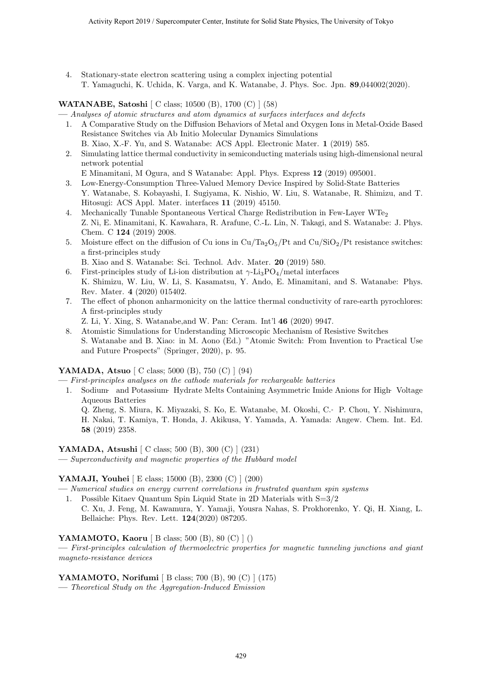4. Stationary-state electron scattering using a complex injecting potential T. Yamaguchi, K. Uchida, K. Varga, and K. Watanabe, J. Phys. Soc. Jpn. **89**,044002(2020).

#### **WATANABE, Satoshi** [ C class; 10500 (B), 1700 (C) ] (58)

- **—** *Analyses of atomic structures and atom dynamics at surfaces interfaces and defects*
- 1. A Comparative Study on the Diffusion Behaviors of Metal and Oxygen Ions in Metal-Oxide Based Resistance Switches via Ab Initio Molecular Dynamics Simulations
- B. Xiao, X.-F. Yu, and S. Watanabe: ACS Appl. Electronic Mater. **1** (2019) 585. 2. Simulating lattice thermal conductivity in semiconducting materials using high-dimensional neural network potential
- E Minamitani, M Ogura, and S Watanabe: Appl. Phys. Express **12** (2019) 095001.
- 3. Low-Energy-Consumption Three-Valued Memory Device Inspired by Solid-State Batteries Y. Watanabe, S. Kobayashi, I. Sugiyama, K. Nishio, W. Liu, S. Watanabe, R. Shimizu, and T. Hitosugi: ACS Appl. Mater. interfaces **11** (2019) 45150.
- 4. Mechanically Tunable Spontaneous Vertical Charge Redistribution in Few-Layer WTe<sup>2</sup> Z. Ni, E. Minamitani, K. Kawahara, R. Arafune, C.-L. Lin, N. Takagi, and S. Watanabe: J. Phys. Chem. C **124** (2019) 2008.
- 5. Moisture effect on the diffusion of Cu ions in  $Cu/Ta_2O_5/Pt$  and  $Cu/SiO_2/Pt$  resistance switches: a first-principles study

B. Xiao and S. Watanabe: Sci. Technol. Adv. Mater. **20** (2019) 580.

- 6. First-principles study of Li-ion distribution at *γ*-Li3PO4/metal interfaces K. Shimizu, W. Liu, W. Li, S. Kasamatsu, Y. Ando, E. Minamitani, and S. Watanabe: Phys. Rev. Mater. **4** (2020) 015402.
- 7. The effect of phonon anharmonicity on the lattice thermal conductivity of rare-earth pyrochlores: A first-principles study

Z. Li, Y. Xing, S. Watanabe,and W. Pan: Ceram. Int'l **46** (2020) 9947.

8. Atomistic Simulations for Understanding Microscopic Mechanism of Resistive Switches S. Watanabe and B. Xiao: in M. Aono (Ed.) "Atomic Switch: From Invention to Practical Use and Future Prospects" (Springer, 2020), p. 95.

### **YAMADA, Atsuo** [ C class; 5000 (B), 750 (C) ] (94)

- **—** *First-principles analyses on the cathode materials for rechargeable batteries*
- 1. Sodium‐ and Potassium‐ Hydrate Melts Containing Asymmetric Imide Anions for High‐ Voltage Aqueous Batteries
	- Q. Zheng, S. Miura, K. Miyazaki, S. Ko, E. Watanabe, M. Okoshi, C.‐ P. Chou, Y. Nishimura,
	- H. Nakai, T. Kamiya, T. Honda, J. Akikusa, Y. Yamada, A. Yamada: Angew. Chem. Int. Ed. **58** (2019) 2358.

#### **YAMADA, Atsushi** [ C class; 500 (B), 300 (C) ] (231)

**—** *Superconductivity and magnetic properties of the Hubbard model*

#### **YAMAJI, Youhei** [ E class; 15000 (B), 2300 (C) ] (200)

- **—** *Numerical studies on energy current correlations in frustrated quantum spin systems*
	- 1. Possible Kitaev Quantum Spin Liquid State in 2D Materials with S=3/2 C. Xu, J. Feng, M. Kawamura, Y. Yamaji, Yousra Nahas, S. Prokhorenko, Y. Qi, H. Xiang, L. Bellaiche: Phys. Rev. Lett. **124**(2020) 087205.

#### **YAMAMOTO, Kaoru** [ B class; 500 (B), 80 (C) ] ()

**—** *First-principles calculation of thermoelectric properties for magnetic tunneling junctions and giant magneto-resistance devices*

#### **YAMAMOTO, Norifumi** [ B class; 700 (B), 90 (C) ] (175)

**—** *Theoretical Study on the Aggregation-Induced Emission*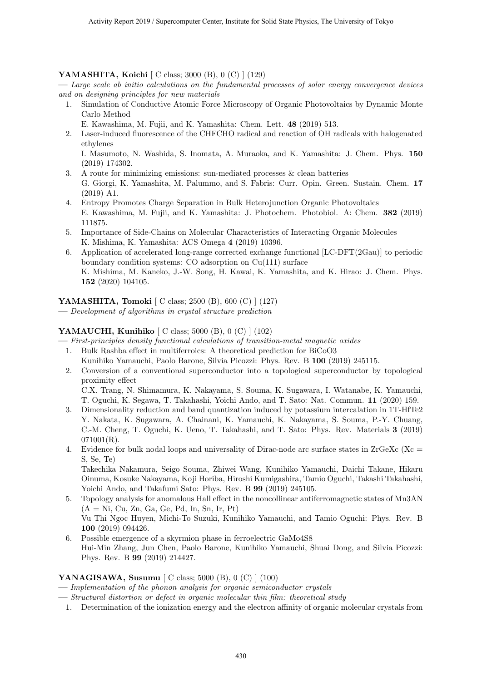#### **YAMASHITA, Koichi** [ C class; 3000 (B), 0 (C) ] (129)

**—** *Large scale ab initio calculations on the fundamental processes of solar energy convergence devices and on designing principles for new materials*

1. Simulation of Conductive Atomic Force Microscopy of Organic Photovoltaics by Dynamic Monte Carlo Method

E. Kawashima, M. Fujii, and K. Yamashita: Chem. Lett. **48** (2019) 513.

2. Laser-induced fluorescence of the CHFCHO radical and reaction of OH radicals with halogenated ethylenes

I. Masumoto, N. Washida, S. Inomata, A. Muraoka, and K. Yamashita: J. Chem. Phys. **150** (2019) 174302.

- 3. A route for minimizing emissions: sun-mediated processes  $\&$  clean batteries G. Giorgi, K. Yamashita, M. Palummo, and S. Fabris: Curr. Opin. Green. Sustain. Chem. **17** (2019) A1.
- 4. Entropy Promotes Charge Separation in Bulk Heterojunction Organic Photovoltaics E. Kawashima, M. Fujii, and K. Yamashita: J. Photochem. Photobiol. A: Chem. **382** (2019) 111875.
- 5. Importance of Side-Chains on Molecular Characteristics of Interacting Organic Molecules K. Mishima, K. Yamashita: ACS Omega **4** (2019) 10396.
- 6. Application of accelerated long-range corrected exchange functional [LC-DFT(2Gau)] to periodic boundary condition systems: CO adsorption on Cu(111) surface K. Mishima, M. Kaneko, J.-W. Song, H. Kawai, K. Yamashita, and K. Hirao: J. Chem. Phys. **152** (2020) 104105.

**YAMASHITA, Tomoki** [ C class; 2500 (B), 600 (C) ] (127)

**—** *Development of algorithms in crystal structure prediction*

#### **YAMAUCHI, Kunihiko** [ C class; 5000 (B), 0 (C) ] (102)

**—** *First-principles density functional calculations of transition-metal magnetic oxides*

- 1. Bulk Rashba effect in multiferroics: A theoretical prediction for BiCoO3
	- Kunihiko Yamauchi, Paolo Barone, Silvia Picozzi: Phys. Rev. B **100** (2019) 245115.
- 2. Conversion of a conventional superconductor into a topological superconductor by topological proximity effect

C.X. Trang, N. Shimamura, K. Nakayama, S. Souma, K. Sugawara, I. Watanabe, K. Yamauchi, T. Oguchi, K. Segawa, T. Takahashi, Yoichi Ando, and T. Sato: Nat. Commun. **11** (2020) 159.

- 3. Dimensionality reduction and band quantization induced by potassium intercalation in 1T-HfTe2 Y. Nakata, K. Sugawara, A. Chainani, K. Yamauchi, K. Nakayama, S. Souma, P.-Y. Chuang, C.-M. Cheng, T. Oguchi, K. Ueno, T. Takahashi, and T. Sato: Phys. Rev. Materials **3** (2019)  $071001(R)$ .
- 4. Evidence for bulk nodal loops and universality of Dirac-node arc surface states in  $ZrGexC$  (Xc = S, Se, Te)

Takechika Nakamura, Seigo Souma, Zhiwei Wang, Kunihiko Yamauchi, Daichi Takane, Hikaru Oinuma, Kosuke Nakayama, Koji Horiba, Hiroshi Kumigashira, Tamio Oguchi, Takashi Takahashi, Yoichi Ando, and Takafumi Sato: Phys. Rev. B **99** (2019) 245105.

- 5. Topology analysis for anomalous Hall effect in the noncollinear antiferromagnetic states of Mn3AN  $(A = Ni, Cu, Zn, Ga, Ge, Pd, In, Sn, Ir, Pt)$ Vu Thi Ngoc Huyen, Michi-To Suzuki, Kunihiko Yamauchi, and Tamio Oguchi: Phys. Rev. B **100** (2019) 094426.
- 6. Possible emergence of a skyrmion phase in ferroelectric GaMo4S8 Hui-Min Zhang, Jun Chen, Paolo Barone, Kunihiko Yamauchi, Shuai Dong, and Silvia Picozzi: Phys. Rev. B **99** (2019) 214427.

#### **YANAGISAWA, Susumu** [ C class; 5000 (B), 0 (C) ] (100)

- **—** *Implementation of the phonon analysis for organic semiconductor crystals*
- **—** *Structural distortion or defect in organic molecular thin film: theoretical study*
- 1. Determination of the ionization energy and the electron affinity of organic molecular crystals from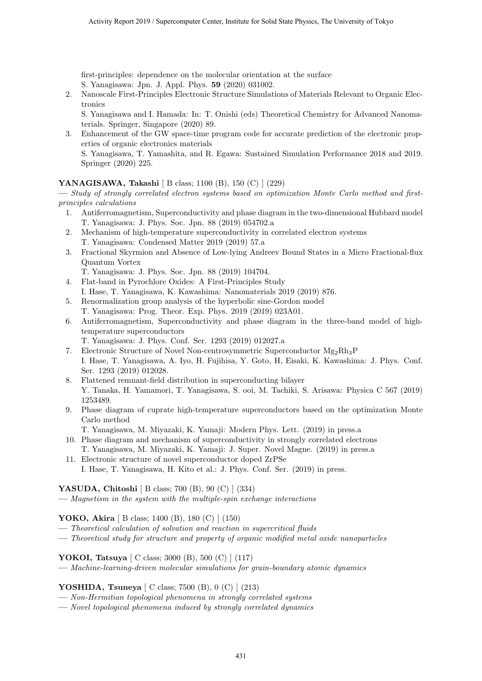first-principles: dependence on the molecular orientation at the surface S. Yanagisawa: Jpn. J. Appl. Phys. **59** (2020) 031002.

2. Nanoscale First-Principles Electronic Structure Simulations of Materials Relevant to Organic Electronics

S. Yanagisawa and I. Hamada: In: T. Onishi (eds) Theoretical Chemistry for Advanced Nanomaterials. Springer, Singapore (2020) 89.

3. Enhancement of the GW space-time program code for accurate prediction of the electronic properties of organic electronics materials

S. Yanagisawa, T. Yamashita, and R. Egawa: Sustained Simulation Performance 2018 and 2019. Springer (2020) 225.

#### **YANAGISAWA, Takashi** [ B class; 1100 (B), 150 (C) ] (229)

**—** *Study of strongly correlated electron systems based on optimization Monte Carlo method and firstprinciples calculations*

- 1. Antiferromagnetism, Superconductivity and phase diagram in the two-dimensional Hubbard model T. Yanagisawa: J. Phys. Soc. Jpn. 88 (2019) 054702.a
- 2. Mechanism of high-temperature superconductivity in correlated electron systems T. Yanagisawa: Condensed Matter 2019 (2019) 57.a
- 3. Fractional Skyrmion and Absence of Low-lying Andreev Bound States in a Micro Fractional-flux Quantum Vortex
	- T. Yanagisawa: J. Phys. Soc. Jpn. 88 (2019) 104704.
- 4. Flat-band in Pyrochlore Oxides: A First-Principles Study
- I. Hase, T. Yanagisawa, K. Kawashima: Nanomaterials 2019 (2019) 876.
- 5. Renormalization group analysis of the hyperbolic sine-Gordon model T. Yanagisawa: Prog. Theor. Exp. Phys. 2019 (2019) 023A01.
- 6. Antiferromagnetism, Superconductivity and phase diagram in the three-band model of hightemperature superconductors
	- T. Yanagisawa: J. Phys. Conf. Ser. 1293 (2019) 012027.a
- 7. Electronic Structure of Novel Non-centrosymmetric Superconductor  $Mg_2Rh_3P$ I. Hase, T. Yanagisawa, A. Iyo, H. Fujihisa, Y. Goto, H, Eisaki, K. Kawashima: J. Phys. Conf. Ser. 1293 (2019) 012028.
- 8. Flattened remnant-field distribution in superconducting bilayer Y. Tanaka, H. Yamamori, T. Yanagisawa, S. ooi, M. Tachiki, S. Arisawa: Physica C 567 (2019) 1253489.
- 9. Phase diagram of cuprate high-temperature superconductors based on the optimization Monte Carlo method
	- T. Yanagisawa, M. Miyazaki, K. Yamaji: Modern Phys. Lett. (2019) in press.a
- 10. Phase diagram and mechanism of superconductivity in strongly correlated electrons T. Yanagisawa, M. Miyazaki, K. Yamaji: J. Super. Novel Magne. (2019) in press.a
- 11. Electronic structure of novel superconductor doped ZrPSe I. Hase, T. Yanagisawa, H. Kito et al.: J. Phys. Conf. Ser. (2019) in press.

**YASUDA, Chitoshi** [ B class; 700 (B), 90 (C) ] (334)

**—** *Magnetism in the system with the multiple-spin exchange interactions*

#### **YOKO, Akira** [ B class; 1400 (B), 180 (C) ] (150)

- **—** *Theoretical calculation of solvation and reaction in supercritical fluids*
- **—** *Theoretical study for structure and property of organic modified metal oxide nanoparticles*

**YOKOI, Tatsuya** [ C class; 3000 (B), 500 (C) ] (117)

**—** *Machine-learning-driven molecular simulations for grain-boundary atomic dynamics*

#### **YOSHIDA, Tsuneya** [ C class; 7500 (B), 0 (C) ] (213)

- **—** *Non-Hermitian topological phenomena in strongly correlated systems*
- **—** *Novel topological phenomena induced by strongly correlated dynamics*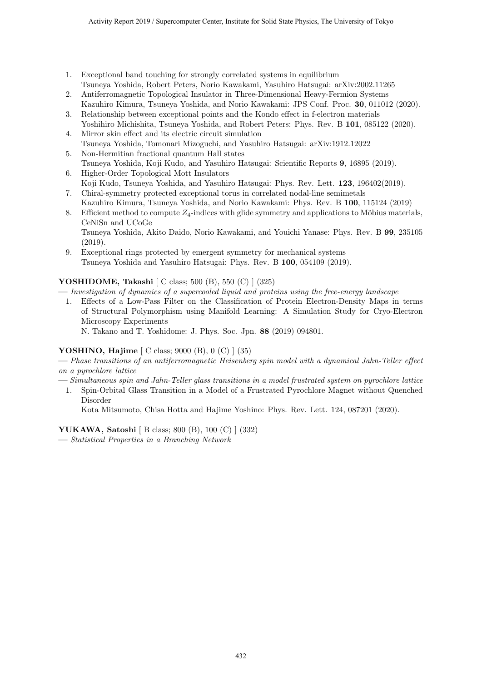- 1. Exceptional band touching for strongly correlated systems in equilibrium Tsuneya Yoshida, Robert Peters, Norio Kawakami, Yasuhiro Hatsugai: arXiv:2002.11265
- 2. Antiferromagnetic Topological Insulator in Three-Dimensional Heavy-Fermion Systems Kazuhiro Kimura, Tsuneya Yoshida, and Norio Kawakami: JPS Conf. Proc. **30**, 011012 (2020).
- 3. Relationship between exceptional points and the Kondo effect in f-electron materials Yoshihiro Michishita, Tsuneya Yoshida, and Robert Peters: Phys. Rev. B **101**, 085122 (2020).
- 4. Mirror skin effect and its electric circuit simulation Tsuneya Yoshida, Tomonari Mizoguchi, and Yasuhiro Hatsugai: arXiv:1912.12022
- 5. Non-Hermitian fractional quantum Hall states Tsuneya Yoshida, Koji Kudo, and Yasuhiro Hatsugai: Scientific Reports **9**, 16895 (2019).
- 6. Higher-Order Topological Mott Insulators Koji Kudo, Tsuneya Yoshida, and Yasuhiro Hatsugai: Phys. Rev. Lett. **123**, 196402(2019).
- 7. Chiral-symmetry protected exceptional torus in correlated nodal-line semimetals Kazuhiro Kimura, Tsuneya Yoshida, and Norio Kawakami: Phys. Rev. B **100**, 115124 (2019)
- 8. Efficient method to compute  $Z_4$ -indices with glide symmetry and applications to Möbius materials, CeNiSn and UCoGe

Tsuneya Yoshida, Akito Daido, Norio Kawakami, and Youichi Yanase: Phys. Rev. B **99**, 235105 (2019).

9. Exceptional rings protected by emergent symmetry for mechanical systems Tsuneya Yoshida and Yasuhiro Hatsugai: Phys. Rev. B **100**, 054109 (2019).

#### **YOSHIDOME, Takashi** [ C class; 500 (B), 550 (C) ] (325)

**—** *Investigation of dynamics of a supercooled liquid and proteins using the free-energy landscape*

1. Effects of a Low-Pass Filter on the Classification of Protein Electron-Density Maps in terms of Structural Polymorphism using Manifold Learning: A Simulation Study for Cryo-Electron Microscopy Experiments

N. Takano and T. Yoshidome: J. Phys. Soc. Jpn. **88** (2019) 094801.

#### **YOSHINO, Hajime** [ C class; 9000 (B), 0 (C) ] (35)

- **—** *Phase transitions of an antiferromagnetic Heisenberg spin model with a dynamical Jahn-Teller effect on a pyrochlore lattice*
- **—** *Simultaneous spin and Jahn-Teller glass transitions in a model frustrated system on pyrochlore lattice*
	- 1. Spin-Orbital Glass Transition in a Model of a Frustrated Pyrochlore Magnet without Quenched Disorder

Kota Mitsumoto, Chisa Hotta and Hajime Yoshino: Phys. Rev. Lett. 124, 087201 (2020).

### **YUKAWA, Satoshi** [ B class; 800 (B), 100 (C) ] (332)

**—** *Statistical Properties in a Branching Network*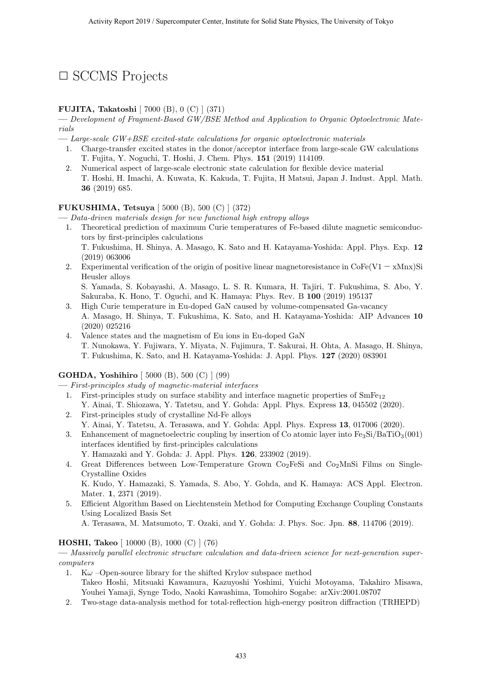## *✷* SCCMS Projects

#### **FUJITA, Takatoshi** [ 7000 (B), 0 (C) ] (371)

**—** *Development of Fragment-Based GW/BSE Method and Application to Organic Optoelectronic Materials*

- **—** *Large-scale GW+BSE excited-state calculations for organic optoelectronic materials*
- 1. Charge-transfer excited states in the donor/acceptor interface from large-scale GW calculations T. Fujita, Y. Noguchi, T. Hoshi, J. Chem. Phys. **151** (2019) 114109.
- 2. Numerical aspect of large-scale electronic state calculation for flexible device material T. Hoshi, H. Imachi, A. Kuwata, K. Kakuda, T. Fujita, H Matsui, Japan J. Indust. Appl. Math. **36** (2019) 685.

#### **FUKUSHIMA, Tetsuya** [ 5000 (B), 500 (C) ] (372)

- **—** *Data-driven materials design for new functional high entropy alloys*
- 1. Theoretical prediction of maximum Curie temperatures of Fe-based dilute magnetic semiconductors by first-principles calculations T. Fukushima, H. Shinya, A. Masago, K. Sato and H. Katayama-Yoshida: Appl. Phys. Exp. **12**
- (2019) 063006 2. Experimental verification of the origin of positive linear magnetoresistance in  $\text{CoFe}(V1 - x\text{Mnx})\text{Si}$ Heusler alloys

S. Yamada, S. Kobayashi, A. Masago, L. S. R. Kumara, H. Tajiri, T. Fukushima, S. Abo, Y. Sakuraba, K. Hono, T. Oguchi, and K. Hamaya: Phys. Rev. B **100** (2019) 195137

- 3. High Curie temperature in Eu-doped GaN caused by volume-compensated Ga-vacancy A. Masago, H. Shinya, T. Fukushima, K. Sato, and H. Katayama-Yoshida: AIP Advances **10** (2020) 025216
- 4. Valence states and the magnetism of Eu ions in Eu-doped GaN T. Nunokawa, Y. Fujiwara, Y. Miyata, N. Fujimura, T. Sakurai, H. Ohta, A. Masago, H. Shinya, T. Fukushima, K. Sato, and H. Katayama-Yoshida: J. Appl. Phys. **127** (2020) 083901

### **GOHDA, Yoshihiro** [ 5000 (B), 500 (C) ] (99)

**—** *First-principles study of magnetic-material interfaces*

- 1. First-principles study on surface stability and interface magnetic properties of  $SmFe_{12}$ Y. Ainai, T. Shiozawa, Y. Tatetsu, and Y. Gohda: Appl. Phys. Express **13**, 045502 (2020).
- 2. First-principles study of crystalline Nd-Fe alloys
	- Y. Ainai, Y. Tatetsu, A. Terasawa, and Y. Gohda: Appl. Phys. Express **13**, 017006 (2020).
- 3. Enhancement of magnetoelectric coupling by insertion of Co atomic layer into  $Fe<sub>3</sub>Si/BaTiO<sub>3</sub>(001)$ interfaces identified by first-principles calculations
	- Y. Hamazaki and Y. Gohda: J. Appl. Phys. **126**, 233902 (2019).
- 4. Great Differences between Low-Temperature Grown  $Co<sub>2</sub>FeSi$  and  $Co<sub>2</sub>MnSi$  Films on Single-Crystalline Oxides K. Kudo, Y. Hamazaki, S. Yamada, S. Abo, Y. Gohda, and K. Hamaya: ACS Appl. Electron.

Mater. **1**, 2371 (2019).

5. Efficient Algorithm Based on Liechtenstein Method for Computing Exchange Coupling Constants Using Localized Basis Set

A. Terasawa, M. Matsumoto, T. Ozaki, and Y. Gohda: J. Phys. Soc. Jpn. **88**, 114706 (2019).

#### **HOSHI, Takeo** [ 10000 (B), 1000 (C) ] (76)

**—** *Massively parallel electronic structure calculation and data-driven science for next-generation supercomputers*

- 1. K $\omega$  –Open-source library for the shifted Krylov subspace method Takeo Hoshi, Mitsuaki Kawamura, Kazuyoshi Yoshimi, Yuichi Motoyama, Takahiro Misawa, Youhei Yamaji, Synge Todo, Naoki Kawashima, Tomohiro Sogabe: arXiv:2001.08707
- 2. Two-stage data-analysis method for total-reflection high-energy positron diffraction (TRHEPD)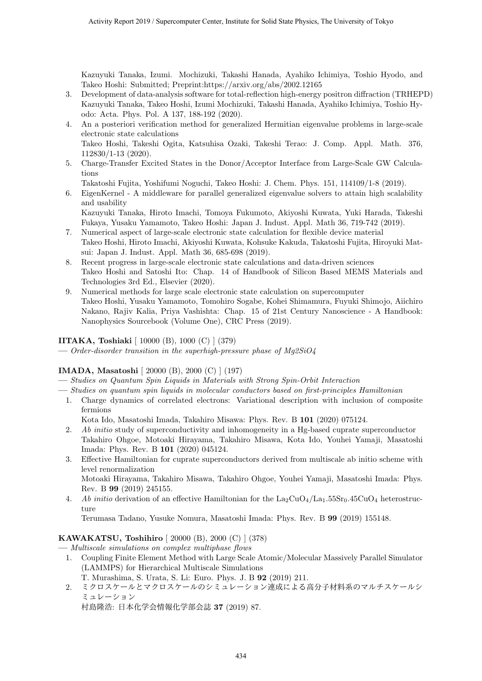Kazuyuki Tanaka, Izumi. Mochizuki, Takashi Hanada, Ayahiko Ichimiya, Toshio Hyodo, and Takeo Hoshi: Submitted; Preprint:https://arxiv.org/abs/2002.12165

- 3. Development of data-analysis software for total-reflection high-energy positron diffraction (TRHEPD) Kazuyuki Tanaka, Takeo Hoshi, Izumi Mochizuki, Takashi Hanada, Ayahiko Ichimiya, Toshio Hyodo: Acta. Phys. Pol. A 137, 188-192 (2020).
- 4. An a posteriori verification method for generalized Hermitian eigenvalue problems in large-scale electronic state calculations Takeo Hoshi, Takeshi Ogita, Katsuhisa Ozaki, Takeshi Terao: J. Comp. Appl. Math. 376, 112830/1-13 (2020).
- 5. Charge-Transfer Excited States in the Donor/Acceptor Interface from Large-Scale GW Calculations

Takatoshi Fujita, Yoshifumi Noguchi, Takeo Hoshi: J. Chem. Phys. 151, 114109/1-8 (2019).

6. EigenKernel - A middleware for parallel generalized eigenvalue solvers to attain high scalability and usability Kazuyuki Tanaka, Hiroto Imachi, Tomoya Fukumoto, Akiyoshi Kuwata, Yuki Harada, Takeshi

Fukaya, Yusaku Yamamoto, Takeo Hoshi: Japan J. Indust. Appl. Math 36, 719-742 (2019).

- 7. Numerical aspect of large-scale electronic state calculation for flexible device material Takeo Hoshi, Hiroto Imachi, Akiyoshi Kuwata, Kohsuke Kakuda, Takatoshi Fujita, Hiroyuki Matsui: Japan J. Indust. Appl. Math 36, 685-698 (2019).
- 8. Recent progress in large-scale electronic state calculations and data-driven sciences Takeo Hoshi and Satoshi Ito: Chap. 14 of Handbook of Silicon Based MEMS Materials and Technologies 3rd Ed., Elsevier (2020).
- 9. Numerical methods for large scale electronic state calculation on supercomputer Takeo Hoshi, Yusaku Yamamoto, Tomohiro Sogabe, Kohei Shimamura, Fuyuki Shimojo, Aiichiro Nakano, Rajiv Kalia, Priya Vashishta: Chap. 15 of 21st Century Nanoscience - A Handbook: Nanophysics Sourcebook (Volume One), CRC Press (2019).

#### **IITAKA, Toshiaki** [ 10000 (B), 1000 (C) ] (379)

**—** *Order-disorder transition in the superhigh-pressure phase of Mg2SiO4*

### **IMADA, Masatoshi** [ 20000 (B), 2000 (C) ] (197)

- **—** *Studies on Quantum Spin Liquids in Materials with Strong Spin-Orbit Interaction*
- **—** *Studies on quantum spin liquids in molecular conductors based on first-principles Hamiltonian*
- 1. Charge dynamics of correlated electrons: Variational description with inclusion of composite fermions

Kota Ido, Masatoshi Imada, Takahiro Misawa: Phys. Rev. B **101** (2020) 075124.

- 2. *Ab initio* study of superconductivity and inhomogeneity in a Hg-based cuprate superconductor Takahiro Ohgoe, Motoaki Hirayama, Takahiro Misawa, Kota Ido, Youhei Yamaji, Masatoshi Imada: Phys. Rev. B **101** (2020) 045124.
- 3. Effective Hamiltonian for cuprate superconductors derived from multiscale ab initio scheme with level renormalization Motoaki Hirayama, Takahiro Misawa, Takahiro Ohgoe, Youhei Yamaji, Masatoshi Imada: Phys. Rev. B **99** (2019) 245155.
- 4. *Ab initio* derivation of an effective Hamiltonian for the La<sub>2</sub>CuO<sub>4</sub>/La<sub>1</sub>.55Sr<sub>0</sub>.45CuO<sub>4</sub> heterostructure

Terumasa Tadano, Yusuke Nomura, Masatoshi Imada: Phys. Rev. B **99** (2019) 155148.

#### **KAWAKATSU, Toshihiro** [ 20000 (B), 2000 (C) ] (378)

**—** *Multiscale simulations on complex multiphase flows*

- 1. Coupling Finite Element Method with Large Scale Atomic/Molecular Massively Parallel Simulator (LAMMPS) for Hierarchical Multiscale Simulations
	- T. Murashima, S. Urata, S. Li: Euro. Phys. J. B **92** (2019) 211.
- 2. ミクロスケールとマクロスケールのシミュレーション連成による高分子材料系のマルチスケールシ ミュレーション

村島隆浩: 日本化学会情報化学部会誌 **37** (2019) 87.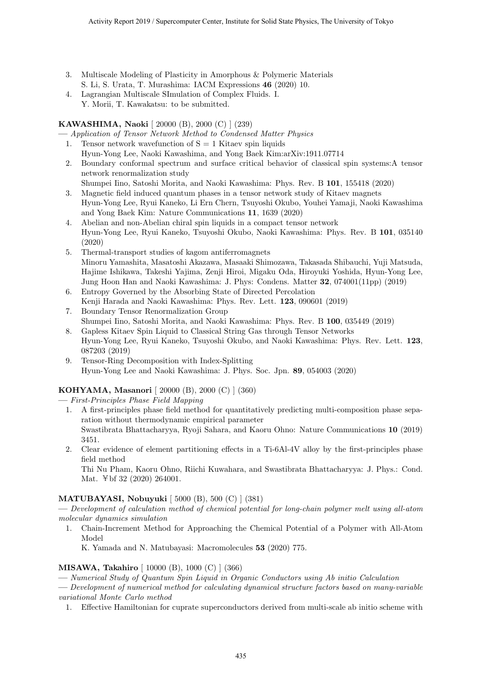- 3. Multiscale Modeling of Plasticity in Amorphous & Polymeric Materials S. Li, S. Urata, T. Murashima: IACM Expressions **46** (2020) 10.
- 4. Lagrangian Multiscale SImulation of Complex Fluids. I. Y. Morii, T. Kawakatsu: to be submitted.

#### **KAWASHIMA, Naoki** [ 20000 (B), 2000 (C) ] (239)

**—** *Application of Tensor Network Method to Condensed Matter Physics*

- 1. Tensor network wavefunction of  $S = 1$  Kitaev spin liquids Hyun-Yong Lee, Naoki Kawashima, and Yong Baek Kim:arXiv:1911.07714
- 2. Boundary conformal spectrum and surface critical behavior of classical spin systems:A tensor network renormalization study
- Shumpei Iino, Satoshi Morita, and Naoki Kawashima: Phys. Rev. B **101**, 155418 (2020)
- 3. Magnetic field induced quantum phases in a tensor network study of Kitaev magnets Hyun-Yong Lee, Ryui Kaneko, Li Ern Chern, Tsuyoshi Okubo, Youhei Yamaji, Naoki Kawashima and Yong Baek Kim: Nature Communications **11**, 1639 (2020)
- 4. Abelian and non-Abelian chiral spin liquids in a compact tensor network Hyun-Yong Lee, Ryui Kaneko, Tsuyoshi Okubo, Naoki Kawashima: Phys. Rev. B **101**, 035140 (2020)
- 5. Thermal-transport studies of kagom antiferromagnets Minoru Yamashita, Masatoshi Akazawa, Masaaki Shimozawa, Takasada Shibauchi, Yuji Matsuda, Hajime Ishikawa, Takeshi Yajima, Zenji Hiroi, Migaku Oda, Hiroyuki Yoshida, Hyun-Yong Lee, Jung Hoon Han and Naoki Kawashima: J. Phys: Condens. Matter **32**, 074001(11pp) (2019)
- 6. Entropy Governed by the Absorbing State of Directed Percolation Kenji Harada and Naoki Kawashima: Phys. Rev. Lett. **123**, 090601 (2019)
- 7. Boundary Tensor Renormalization Group Shumpei Iino, Satoshi Morita, and Naoki Kawashima: Phys. Rev. B **100**, 035449 (2019)
- 8. Gapless Kitaev Spin Liquid to Classical String Gas through Tensor Networks Hyun-Yong Lee, Ryui Kaneko, Tsuyoshi Okubo, and Naoki Kawashima: Phys. Rev. Lett. **123**, 087203 (2019)
- 9. Tensor-Ring Decomposition with Index-Splitting Hyun-Yong Lee and Naoki Kawashima: J. Phys. Soc. Jpn. **89**, 054003 (2020)

### **KOHYAMA, Masanori** [ 20000 (B), 2000 (C) ] (360)

**—** *First-Principles Phase Field Mapping*

- 1. A first-principles phase field method for quantitatively predicting multi-composition phase separation without thermodynamic empirical parameter Swastibrata Bhattacharyya, Ryoji Sahara, and Kaoru Ohno: Nature Communications **10** (2019) 3451.
- 2. Clear evidence of element partitioning effects in a Ti-6Al-4V alloy by the first-principles phase field method

Thi Nu Pham, Kaoru Ohno, Riichi Kuwahara, and Swastibrata Bhattacharyya: J. Phys.: Cond. Mat. ¥bf 32 (2020) 264001.

#### **MATUBAYASI, Nobuyuki** [ 5000 (B), 500 (C) ] (381)

**—** *Development of calculation method of chemical potential for long-chain polymer melt using all-atom molecular dynamics simulation*

1. Chain-Increment Method for Approaching the Chemical Potential of a Polymer with All-Atom Model

K. Yamada and N. Matubayasi: Macromolecules **53** (2020) 775.

#### **MISAWA, Takahiro** [ 10000 (B), 1000 (C) ] (366)

- **—** *Numerical Study of Quantum Spin Liquid in Organic Conductors using Ab initio Calculation*
- **—** *Development of numerical method for calculating dynamical structure factors based on many-variable variational Monte Carlo method*
- 1. Effective Hamiltonian for cuprate superconductors derived from multi-scale ab initio scheme with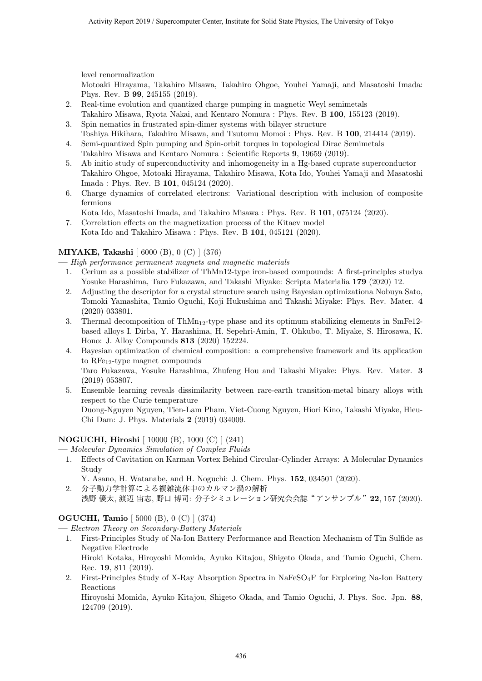level renormalization

Motoaki Hirayama, Takahiro Misawa, Takahiro Ohgoe, Youhei Yamaji, and Masatoshi Imada: Phys. Rev. B **99**, 245155 (2019).

- 2. Real-time evolution and quantized charge pumping in magnetic Weyl semimetals
- Takahiro Misawa, Ryota Nakai, and Kentaro Nomura : Phys. Rev. B **100**, 155123 (2019).
- 3. Spin nematics in frustrated spin-dimer systems with bilayer structure Toshiya Hikihara, Takahiro Misawa, and Tsutomu Momoi : Phys. Rev. B **100**, 214414 (2019).
- 4. Semi-quantized Spin pumping and Spin-orbit torques in topological Dirac Semimetals Takahiro Misawa and Kentaro Nomura : Scientific Reports **9**, 19659 (2019).
- 5. Ab initio study of superconductivity and inhomogeneity in a Hg-based cuprate superconductor Takahiro Ohgoe, Motoaki Hirayama, Takahiro Misawa, Kota Ido, Youhei Yamaji and Masatoshi Imada : Phys. Rev. B **101**, 045124 (2020).
- 6. Charge dynamics of correlated electrons: Variational description with inclusion of composite fermions
	- Kota Ido, Masatoshi Imada, and Takahiro Misawa : Phys. Rev. B **101**, 075124 (2020).
- 7. Correlation effects on the magnetization process of the Kitaev model Kota Ido and Takahiro Misawa : Phys. Rev. B **101**, 045121 (2020).

#### **MIYAKE, Takashi** [ 6000 (B), 0 (C) ] (376)

**—** *High performance permanent magnets and magnetic materials*

- 1. Cerium as a possible stabilizer of ThMn12-type iron-based compounds: A first-principles studya Yosuke Harashima, Taro Fukazawa, and Takashi Miyake: Scripta Materialia **179** (2020) 12.
- 2. Adjusting the descriptor for a crystal structure search using Bayesian optimizationa Nobuya Sato, Tomoki Yamashita, Tamio Oguchi, Koji Hukushima and Takashi Miyake: Phys. Rev. Mater. **4** (2020) 033801.
- 3. Thermal decomposition of  $ThMn_{12}$ -type phase and its optimum stabilizing elements in SmFe12based alloys I. Dirba, Y. Harashima, H. Sepehri-Amin, T. Ohkubo, T. Miyake, S. Hirosawa, K. Hono: J. Alloy Compounds **813** (2020) 152224.
- 4. Bayesian optimization of chemical composition: a comprehensive framework and its application to RFe12-type magnet compounds Taro Fukazawa, Yosuke Harashima, Zhufeng Hou and Takashi Miyake: Phys. Rev. Mater. **3** (2019) 053807.
- 5. Ensemble learning reveals dissimilarity between rare-earth transition-metal binary alloys with respect to the Curie temperature Duong-Nguyen Nguyen, Tien-Lam Pham, Viet-Cuong Nguyen, Hiori Kino, Takashi Miyake, Hieu-Chi Dam: J. Phys. Materials **2** (2019) 034009.

#### **NOGUCHI, Hiroshi** [ 10000 (B), 1000 (C) ] (241)

**—** *Molecular Dynamics Simulation of Complex Fluids*

1. Effects of Cavitation on Karman Vortex Behind Circular-Cylinder Arrays: A Molecular Dynamics Study

Y. Asano, H. Watanabe, and H. Noguchi: J. Chem. Phys. **152**, 034501 (2020).

2. 分子動力学計算による複雑流体中のカルマン渦の解析 浅野 優太, 渡辺 宙志, 野口 博司: 分子シミュレーション研究会会誌"アンサンブル"**22**, 157 (2020).

### **OGUCHI, Tamio** [ 5000 (B), 0 (C) ] (374)

- **—** *Electron Theory on Secondary-Battery Materials*
	- 1. First-Principles Study of Na-Ion Battery Performance and Reaction Mechanism of Tin Sulfide as Negative Electrode Hiroki Kotaka, Hiroyoshi Momida, Ayuko Kitajou, Shigeto Okada, and Tamio Oguchi, Chem.
	- Rec. **19**, 811 (2019). 2. First-Principles Study of X-Ray Absorption Spectra in NaFeSO<sub>4</sub>F for Exploring Na-Ion Battery Reactions Hiroyoshi Momida, Ayuko Kitajou, Shigeto Okada, and Tamio Oguchi, J. Phys. Soc. Jpn. **88**,

124709 (2019).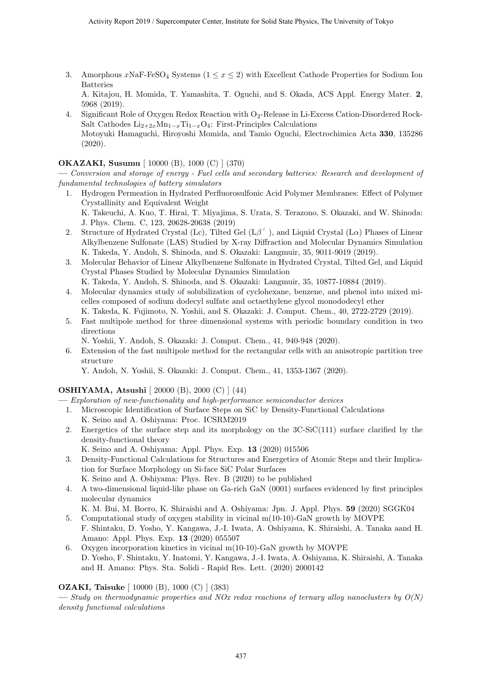3. Amorphous  $x\text{NaF-FeSO}_4$  Systems  $(1 \leq x \leq 2)$  with Excellent Cathode Properties for Sodium Ion Batteries

A. Kitajou, H. Momida, T. Yamashita, T. Oguchi, and S. Okada, ACS Appl. Energy Mater. **2**, 5968 (2019).

4. Significant Role of Oxygen Redox Reaction with O<sub>2</sub>-Release in Li-Excess Cation-Disordered Rock-Salt Cathodes  $Li_{2+2x}Mn_{1-x}Ti_{1-x}O_4$ : First-Principles Calculations Motoyuki Hamaguchi, Hiroyoshi Momida, and Tamio Oguchi, Electrochimica Acta **330**, 135286 (2020).

#### **OKAZAKI, Susumu** [ 10000 (B), 1000 (C) ] (370)

**—** *Conversion and storage of energy - Fuel cells and secondary batteries: Research and development of fundamental technologies of battery simulators*

- 1. Hydrogen Permeation in Hydrated Perfluorosulfonic Acid Polymer Membranes: Effect of Polymer Crystallinity and Equivalent Weight K. Takeuchi, A. Kuo, T. Hirai, T. Miyajima, S. Urata, S. Terazono, S. Okazaki, and W. Shinoda: J. Phys. Chem. C, 123, 20628-20638 (2019)
- 2. Structure of Hydrated Crystal (Lc), Tilted Gel (L*β* ′ ), and Liquid Crystal (L*α*) Phases of Linear Alkylbenzene Sulfonate (LAS) Studied by X-ray Diffraction and Molecular Dynamics Simulation K. Takeda, Y. Andoh, S. Shinoda, and S. Okazaki: Langmuir, 35, 9011-9019 (2019).
- 3. Molecular Behavior of Linear Alkylbenzene Sulfonate in Hydrated Crystal, Tilted Gel, and Liquid Crystal Phases Studied by Molecular Dynamics Simulation

K. Takeda, Y. Andoh, S. Shinoda, and S. Okazaki: Langmuir, 35, 10877-10884 (2019).

- 4. Molecular dynamics study of solubilization of cyclohexane, benzene, and phenol into mixed micelles composed of sodium dodecyl sulfate and octaethylene glycol monododecyl ether K. Takeda, K. Fujimoto, N. Yoshii, and S. Okazaki: J. Comput. Chem., 40, 2722-2729 (2019).
- 5. Fast multipole method for three dimensional systems with periodic boundary condition in two directions
	- N. Yoshii, Y. Andoh, S. Okazaki: J. Comput. Chem., 41, 940-948 (2020).
- 6. Extension of the fast multipole method for the rectangular cells with an anisotropic partition tree structure

Y. Andoh, N. Yoshii, S. Okazaki: J. Comput. Chem., 41, 1353-1367 (2020).

#### **OSHIYAMA, Atsushi** [ 20000 (B), 2000 (C) ] (44)

**—** *Exploration of new-functionality and high-performance semiconductor devices*

- 1. Microscopic Identification of Surface Steps on SiC by Density-Functional Calculations K. Seino and A. Oshiyama: Proc. ICSRM2019
- 2. Energetics of the surface step and its morphology on the 3C-SiC(111) surface clarified by the density-functional theory
	- K. Seino and A. Oshiyama: Appl. Phys. Exp. **13** (2020) 015506
- 3. Density-Functional Calculations for Structures and Energetics of Atomic Steps and their Implication for Surface Morphology on Si-face SiC Polar Surfaces K. Seino and A. Oshiyama: Phys. Rev. B (2020) to be published
- 4. A two-dimensional liquid-like phase on Ga-rich GaN (0001) surfaces evidenced by first principles molecular dynamics
- K. M. Bui, M. Boero, K. Shiraishi and A. Oshiyama: Jpn. J. Appl. Phys. **59** (2020) SGGK04
- 5. Computational study of oxygen stability in vicinal m(10-10)-GaN growth by MOVPE F. Shintaku, D. Yosho, Y. Kangawa, J.-I. Iwata, A. Oshiyama, K. Shiraishi, A. Tanaka aand H. Amano: Appl. Phys. Exp. **13** (2020) 055507
- 6. Oxygen incorporation kinetics in vicinal m(10-10)-GaN growth by MOVPE D. Yosho, F. Shintaku, Y. Inatomi, Y. Kangawa, J.-I. Iwata, A. Oshiyama, K. Shiraishi, A. Tanaka and H. Amano: Phys. Sta. Solidi - Rapid Res. Lett. (2020) 2000142

#### **OZAKI, Taisuke** [ 10000 (B), 1000 (C) ] (383)

**—** *Study on thermodynamic properties and NOx redox reactions of ternary alloy nanoclusters by O(N) density functional calculations*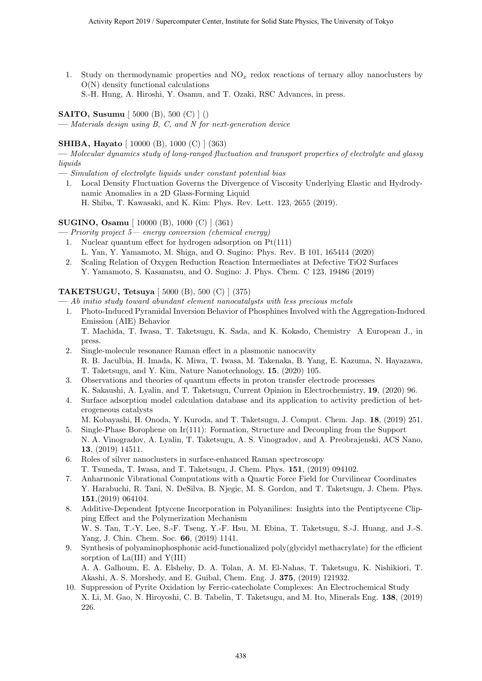1. Study on thermodynamic properties and NO*<sup>x</sup>* redox reactions of ternary alloy nanoclusters by O(N) density functional calculations

S.-H. Hung, A. Hiroshi, Y. Osamu, and T. Ozaki, RSC Advances, in press.

**SAITO, Susumu** [ 5000 (B), 500 (C) ] ()

**—** *Materials design using B, C, and N for next-generation device*

#### **SHIBA, Hayato** [ 10000 (B), 1000 (C) ] (363)

**—** *Molecular dynamics study of long-ranged fluctuation and transport properties of electrolyte and glassy liquids*

**—** *Simulation of electrolyte liquids under constant potential bias*

1. Local Density Fluctuation Governs the Divergence of Viscosity Underlying Elastic and Hydrodynamic Anomalies in a 2D Glass-Forming Liquid H. Shiba, T. Kawasaki, and K. Kim: Phys. Rev. Lett. 123, 2655 (2019).

**SUGINO, Osamu** [ 10000 (B), 1000 (C) ] (361) **—** *Priority project 5— energy conversion (chemical energy)*

- 1. Nuclear quantum effect for hydrogen adsorption on Pt(111)
- L. Yan, Y. Yamamoto, M. Shiga, and O. Sugino: Phys. Rev. B 101, 165414 (2020)
- 2. Scaling Relation of Oxygen Reduction Reaction Intermediates at Defective TiO2 Surfaces Y. Yamamoto, S. Kasamatsu, and O. Sugino: J. Phys. Chem. C 123, 19486 (2019)

#### **TAKETSUGU, Tetsuya** [ 5000 (B), 500 (C) ] (375)

**—** *Ab initio study toward abundant element nanocatalysts with less precious metals*

1. Photo-Induced Pyramidal Inversion Behavior of Phosphines Involved with the Aggregation-Induced Emission (AIE) Behavior T. Machida, T. Iwasa, T. Taketsugu, K. Sada, and K. Kokado, Chemistry A European J., in

press.

- 2. Single-molecule resonance Raman effect in a plasmonic nanocavity R. B. Jaculbia, H. Imada, K. Miwa, T. Iwasa, M. Takenaka, B. Yang, E. Kazuma, N. Hayazawa, T. Taketsugu, and Y. Kim, Nature Nanotechnology, **15**, (2020) 105.
- 3. Observations and theories of quantum effects in proton transfer electrode processes K. Sakaushi, A. Lyalin, and T. Taketsugu, Current Opinion in Electrochemistry, **19**, (2020) 96.
- 4. Surface adsorption model calculation database and its application to activity prediction of heterogeneous catalysts
	- M. Kobayashi, H. Onoda, Y. Kuroda, and T. Taketsugu, J. Comput. Chem. Jap. **18**, (2019) 251.
- 5. Single-Phase Borophene on Ir(111): Formation, Structure and Decoupling from the Support N. A. Vinogradov, A. Lyalin, T. Taketsugu, A. S. Vinogradov, and A. Preobrajenski, ACS Nano, **13**, (2019) 14511.
- 6. Roles of silver nanoclusters in surface-enhanced Raman spectroscopy T. Tsuneda, T. Iwasa, and T. Taketsugu, J. Chem. Phys. **151**, (2019) 094102.
- 7. Anharmonic Vibrational Computations with a Quartic Force Field for Curvilinear Coordinates Y. Harabuchi, R. Tani, N. DeSilva, B. Njegic, M. S. Gordon, and T. Taketsugu, J. Chem. Phys. **151**,(2019) 064104.
- 8. Additive-Dependent Iptycene Incorporation in Polyanilines: Insights into the Pentiptycene Clipping Effect and the Polymerization Mechanism W. S. Tan, T.-Y. Lee, S.-F. Tseng, Y.-F. Hsu, M. Ebina, T. Taketsugu, S.-J. Huang, and J.-S. Yang, J. Chin. Chem. Soc. **66**, (2019) 1141.
- 9. Synthesis of polyaminophosphonic acid-functionalized poly(glycidyl methacrylate) for the efficient sorption of La(III) and Y(III) A. A. Galhoum, E. A. Elshehy, D. A. Tolan, A. M. El-Nahas, T. Taketsugu, K. Nishikiori, T.
- Akashi, A. S. Morshedy, and E. Guibal, Chem. Eng. J. **375**, (2019) 121932. 10. Suppression of Pyrite Oxidation by Ferric-catecholate Complexes: An Electrochemical Study
- X. Li, M. Gao, N. Hiroyoshi, C. B. Tabelin, T. Taketsugu, and M. Ito, Minerals Eng. **138**, (2019) 226.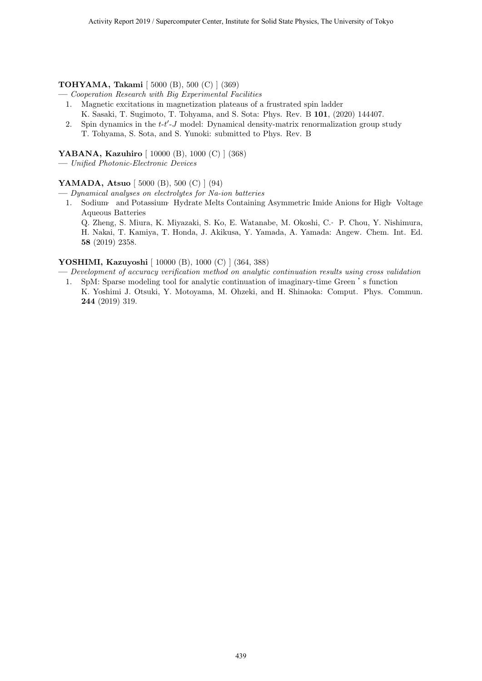#### **TOHYAMA, Takami** [ 5000 (B), 500 (C) ] (369)

- **—** *Cooperation Research with Big Experimental Facilities*
	- 1. Magnetic excitations in magnetization plateaus of a frustrated spin ladder
	- K. Sasaki, T. Sugimoto, T. Tohyama, and S. Sota: Phys. Rev. B **101**, (2020) 144407.
	- 2. Spin dynamics in the *t*-*t ′* -*J* model: Dynamical density-matrix renormalization group study T. Tohyama, S. Sota, and S. Yunoki: submitted to Phys. Rev. B

#### **YABANA, Kazuhiro** [ 10000 (B), 1000 (C) ] (368)

**—** *Unified Photonic-Electronic Devices*

#### **YAMADA, Atsuo** [ 5000 (B), 500 (C) ] (94)

**—** *Dynamical analyses on electrolytes for Na-ion batteries*

1. Sodium‐ and Potassium‐ Hydrate Melts Containing Asymmetric Imide Anions for High‐ Voltage Aqueous Batteries

Q. Zheng, S. Miura, K. Miyazaki, S. Ko, E. Watanabe, M. Okoshi, C.‐ P. Chou, Y. Nishimura, H. Nakai, T. Kamiya, T. Honda, J. Akikusa, Y. Yamada, A. Yamada: Angew. Chem. Int. Ed. **58** (2019) 2358.

#### **YOSHIMI, Kazuyoshi** [ 10000 (B), 1000 (C) ] (364, 388)

**—** *Development of accuracy verification method on analytic continuation results using cross validation* 1. SpM: Sparse modeling tool for analytic continuation of imaginary-time Green 's function

K. Yoshimi J. Otsuki, Y. Motoyama, M. Ohzeki, and H. Shinaoka: Comput. Phys. Commun. **244** (2019) 319.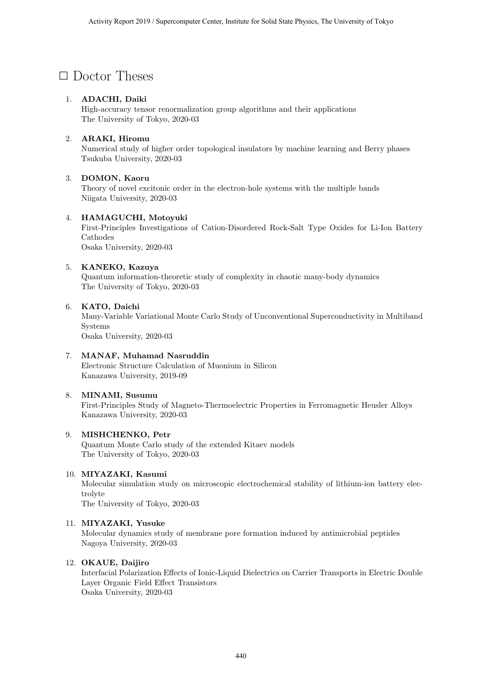### *✷* Doctor Theses

#### 1. **ADACHI, Daiki**

High-accuracy tensor renormalization group algorithms and their applications The University of Tokyo, 2020-03

#### 2. **ARAKI, Hiromu**

Numerical study of higher order topological insulators by machine learning and Berry phases Tsukuba University, 2020-03

#### 3. **DOMON, Kaoru**

Theory of novel excitonic order in the electron-hole systems with the multiple bands Niigata University, 2020-03

#### 4. **HAMAGUCHI, Motoyuki**

First-Principles Investigations of Cation-Disordered Rock-Salt Type Oxides for Li-Ion Battery Cathodes Osaka University, 2020-03

#### 5. **KANEKO, Kazuya**

Quantum information-theoretic study of complexity in chaotic many-body dynamics The University of Tokyo, 2020-03

#### 6. **KATO, Daichi**

Many-Variable Variational Monte Carlo Study of Unconventional Superconductivity in Multiband Systems Osaka University, 2020-03

#### 7. **MANAF, Muhamad Nasruddin** Electronic Structure Calculation of Muonium in Silicon Kanazawa University, 2019-09

#### 8. **MINAMI, Susumu**

First-Principles Study of Magneto-Thermoelectric Properties in Ferromagnetic Heusler Alloys Kanazawa University, 2020-03

#### 9. **MISHCHENKO, Petr**

Quantum Monte Carlo study of the extended Kitaev models The University of Tokyo, 2020-03

#### 10. **MIYAZAKI, Kasumi**

Molecular simulation study on microscopic electrochemical stability of lithium-ion battery electrolyte

The University of Tokyo, 2020-03

#### 11. **MIYAZAKI, Yusuke**

Molecular dynamics study of membrane pore formation induced by antimicrobial peptides Nagoya University, 2020-03

#### 12. **OKAUE, Daijiro**

Interfacial Polarization Effects of Ionic-Liquid Dielectrics on Carrier Transports in Electric Double Layer Organic Field Effect Transistors Osaka University, 2020-03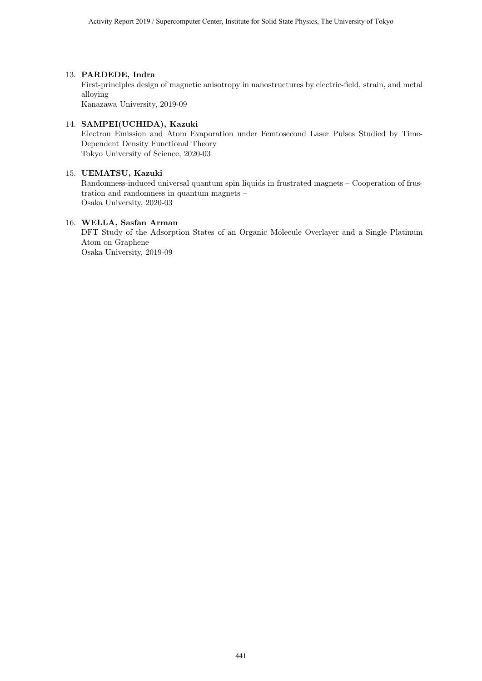#### 13. **PARDEDE, Indra**

First-principles design of magnetic anisotropy in nanostructures by electric-field, strain, and metal alloying Kanazawa University, 2019-09

#### 14. **SAMPEI(UCHIDA), Kazuki**

Electron Emission and Atom Evaporation under Femtosecond Laser Pulses Studied by Time-Dependent Density Functional Theory Tokyo University of Science, 2020-03

#### 15. **UEMATSU, Kazuki**

Randomness-induced universal quantum spin liquids in frustrated magnets – Cooperation of frustration and randomness in quantum magnets – Osaka University, 2020-03

#### 16. **WELLA, Sasfan Arman**

DFT Study of the Adsorption States of an Organic Molecule Overlayer and a Single Platinum Atom on Graphene Osaka University, 2019-09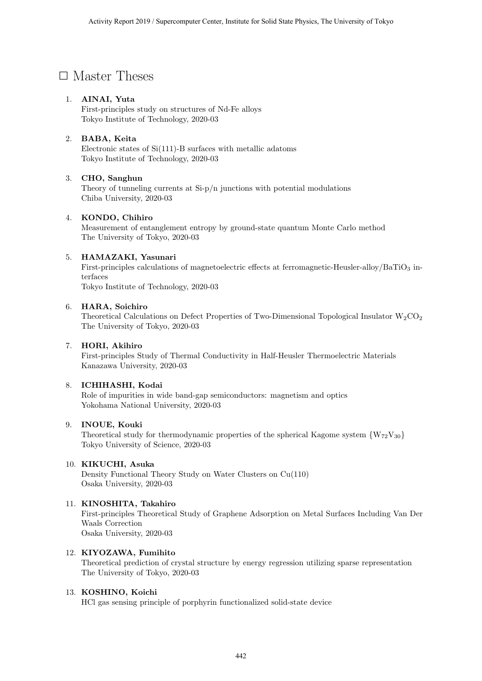### □ Master Theses

#### 1. **AINAI, Yuta**

First-principles study on structures of Nd-Fe alloys Tokyo Institute of Technology, 2020-03

#### 2. **BABA, Keita**

Electronic states of Si(111)-B surfaces with metallic adatoms Tokyo Institute of Technology, 2020-03

#### 3. **CHO, Sanghun**

Theory of tunneling currents at Si-p/n junctions with potential modulations Chiba University, 2020-03

#### 4. **KONDO, Chihiro**

Measurement of entanglement entropy by ground-state quantum Monte Carlo method The University of Tokyo, 2020-03

#### 5. **HAMAZAKI, Yasunari**

First-principles calculations of magnetoelectric effects at ferromagnetic-Heusler-alloy/BaTiO<sub>3</sub> interfaces

Tokyo Institute of Technology, 2020-03

#### 6. **HARA, Soichiro**

Theoretical Calculations on Defect Properties of Two-Dimensional Topological Insulator  $W_2CO_2$ The University of Tokyo, 2020-03

#### 7. **HORI, Akihiro**

First-principles Study of Thermal Conductivity in Half-Heusler Thermoelectric Materials Kanazawa University, 2020-03

#### 8. **ICHIHASHI, Kodai**

Role of impurities in wide band-gap semiconductors: magnetism and optics Yokohama National University, 2020-03

#### 9. **INOUE, Kouki**

Theoretical study for thermodynamic properties of the spherical Kagome system  $\{W_{72}V_{30}\}$ Tokyo University of Science, 2020-03

#### 10. **KIKUCHI, Asuka**

Density Functional Theory Study on Water Clusters on Cu(110) Osaka University, 2020-03

#### 11. **KINOSHITA, Takahiro**

First-principles Theoretical Study of Graphene Adsorption on Metal Surfaces Including Van Der Waals Correction Osaka University, 2020-03

#### 12. **KIYOZAWA, Fumihito**

Theoretical prediction of crystal structure by energy regression utilizing sparse representation The University of Tokyo, 2020-03

#### 13. **KOSHINO, Koichi**

HCl gas sensing principle of porphyrin functionalized solid-state device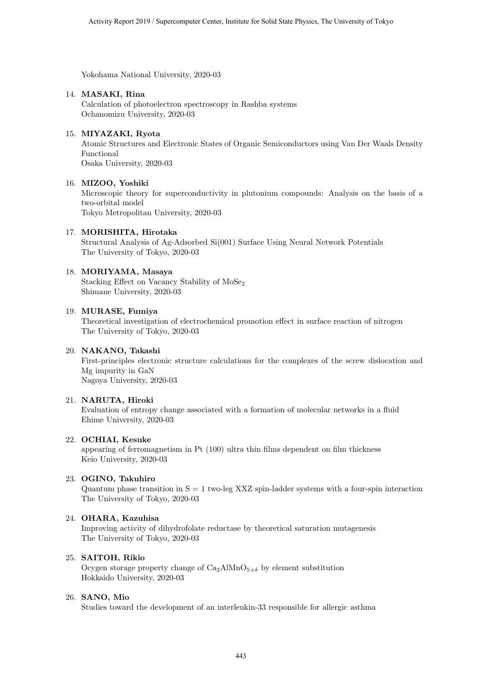Yokohama National University, 2020-03

#### 14. **MASAKI, Rina**

Calculation of photoelectron spectroscopy in Rashba systems Ochanomizu University, 2020-03

#### 15. **MIYAZAKI, Ryota**

Atomic Structures and Electronic States of Organic Semiconductors using Van Der Waals Density Functional Osaka University, 2020-03

#### 16. **MIZOO, Yoshiki**

Microscopic theory for superconductivity in plutonium compounds: Analysis on the basis of a two-orbital model Tokyo Metropolitan University, 2020-03

#### 17. **MORISHITA, Hirotaka**

Structural Analysis of Ag-Adsorbed Si(001) Surface Using Neural Network Potentials The University of Tokyo, 2020-03

#### 18. **MORIYAMA, Masaya**

Stacking Effect on Vacancy Stability of MoSe<sub>2</sub> Shimane University, 2020-03

#### 19. **MURASE, Fumiya**

Theoretical investigation of electrochemical promotion effect in surface reaction of nitrogen The University of Tokyo, 2020-03

#### 20. **NAKANO, Takashi**

First-principles electronic structure calculations for the complexes of the screw dislocation and Mg impurity in GaN Nagoya University, 2020-03

#### 21. **NARUTA, Hiroki**

Evaluation of entropy change associated with a formation of molecular networks in a fluid Ehime University, 2020-03

#### 22. **OCHIAI, Kesuke**

appearing of ferromagnetism in Pt (100) ultra thin films dependent on film thickness Keio University, 2020-03

#### 23. **OGINO, Takuhiro**

Quantum phase transition in  $S = 1$  two-leg XXZ spin-ladder systems with a four-spin interaction The University of Tokyo, 2020-03

#### 24. **OHARA, Kazuhisa**

Improving activity of dihydrofolate reductase by theoretical saturation mutagenesis The University of Tokyo, 2020-03

#### 25. **SAITOH, Rikio**

Ocygen storage property change of  $Ca_2AlMnO_{5+\delta}$  by element substitution Hokkaido University, 2020-03

#### 26. **SANO, Mio**

Studies toward the development of an interleukin-33 responsible for allergic asthma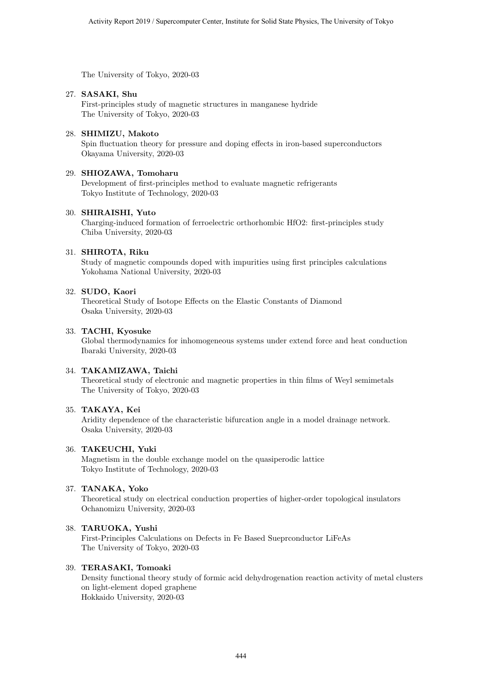The University of Tokyo, 2020-03

#### 27. **SASAKI, Shu**

First-principles study of magnetic structures in manganese hydride The University of Tokyo, 2020-03

#### 28. **SHIMIZU, Makoto**

Spin fluctuation theory for pressure and doping effects in iron-based superconductors Okayama University, 2020-03

#### 29. **SHIOZAWA, Tomoharu**

Development of first-principles method to evaluate magnetic refrigerants Tokyo Institute of Technology, 2020-03

#### 30. **SHIRAISHI, Yuto**

Charging-induced formation of ferroelectric orthorhombic HfO2: first-principles study Chiba University, 2020-03

#### 31. **SHIROTA, Riku**

Study of magnetic compounds doped with impurities using first principles calculations Yokohama National University, 2020-03

#### 32. **SUDO, Kaori**

Theoretical Study of Isotope Effects on the Elastic Constants of Diamond Osaka University, 2020-03

#### 33. **TACHI, Kyosuke**

Global thermodynamics for inhomogeneous systems under extend force and heat conduction Ibaraki University, 2020-03

#### 34. **TAKAMIZAWA, Taichi**

Theoretical study of electronic and magnetic properties in thin films of Weyl semimetals The University of Tokyo, 2020-03

#### 35. **TAKAYA, Kei**

Aridity dependence of the characteristic bifurcation angle in a model drainage network. Osaka University, 2020-03

#### 36. **TAKEUCHI, Yuki**

Magnetism in the double exchange model on the quasiperodic lattice Tokyo Institute of Technology, 2020-03

#### 37. **TANAKA, Yoko**

Theoretical study on electrical conduction properties of higher-order topological insulators Ochanomizu University, 2020-03

#### 38. **TARUOKA, Yushi**

First-Principles Calculations on Defects in Fe Based Sueprconductor LiFeAs The University of Tokyo, 2020-03

#### 39. **TERASAKI, Tomoaki**

Density functional theory study of formic acid dehydrogenation reaction activity of metal clusters on light-element doped graphene Hokkaido University, 2020-03